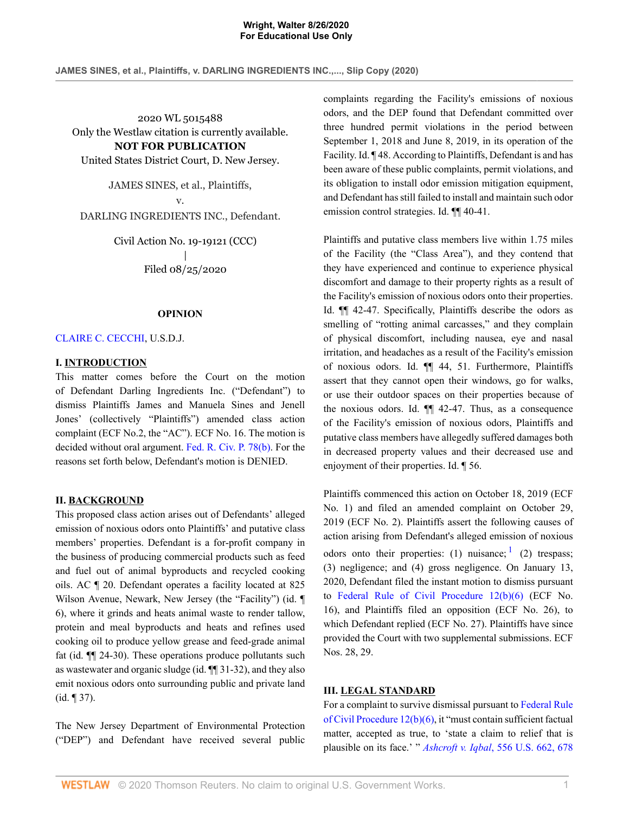**JAMES SINES, et al., Plaintiffs, v. DARLING INGREDIENTS INC.,..., Slip Copy (2020)**

2020 WL 5015488 Only the Westlaw citation is currently available. **NOT FOR PUBLICATION** United States District Court, D. New Jersey.

JAMES SINES, et al., Plaintiffs,

v. DARLING INGREDIENTS INC., Defendant.

> Civil Action No. 19-19121 (CCC) | Filed 08/25/2020

### **OPINION**

[CLAIRE C. CECCHI,](http://www.westlaw.com/Link/Document/FullText?findType=h&pubNum=176284&cite=0328528801&originatingDoc=I0cd53110e73611ea9bbab2e6212b6562&refType=RQ&originationContext=document&vr=3.0&rs=cblt1.0&transitionType=DocumentItem&contextData=(sc.AlertsClip)) U.S.D.J.

### **I. INTRODUCTION**

This matter comes before the Court on the motion of Defendant Darling Ingredients Inc. ("Defendant") to dismiss Plaintiffs James and Manuela Sines and Jenell Jones' (collectively "Plaintiffs") amended class action complaint (ECF No.2, the "AC"). ECF No. 16. The motion is decided without oral argument. [Fed. R. Civ. P. 78\(b\)](http://www.westlaw.com/Link/Document/FullText?findType=L&pubNum=1000600&cite=USFRCPR78&originatingDoc=I0cd53110e73611ea9bbab2e6212b6562&refType=LQ&originationContext=document&vr=3.0&rs=cblt1.0&transitionType=DocumentItem&contextData=(sc.AlertsClip)). For the reasons set forth below, Defendant's motion is DENIED.

### **II. BACKGROUND**

This proposed class action arises out of Defendants' alleged emission of noxious odors onto Plaintiffs' and putative class members' properties. Defendant is a for-profit company in the business of producing commercial products such as feed and fuel out of animal byproducts and recycled cooking oils. AC ¶ 20. Defendant operates a facility located at 825 Wilson Avenue, Newark, New Jersey (the "Facility") (id. 6), where it grinds and heats animal waste to render tallow, protein and meal byproducts and heats and refines used cooking oil to produce yellow grease and feed-grade animal fat (id. ¶¶ 24-30). These operations produce pollutants such as wastewater and organic sludge (id. ¶¶ 31-32), and they also emit noxious odors onto surrounding public and private land (id. ¶ 37).

The New Jersey Department of Environmental Protection ("DEP") and Defendant have received several public complaints regarding the Facility's emissions of noxious odors, and the DEP found that Defendant committed over three hundred permit violations in the period between September 1, 2018 and June 8, 2019, in its operation of the Facility. Id. ¶ 48. According to Plaintiffs, Defendant is and has been aware of these public complaints, permit violations, and its obligation to install odor emission mitigation equipment, and Defendant has still failed to install and maintain such odor emission control strategies. Id. ¶¶ 40-41.

Plaintiffs and putative class members live within 1.75 miles of the Facility (the "Class Area"), and they contend that they have experienced and continue to experience physical discomfort and damage to their property rights as a result of the Facility's emission of noxious odors onto their properties. Id. ¶¶ 42-47. Specifically, Plaintiffs describe the odors as smelling of "rotting animal carcasses," and they complain of physical discomfort, including nausea, eye and nasal irritation, and headaches as a result of the Facility's emission of noxious odors. Id. ¶¶ 44, 51. Furthermore, Plaintiffs assert that they cannot open their windows, go for walks, or use their outdoor spaces on their properties because of the noxious odors. Id. ¶¶ 42-47. Thus, as a consequence of the Facility's emission of noxious odors, Plaintiffs and putative class members have allegedly suffered damages both in decreased property values and their decreased use and enjoyment of their properties. Id. ¶ 56.

<span id="page-0-0"></span>Plaintiffs commenced this action on October 18, 2019 (ECF No. 1) and filed an amended complaint on October 29, 2019 (ECF No. 2). Plaintiffs assert the following causes of action arising from Defendant's alleged emission of noxious odors onto their properties: ([1](#page-5-0)) nuisance;  $(1)$  trespass; (3) negligence; and (4) gross negligence. On January 13, 2020, Defendant filed the instant motion to dismiss pursuant to [Federal Rule of Civil Procedure 12\(b\)\(6\)](http://www.westlaw.com/Link/Document/FullText?findType=L&pubNum=1000600&cite=USFRCPR12&originatingDoc=I0cd53110e73611ea9bbab2e6212b6562&refType=LQ&originationContext=document&vr=3.0&rs=cblt1.0&transitionType=DocumentItem&contextData=(sc.AlertsClip)) (ECF No. 16), and Plaintiffs filed an opposition (ECF No. 26), to which Defendant replied (ECF No. 27). Plaintiffs have since provided the Court with two supplemental submissions. ECF Nos. 28, 29.

### **III. LEGAL STANDARD**

For a complaint to survive dismissal pursuant to [Federal Rule](http://www.westlaw.com/Link/Document/FullText?findType=L&pubNum=1000600&cite=USFRCPR12&originatingDoc=I0cd53110e73611ea9bbab2e6212b6562&refType=LQ&originationContext=document&vr=3.0&rs=cblt1.0&transitionType=DocumentItem&contextData=(sc.AlertsClip)) [of Civil Procedure 12\(b\)\(6\),](http://www.westlaw.com/Link/Document/FullText?findType=L&pubNum=1000600&cite=USFRCPR12&originatingDoc=I0cd53110e73611ea9bbab2e6212b6562&refType=LQ&originationContext=document&vr=3.0&rs=cblt1.0&transitionType=DocumentItem&contextData=(sc.AlertsClip)) it "must contain sufficient factual matter, accepted as true, to 'state a claim to relief that is plausible on its face.' " *Ashcroft v. Iqbal*[, 556 U.S. 662, 678](http://www.westlaw.com/Link/Document/FullText?findType=Y&serNum=2018848474&pubNum=0000780&originatingDoc=I0cd53110e73611ea9bbab2e6212b6562&refType=RP&fi=co_pp_sp_780_678&originationContext=document&vr=3.0&rs=cblt1.0&transitionType=DocumentItem&contextData=(sc.AlertsClip)#co_pp_sp_780_678)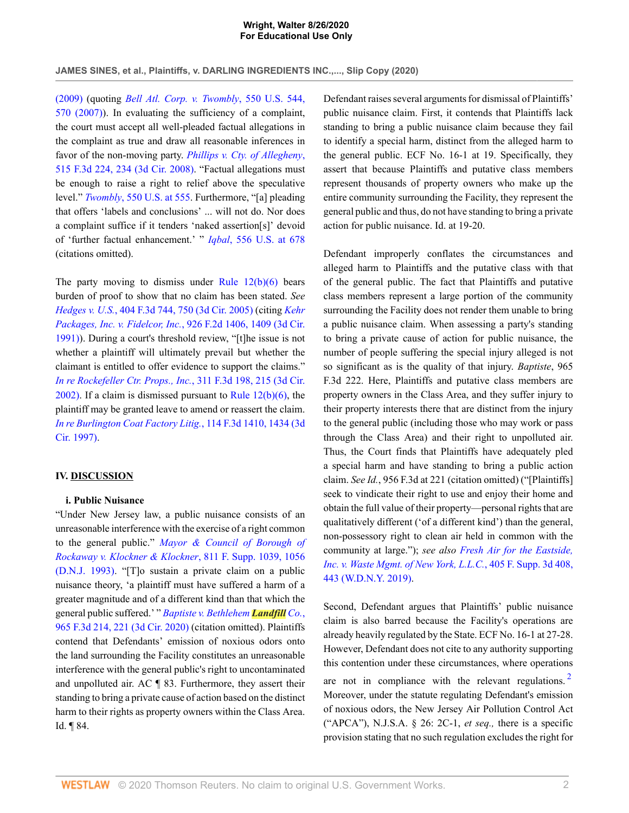**JAMES SINES, et al., Plaintiffs, v. DARLING INGREDIENTS INC.,..., Slip Copy (2020)**

[\(2009\)](http://www.westlaw.com/Link/Document/FullText?findType=Y&serNum=2018848474&pubNum=0000780&originatingDoc=I0cd53110e73611ea9bbab2e6212b6562&refType=RP&fi=co_pp_sp_780_678&originationContext=document&vr=3.0&rs=cblt1.0&transitionType=DocumentItem&contextData=(sc.AlertsClip)#co_pp_sp_780_678) (quoting *[Bell Atl. Corp. v. Twombly](http://www.westlaw.com/Link/Document/FullText?findType=Y&serNum=2012293296&pubNum=0000780&originatingDoc=I0cd53110e73611ea9bbab2e6212b6562&refType=RP&fi=co_pp_sp_780_570&originationContext=document&vr=3.0&rs=cblt1.0&transitionType=DocumentItem&contextData=(sc.AlertsClip)#co_pp_sp_780_570)*, 550 U.S. 544, [570 \(2007\)\)](http://www.westlaw.com/Link/Document/FullText?findType=Y&serNum=2012293296&pubNum=0000780&originatingDoc=I0cd53110e73611ea9bbab2e6212b6562&refType=RP&fi=co_pp_sp_780_570&originationContext=document&vr=3.0&rs=cblt1.0&transitionType=DocumentItem&contextData=(sc.AlertsClip)#co_pp_sp_780_570). In evaluating the sufficiency of a complaint, the court must accept all well-pleaded factual allegations in the complaint as true and draw all reasonable inferences in favor of the non-moving party. *[Phillips v. Cty. of Allegheny](http://www.westlaw.com/Link/Document/FullText?findType=Y&serNum=2015125207&pubNum=0000506&originatingDoc=I0cd53110e73611ea9bbab2e6212b6562&refType=RP&fi=co_pp_sp_506_234&originationContext=document&vr=3.0&rs=cblt1.0&transitionType=DocumentItem&contextData=(sc.AlertsClip)#co_pp_sp_506_234)*, [515 F.3d 224, 234 \(3d Cir. 2008\).](http://www.westlaw.com/Link/Document/FullText?findType=Y&serNum=2015125207&pubNum=0000506&originatingDoc=I0cd53110e73611ea9bbab2e6212b6562&refType=RP&fi=co_pp_sp_506_234&originationContext=document&vr=3.0&rs=cblt1.0&transitionType=DocumentItem&contextData=(sc.AlertsClip)#co_pp_sp_506_234) "Factual allegations must be enough to raise a right to relief above the speculative level." *Twombly*[, 550 U.S. at 555](http://www.westlaw.com/Link/Document/FullText?findType=Y&serNum=2012293296&pubNum=0000780&originatingDoc=I0cd53110e73611ea9bbab2e6212b6562&refType=RP&fi=co_pp_sp_780_555&originationContext=document&vr=3.0&rs=cblt1.0&transitionType=DocumentItem&contextData=(sc.AlertsClip)#co_pp_sp_780_555). Furthermore, "[a] pleading that offers 'labels and conclusions' ... will not do. Nor does a complaint suffice if it tenders 'naked assertion[s]' devoid of 'further factual enhancement.' " *Iqbal*[, 556 U.S. at 678](http://www.westlaw.com/Link/Document/FullText?findType=Y&serNum=2018848474&pubNum=0000780&originatingDoc=I0cd53110e73611ea9bbab2e6212b6562&refType=RP&fi=co_pp_sp_780_678&originationContext=document&vr=3.0&rs=cblt1.0&transitionType=DocumentItem&contextData=(sc.AlertsClip)#co_pp_sp_780_678) (citations omitted).

The party moving to dismiss under Rule  $12(b)(6)$  bears burden of proof to show that no claim has been stated. *See Hedges v. U.S.*[, 404 F.3d 744, 750 \(3d Cir. 2005\)](http://www.westlaw.com/Link/Document/FullText?findType=Y&serNum=2006469395&pubNum=0000506&originatingDoc=I0cd53110e73611ea9bbab2e6212b6562&refType=RP&fi=co_pp_sp_506_750&originationContext=document&vr=3.0&rs=cblt1.0&transitionType=DocumentItem&contextData=(sc.AlertsClip)#co_pp_sp_506_750) (citing *[Kehr](http://www.westlaw.com/Link/Document/FullText?findType=Y&serNum=1991048268&pubNum=0000350&originatingDoc=I0cd53110e73611ea9bbab2e6212b6562&refType=RP&fi=co_pp_sp_350_1409&originationContext=document&vr=3.0&rs=cblt1.0&transitionType=DocumentItem&contextData=(sc.AlertsClip)#co_pp_sp_350_1409) [Packages, Inc. v. Fidelcor, Inc.](http://www.westlaw.com/Link/Document/FullText?findType=Y&serNum=1991048268&pubNum=0000350&originatingDoc=I0cd53110e73611ea9bbab2e6212b6562&refType=RP&fi=co_pp_sp_350_1409&originationContext=document&vr=3.0&rs=cblt1.0&transitionType=DocumentItem&contextData=(sc.AlertsClip)#co_pp_sp_350_1409)*, 926 F.2d 1406, 1409 (3d Cir. [1991\)](http://www.westlaw.com/Link/Document/FullText?findType=Y&serNum=1991048268&pubNum=0000350&originatingDoc=I0cd53110e73611ea9bbab2e6212b6562&refType=RP&fi=co_pp_sp_350_1409&originationContext=document&vr=3.0&rs=cblt1.0&transitionType=DocumentItem&contextData=(sc.AlertsClip)#co_pp_sp_350_1409)). During a court's threshold review, "[t]he issue is not whether a plaintiff will ultimately prevail but whether the claimant is entitled to offer evidence to support the claims." *[In re Rockefeller Ctr. Props., Inc.](http://www.westlaw.com/Link/Document/FullText?findType=Y&serNum=2002712314&pubNum=0000506&originatingDoc=I0cd53110e73611ea9bbab2e6212b6562&refType=RP&fi=co_pp_sp_506_215&originationContext=document&vr=3.0&rs=cblt1.0&transitionType=DocumentItem&contextData=(sc.AlertsClip)#co_pp_sp_506_215)*, 311 F.3d 198, 215 (3d Cir. [2002\)](http://www.westlaw.com/Link/Document/FullText?findType=Y&serNum=2002712314&pubNum=0000506&originatingDoc=I0cd53110e73611ea9bbab2e6212b6562&refType=RP&fi=co_pp_sp_506_215&originationContext=document&vr=3.0&rs=cblt1.0&transitionType=DocumentItem&contextData=(sc.AlertsClip)#co_pp_sp_506_215). If a claim is dismissed pursuant to Rule  $12(b)(6)$ , the plaintiff may be granted leave to amend or reassert the claim. *[In re Burlington Coat Factory Litig.](http://www.westlaw.com/Link/Document/FullText?findType=Y&serNum=1997124449&pubNum=0000506&originatingDoc=I0cd53110e73611ea9bbab2e6212b6562&refType=RP&fi=co_pp_sp_506_1434&originationContext=document&vr=3.0&rs=cblt1.0&transitionType=DocumentItem&contextData=(sc.AlertsClip)#co_pp_sp_506_1434)*, 114 F.3d 1410, 1434 (3d [Cir. 1997\).](http://www.westlaw.com/Link/Document/FullText?findType=Y&serNum=1997124449&pubNum=0000506&originatingDoc=I0cd53110e73611ea9bbab2e6212b6562&refType=RP&fi=co_pp_sp_506_1434&originationContext=document&vr=3.0&rs=cblt1.0&transitionType=DocumentItem&contextData=(sc.AlertsClip)#co_pp_sp_506_1434)

### **IV. DISCUSSION**

### **i. Public Nuisance**

"Under New Jersey law, a public nuisance consists of an unreasonable interference with the exercise of a right common to the general public." *[Mayor & Council of Borough of](http://www.westlaw.com/Link/Document/FullText?findType=Y&serNum=1993037537&pubNum=0000345&originatingDoc=I0cd53110e73611ea9bbab2e6212b6562&refType=RP&fi=co_pp_sp_345_1056&originationContext=document&vr=3.0&rs=cblt1.0&transitionType=DocumentItem&contextData=(sc.AlertsClip)#co_pp_sp_345_1056) [Rockaway v. Klockner & Klockner](http://www.westlaw.com/Link/Document/FullText?findType=Y&serNum=1993037537&pubNum=0000345&originatingDoc=I0cd53110e73611ea9bbab2e6212b6562&refType=RP&fi=co_pp_sp_345_1056&originationContext=document&vr=3.0&rs=cblt1.0&transitionType=DocumentItem&contextData=(sc.AlertsClip)#co_pp_sp_345_1056)*, 811 F. Supp. 1039, 1056 [\(D.N.J. 1993\)](http://www.westlaw.com/Link/Document/FullText?findType=Y&serNum=1993037537&pubNum=0000345&originatingDoc=I0cd53110e73611ea9bbab2e6212b6562&refType=RP&fi=co_pp_sp_345_1056&originationContext=document&vr=3.0&rs=cblt1.0&transitionType=DocumentItem&contextData=(sc.AlertsClip)#co_pp_sp_345_1056). "[T]o sustain a private claim on a public nuisance theory, 'a plaintiff must have suffered a harm of a greater magnitude and of a different kind than that which the general public suffered.' " *[Baptiste v. Bethlehem](http://www.westlaw.com/Link/Document/FullText?findType=Y&serNum=2051442099&pubNum=0000506&originatingDoc=I0cd53110e73611ea9bbab2e6212b6562&refType=RP&fi=co_pp_sp_506_221&originationContext=document&vr=3.0&rs=cblt1.0&transitionType=DocumentItem&contextData=(sc.AlertsClip)#co_pp_sp_506_221) Landfill Co.*, [965 F.3d 214, 221 \(3d Cir. 2020\)](http://www.westlaw.com/Link/Document/FullText?findType=Y&serNum=2051442099&pubNum=0000506&originatingDoc=I0cd53110e73611ea9bbab2e6212b6562&refType=RP&fi=co_pp_sp_506_221&originationContext=document&vr=3.0&rs=cblt1.0&transitionType=DocumentItem&contextData=(sc.AlertsClip)#co_pp_sp_506_221) (citation omitted). Plaintiffs contend that Defendants' emission of noxious odors onto the land surrounding the Facility constitutes an unreasonable interference with the general public's right to uncontaminated and unpolluted air. AC ¶ 83. Furthermore, they assert their standing to bring a private cause of action based on the distinct harm to their rights as property owners within the Class Area. Id. ¶ 84.

Defendant raises several arguments for dismissal of Plaintiffs' public nuisance claim. First, it contends that Plaintiffs lack standing to bring a public nuisance claim because they fail to identify a special harm, distinct from the alleged harm to the general public. ECF No. 16-1 at 19. Specifically, they assert that because Plaintiffs and putative class members represent thousands of property owners who make up the entire community surrounding the Facility, they represent the general public and thus, do not have standing to bring a private action for public nuisance. Id. at 19-20.

Defendant improperly conflates the circumstances and alleged harm to Plaintiffs and the putative class with that of the general public. The fact that Plaintiffs and putative class members represent a large portion of the community surrounding the Facility does not render them unable to bring a public nuisance claim. When assessing a party's standing to bring a private cause of action for public nuisance, the number of people suffering the special injury alleged is not so significant as is the quality of that injury. *Baptiste*, 965 F.3d 222. Here, Plaintiffs and putative class members are property owners in the Class Area, and they suffer injury to their property interests there that are distinct from the injury to the general public (including those who may work or pass through the Class Area) and their right to unpolluted air. Thus, the Court finds that Plaintiffs have adequately pled a special harm and have standing to bring a public action claim. *See Id.*, 956 F.3d at 221 (citation omitted) ("[Plaintiffs] seek to vindicate their right to use and enjoy their home and obtain the full value of their property—personal rights that are qualitatively different ('of a different kind') than the general, non-possessory right to clean air held in common with the community at large."); *see also [Fresh Air for the Eastside,](http://www.westlaw.com/Link/Document/FullText?findType=Y&serNum=2049187496&pubNum=0007903&originatingDoc=I0cd53110e73611ea9bbab2e6212b6562&refType=RP&fi=co_pp_sp_7903_443&originationContext=document&vr=3.0&rs=cblt1.0&transitionType=DocumentItem&contextData=(sc.AlertsClip)#co_pp_sp_7903_443) [Inc. v. Waste Mgmt. of New York, L.L.C.](http://www.westlaw.com/Link/Document/FullText?findType=Y&serNum=2049187496&pubNum=0007903&originatingDoc=I0cd53110e73611ea9bbab2e6212b6562&refType=RP&fi=co_pp_sp_7903_443&originationContext=document&vr=3.0&rs=cblt1.0&transitionType=DocumentItem&contextData=(sc.AlertsClip)#co_pp_sp_7903_443)*, 405 F. Supp. 3d 408, [443 \(W.D.N.Y. 2019\).](http://www.westlaw.com/Link/Document/FullText?findType=Y&serNum=2049187496&pubNum=0007903&originatingDoc=I0cd53110e73611ea9bbab2e6212b6562&refType=RP&fi=co_pp_sp_7903_443&originationContext=document&vr=3.0&rs=cblt1.0&transitionType=DocumentItem&contextData=(sc.AlertsClip)#co_pp_sp_7903_443)

<span id="page-1-0"></span>Second, Defendant argues that Plaintiffs' public nuisance claim is also barred because the Facility's operations are already heavily regulated by the State. ECF No. 16-1 at 27-28. However, Defendant does not cite to any authority supporting this contention under these circumstances, where operations are not in compliance with the relevant regulations.<sup>[2](#page-5-1)</sup> Moreover, under the statute regulating Defendant's emission of noxious odors, the New Jersey Air Pollution Control Act ("APCA"), N.J.S.A. § 26: 2C-1, *et seq.,* there is a specific provision stating that no such regulation excludes the right for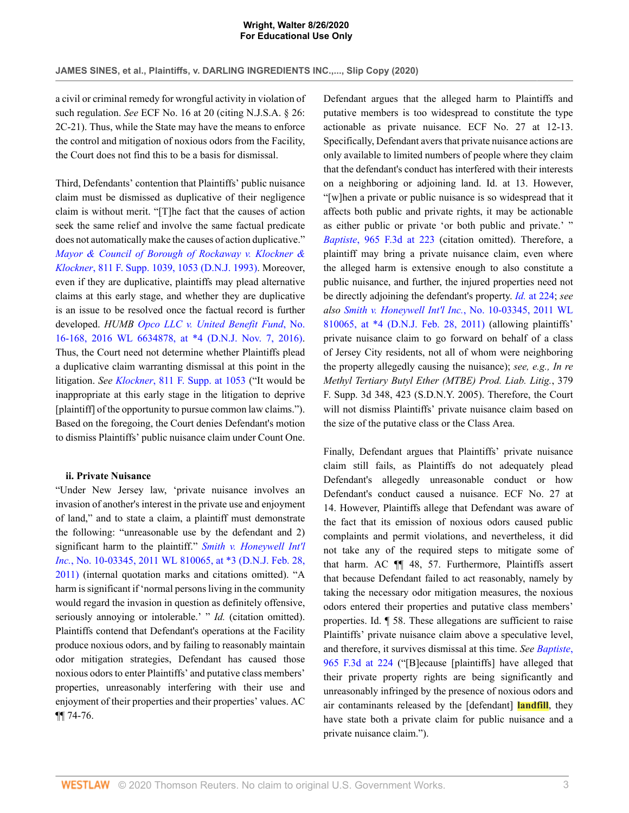**JAMES SINES, et al., Plaintiffs, v. DARLING INGREDIENTS INC.,..., Slip Copy (2020)**

a civil or criminal remedy for wrongful activity in violation of such regulation. *See* ECF No. 16 at 20 (citing N.J.S.A. § 26: 2C-21). Thus, while the State may have the means to enforce the control and mitigation of noxious odors from the Facility, the Court does not find this to be a basis for dismissal.

Third, Defendants' contention that Plaintiffs' public nuisance claim must be dismissed as duplicative of their negligence claim is without merit. "[T]he fact that the causes of action seek the same relief and involve the same factual predicate does not automatically make the causes of action duplicative." *[Mayor & Council of Borough of Rockaway v. Klockner &](http://www.westlaw.com/Link/Document/FullText?findType=Y&serNum=1993037537&pubNum=0000345&originatingDoc=I0cd53110e73611ea9bbab2e6212b6562&refType=RP&fi=co_pp_sp_345_1053&originationContext=document&vr=3.0&rs=cblt1.0&transitionType=DocumentItem&contextData=(sc.AlertsClip)#co_pp_sp_345_1053) Klockner*[, 811 F. Supp. 1039, 1053 \(D.N.J. 1993\)](http://www.westlaw.com/Link/Document/FullText?findType=Y&serNum=1993037537&pubNum=0000345&originatingDoc=I0cd53110e73611ea9bbab2e6212b6562&refType=RP&fi=co_pp_sp_345_1053&originationContext=document&vr=3.0&rs=cblt1.0&transitionType=DocumentItem&contextData=(sc.AlertsClip)#co_pp_sp_345_1053). Moreover, even if they are duplicative, plaintiffs may plead alternative claims at this early stage, and whether they are duplicative is an issue to be resolved once the factual record is further developed. *HUMB [Opco LLC v. United Benefit Fund](http://www.westlaw.com/Link/Document/FullText?findType=Y&serNum=2040276301&pubNum=0000999&originatingDoc=I0cd53110e73611ea9bbab2e6212b6562&refType=RP&originationContext=document&vr=3.0&rs=cblt1.0&transitionType=DocumentItem&contextData=(sc.AlertsClip))*, No. [16-168, 2016 WL 6634878, at \\*4 \(D.N.J. Nov. 7, 2016\)](http://www.westlaw.com/Link/Document/FullText?findType=Y&serNum=2040276301&pubNum=0000999&originatingDoc=I0cd53110e73611ea9bbab2e6212b6562&refType=RP&originationContext=document&vr=3.0&rs=cblt1.0&transitionType=DocumentItem&contextData=(sc.AlertsClip)). Thus, the Court need not determine whether Plaintiffs plead a duplicative claim warranting dismissal at this point in the litigation. *See Klockner*[, 811 F. Supp. at 1053](http://www.westlaw.com/Link/Document/FullText?findType=Y&serNum=1993037537&pubNum=0000345&originatingDoc=I0cd53110e73611ea9bbab2e6212b6562&refType=RP&fi=co_pp_sp_345_1053&originationContext=document&vr=3.0&rs=cblt1.0&transitionType=DocumentItem&contextData=(sc.AlertsClip)#co_pp_sp_345_1053) ("It would be inappropriate at this early stage in the litigation to deprive [plaintiff] of the opportunity to pursue common law claims."). Based on the foregoing, the Court denies Defendant's motion to dismiss Plaintiffs' public nuisance claim under Count One.

### **ii. Private Nuisance**

"Under New Jersey law, 'private nuisance involves an invasion of another's interest in the private use and enjoyment of land," and to state a claim, a plaintiff must demonstrate the following: "unreasonable use by the defendant and 2) significant harm to the plaintiff." *[Smith v. Honeywell Int'l](http://www.westlaw.com/Link/Document/FullText?findType=Y&serNum=2024752881&pubNum=0000999&originatingDoc=I0cd53110e73611ea9bbab2e6212b6562&refType=RP&originationContext=document&vr=3.0&rs=cblt1.0&transitionType=DocumentItem&contextData=(sc.AlertsClip)) Inc.*[, No. 10-03345, 2011 WL 810065, at \\*3 \(D.N.J. Feb. 28,](http://www.westlaw.com/Link/Document/FullText?findType=Y&serNum=2024752881&pubNum=0000999&originatingDoc=I0cd53110e73611ea9bbab2e6212b6562&refType=RP&originationContext=document&vr=3.0&rs=cblt1.0&transitionType=DocumentItem&contextData=(sc.AlertsClip)) [2011\)](http://www.westlaw.com/Link/Document/FullText?findType=Y&serNum=2024752881&pubNum=0000999&originatingDoc=I0cd53110e73611ea9bbab2e6212b6562&refType=RP&originationContext=document&vr=3.0&rs=cblt1.0&transitionType=DocumentItem&contextData=(sc.AlertsClip)) (internal quotation marks and citations omitted). "A harm is significant if 'normal persons living in the community would regard the invasion in question as definitely offensive, seriously annoying or intolerable.' " *Id.* (citation omitted). Plaintiffs contend that Defendant's operations at the Facility produce noxious odors, and by failing to reasonably maintain odor mitigation strategies, Defendant has caused those noxious odors to enter Plaintiffs' and putative class members' properties, unreasonably interfering with their use and enjoyment of their properties and their properties' values. AC ¶¶ 74-76.

Defendant argues that the alleged harm to Plaintiffs and putative members is too widespread to constitute the type actionable as private nuisance. ECF No. 27 at 12-13. Specifically, Defendant avers that private nuisance actions are only available to limited numbers of people where they claim that the defendant's conduct has interfered with their interests on a neighboring or adjoining land. Id. at 13. However, "[w]hen a private or public nuisance is so widespread that it affects both public and private rights, it may be actionable as either public or private 'or both public and private.' " *Baptiste*[, 965 F.3d at 223](http://www.westlaw.com/Link/Document/FullText?findType=Y&serNum=2051442099&pubNum=0000506&originatingDoc=I0cd53110e73611ea9bbab2e6212b6562&refType=RP&fi=co_pp_sp_506_223&originationContext=document&vr=3.0&rs=cblt1.0&transitionType=DocumentItem&contextData=(sc.AlertsClip)#co_pp_sp_506_223) (citation omitted). Therefore, a plaintiff may bring a private nuisance claim, even where the alleged harm is extensive enough to also constitute a public nuisance, and further, the injured properties need not be directly adjoining the defendant's property. *Id.* [at 224;](http://www.westlaw.com/Link/Document/FullText?findType=Y&serNum=2051442099&pubNum=0000506&originatingDoc=I0cd53110e73611ea9bbab2e6212b6562&refType=RP&fi=co_pp_sp_506_224&originationContext=document&vr=3.0&rs=cblt1.0&transitionType=DocumentItem&contextData=(sc.AlertsClip)#co_pp_sp_506_224) *see also [Smith v. Honeywell Int'l Inc.](http://www.westlaw.com/Link/Document/FullText?findType=Y&serNum=2024752881&pubNum=0000999&originatingDoc=I0cd53110e73611ea9bbab2e6212b6562&refType=RP&originationContext=document&vr=3.0&rs=cblt1.0&transitionType=DocumentItem&contextData=(sc.AlertsClip))*, No. 10-03345, 2011 WL [810065, at \\*4 \(D.N.J. Feb. 28, 2011\)](http://www.westlaw.com/Link/Document/FullText?findType=Y&serNum=2024752881&pubNum=0000999&originatingDoc=I0cd53110e73611ea9bbab2e6212b6562&refType=RP&originationContext=document&vr=3.0&rs=cblt1.0&transitionType=DocumentItem&contextData=(sc.AlertsClip)) (allowing plaintiffs' private nuisance claim to go forward on behalf of a class of Jersey City residents, not all of whom were neighboring the property allegedly causing the nuisance); *see, e.g., In re Methyl Tertiary Butyl Ether (MTBE) Prod. Liab. Litig.*, 379 F. Supp. 3d 348, 423 (S.D.N.Y. 2005). Therefore, the Court will not dismiss Plaintiffs' private nuisance claim based on the size of the putative class or the Class Area.

Finally, Defendant argues that Plaintiffs' private nuisance claim still fails, as Plaintiffs do not adequately plead Defendant's allegedly unreasonable conduct or how Defendant's conduct caused a nuisance. ECF No. 27 at 14. However, Plaintiffs allege that Defendant was aware of the fact that its emission of noxious odors caused public complaints and permit violations, and nevertheless, it did not take any of the required steps to mitigate some of that harm. AC ¶¶ 48, 57. Furthermore, Plaintiffs assert that because Defendant failed to act reasonably, namely by taking the necessary odor mitigation measures, the noxious odors entered their properties and putative class members' properties. Id. ¶ 58. These allegations are sufficient to raise Plaintiffs' private nuisance claim above a speculative level, and therefore, it survives dismissal at this time. *See [Baptiste](http://www.westlaw.com/Link/Document/FullText?findType=Y&serNum=2051442099&pubNum=0000506&originatingDoc=I0cd53110e73611ea9bbab2e6212b6562&refType=RP&fi=co_pp_sp_506_224&originationContext=document&vr=3.0&rs=cblt1.0&transitionType=DocumentItem&contextData=(sc.AlertsClip)#co_pp_sp_506_224)*, [965 F.3d at 224](http://www.westlaw.com/Link/Document/FullText?findType=Y&serNum=2051442099&pubNum=0000506&originatingDoc=I0cd53110e73611ea9bbab2e6212b6562&refType=RP&fi=co_pp_sp_506_224&originationContext=document&vr=3.0&rs=cblt1.0&transitionType=DocumentItem&contextData=(sc.AlertsClip)#co_pp_sp_506_224) ("[B]ecause [plaintiffs] have alleged that their private property rights are being significantly and unreasonably infringed by the presence of noxious odors and air contaminants released by the [defendant] **landfill**, they have state both a private claim for public nuisance and a private nuisance claim.").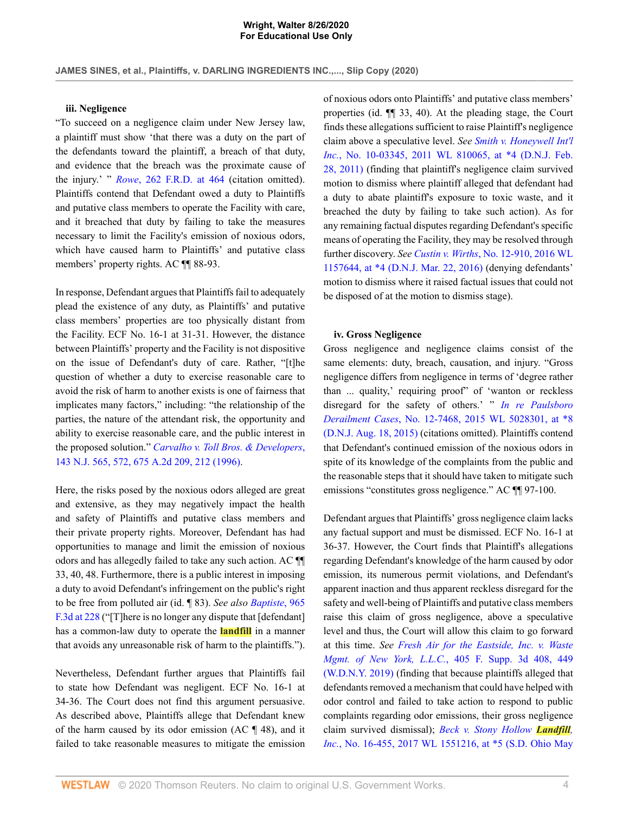### **iii. Negligence**

"To succeed on a negligence claim under New Jersey law, a plaintiff must show 'that there was a duty on the part of the defendants toward the plaintiff, a breach of that duty, and evidence that the breach was the proximate cause of the injury.' " *Rowe*[, 262 F.R.D. at 464](http://www.westlaw.com/Link/Document/FullText?findType=Y&serNum=2020093181&pubNum=0000344&originatingDoc=I0cd53110e73611ea9bbab2e6212b6562&refType=RP&fi=co_pp_sp_344_464&originationContext=document&vr=3.0&rs=cblt1.0&transitionType=DocumentItem&contextData=(sc.AlertsClip)#co_pp_sp_344_464) (citation omitted). Plaintiffs contend that Defendant owed a duty to Plaintiffs and putative class members to operate the Facility with care, and it breached that duty by failing to take the measures necessary to limit the Facility's emission of noxious odors, which have caused harm to Plaintiffs' and putative class members' property rights. AC ¶¶ 88-93.

In response, Defendant argues that Plaintiffs fail to adequately plead the existence of any duty, as Plaintiffs' and putative class members' properties are too physically distant from the Facility. ECF No. 16-1 at 31-31. However, the distance between Plaintiffs' property and the Facility is not dispositive on the issue of Defendant's duty of care. Rather, "[t]he question of whether a duty to exercise reasonable care to avoid the risk of harm to another exists is one of fairness that implicates many factors," including: "the relationship of the parties, the nature of the attendant risk, the opportunity and ability to exercise reasonable care, and the public interest in the proposed solution." *[Carvalho v. Toll Bros. & Developers](http://www.westlaw.com/Link/Document/FullText?findType=Y&serNum=1996108143&pubNum=0000583&originatingDoc=I0cd53110e73611ea9bbab2e6212b6562&refType=RP&fi=co_pp_sp_583_572&originationContext=document&vr=3.0&rs=cblt1.0&transitionType=DocumentItem&contextData=(sc.AlertsClip)#co_pp_sp_583_572)*, [143 N.J. 565, 572, 675 A.2d 209, 212 \(1996\).](http://www.westlaw.com/Link/Document/FullText?findType=Y&serNum=1996108143&pubNum=0000583&originatingDoc=I0cd53110e73611ea9bbab2e6212b6562&refType=RP&fi=co_pp_sp_583_572&originationContext=document&vr=3.0&rs=cblt1.0&transitionType=DocumentItem&contextData=(sc.AlertsClip)#co_pp_sp_583_572)

Here, the risks posed by the noxious odors alleged are great and extensive, as they may negatively impact the health and safety of Plaintiffs and putative class members and their private property rights. Moreover, Defendant has had opportunities to manage and limit the emission of noxious odors and has allegedly failed to take any such action. AC ¶¶ 33, 40, 48. Furthermore, there is a public interest in imposing a duty to avoid Defendant's infringement on the public's right to be free from polluted air (id. ¶ 83). *See also [Baptiste](http://www.westlaw.com/Link/Document/FullText?findType=Y&serNum=2051442099&pubNum=0000506&originatingDoc=I0cd53110e73611ea9bbab2e6212b6562&refType=RP&fi=co_pp_sp_506_228&originationContext=document&vr=3.0&rs=cblt1.0&transitionType=DocumentItem&contextData=(sc.AlertsClip)#co_pp_sp_506_228)*, 965 [F.3d at 228](http://www.westlaw.com/Link/Document/FullText?findType=Y&serNum=2051442099&pubNum=0000506&originatingDoc=I0cd53110e73611ea9bbab2e6212b6562&refType=RP&fi=co_pp_sp_506_228&originationContext=document&vr=3.0&rs=cblt1.0&transitionType=DocumentItem&contextData=(sc.AlertsClip)#co_pp_sp_506_228) ("[T]here is no longer any dispute that [defendant] has a common-law duty to operate the **landfill** in a manner that avoids any unreasonable risk of harm to the plaintiffs.").

Nevertheless, Defendant further argues that Plaintiffs fail to state how Defendant was negligent. ECF No. 16-1 at 34-36. The Court does not find this argument persuasive. As described above, Plaintiffs allege that Defendant knew of the harm caused by its odor emission (AC ¶ 48), and it failed to take reasonable measures to mitigate the emission of noxious odors onto Plaintiffs' and putative class members' properties (id. ¶¶ 33, 40). At the pleading stage, the Court finds these allegations sufficient to raise Plaintiff's negligence claim above a speculative level. *See [Smith v. Honeywell Int'l](http://www.westlaw.com/Link/Document/FullText?findType=Y&serNum=2024752881&pubNum=0000999&originatingDoc=I0cd53110e73611ea9bbab2e6212b6562&refType=RP&originationContext=document&vr=3.0&rs=cblt1.0&transitionType=DocumentItem&contextData=(sc.AlertsClip)) Inc.*[, No. 10-03345, 2011 WL 810065, at \\*4 \(D.N.J. Feb.](http://www.westlaw.com/Link/Document/FullText?findType=Y&serNum=2024752881&pubNum=0000999&originatingDoc=I0cd53110e73611ea9bbab2e6212b6562&refType=RP&originationContext=document&vr=3.0&rs=cblt1.0&transitionType=DocumentItem&contextData=(sc.AlertsClip)) [28, 2011\)](http://www.westlaw.com/Link/Document/FullText?findType=Y&serNum=2024752881&pubNum=0000999&originatingDoc=I0cd53110e73611ea9bbab2e6212b6562&refType=RP&originationContext=document&vr=3.0&rs=cblt1.0&transitionType=DocumentItem&contextData=(sc.AlertsClip)) (finding that plaintiff's negligence claim survived motion to dismiss where plaintiff alleged that defendant had a duty to abate plaintiff's exposure to toxic waste, and it breached the duty by failing to take such action). As for any remaining factual disputes regarding Defendant's specific means of operating the Facility, they may be resolved through further discovery. *See Custin v. Wirths*[, No. 12-910, 2016 WL](http://www.westlaw.com/Link/Document/FullText?findType=Y&serNum=2038522407&pubNum=0000999&originatingDoc=I0cd53110e73611ea9bbab2e6212b6562&refType=RP&originationContext=document&vr=3.0&rs=cblt1.0&transitionType=DocumentItem&contextData=(sc.AlertsClip)) [1157644, at \\*4 \(D.N.J. Mar. 22, 2016\)](http://www.westlaw.com/Link/Document/FullText?findType=Y&serNum=2038522407&pubNum=0000999&originatingDoc=I0cd53110e73611ea9bbab2e6212b6562&refType=RP&originationContext=document&vr=3.0&rs=cblt1.0&transitionType=DocumentItem&contextData=(sc.AlertsClip)) (denying defendants' motion to dismiss where it raised factual issues that could not be disposed of at the motion to dismiss stage).

### **iv. Gross Negligence**

Gross negligence and negligence claims consist of the same elements: duty, breach, causation, and injury. "Gross negligence differs from negligence in terms of 'degree rather than ... quality,' requiring proof" of 'wanton or reckless disregard for the safety of others.' " *[In re Paulsboro](http://www.westlaw.com/Link/Document/FullText?findType=Y&serNum=2036953431&pubNum=0000999&originatingDoc=I0cd53110e73611ea9bbab2e6212b6562&refType=RP&originationContext=document&vr=3.0&rs=cblt1.0&transitionType=DocumentItem&contextData=(sc.AlertsClip)) Derailment Cases*[, No. 12-7468, 2015 WL 5028301, at \\*8](http://www.westlaw.com/Link/Document/FullText?findType=Y&serNum=2036953431&pubNum=0000999&originatingDoc=I0cd53110e73611ea9bbab2e6212b6562&refType=RP&originationContext=document&vr=3.0&rs=cblt1.0&transitionType=DocumentItem&contextData=(sc.AlertsClip)) [\(D.N.J. Aug. 18, 2015\)](http://www.westlaw.com/Link/Document/FullText?findType=Y&serNum=2036953431&pubNum=0000999&originatingDoc=I0cd53110e73611ea9bbab2e6212b6562&refType=RP&originationContext=document&vr=3.0&rs=cblt1.0&transitionType=DocumentItem&contextData=(sc.AlertsClip)) (citations omitted). Plaintiffs contend that Defendant's continued emission of the noxious odors in spite of its knowledge of the complaints from the public and the reasonable steps that it should have taken to mitigate such emissions "constitutes gross negligence." AC ¶[ 97-100.

Defendant argues that Plaintiffs' gross negligence claim lacks any factual support and must be dismissed. ECF No. 16-1 at 36-37. However, the Court finds that Plaintiff's allegations regarding Defendant's knowledge of the harm caused by odor emission, its numerous permit violations, and Defendant's apparent inaction and thus apparent reckless disregard for the safety and well-being of Plaintiffs and putative class members raise this claim of gross negligence, above a speculative level and thus, the Court will allow this claim to go forward at this time. *See [Fresh Air for the Eastside, Inc. v. Waste](http://www.westlaw.com/Link/Document/FullText?findType=Y&serNum=2049187496&pubNum=0007903&originatingDoc=I0cd53110e73611ea9bbab2e6212b6562&refType=RP&fi=co_pp_sp_7903_449&originationContext=document&vr=3.0&rs=cblt1.0&transitionType=DocumentItem&contextData=(sc.AlertsClip)#co_pp_sp_7903_449) Mgmt. of New York, L.L.C.*[, 405 F. Supp. 3d 408, 449](http://www.westlaw.com/Link/Document/FullText?findType=Y&serNum=2049187496&pubNum=0007903&originatingDoc=I0cd53110e73611ea9bbab2e6212b6562&refType=RP&fi=co_pp_sp_7903_449&originationContext=document&vr=3.0&rs=cblt1.0&transitionType=DocumentItem&contextData=(sc.AlertsClip)#co_pp_sp_7903_449) [\(W.D.N.Y. 2019\)](http://www.westlaw.com/Link/Document/FullText?findType=Y&serNum=2049187496&pubNum=0007903&originatingDoc=I0cd53110e73611ea9bbab2e6212b6562&refType=RP&fi=co_pp_sp_7903_449&originationContext=document&vr=3.0&rs=cblt1.0&transitionType=DocumentItem&contextData=(sc.AlertsClip)#co_pp_sp_7903_449) (finding that because plaintiffs alleged that defendants removed a mechanism that could have helped with odor control and failed to take action to respond to public complaints regarding odor emissions, their gross negligence claim survived dismissal); *[Beck v. Stony Hollow](http://www.westlaw.com/Link/Document/FullText?findType=Y&serNum=2041549974&pubNum=0000999&originatingDoc=I0cd53110e73611ea9bbab2e6212b6562&refType=RP&originationContext=document&vr=3.0&rs=cblt1.0&transitionType=DocumentItem&contextData=(sc.AlertsClip)) Landfill, Inc.*[, No. 16-455, 2017 WL 1551216, at \\*5 \(S.D. Ohio May](http://www.westlaw.com/Link/Document/FullText?findType=Y&serNum=2041549974&pubNum=0000999&originatingDoc=I0cd53110e73611ea9bbab2e6212b6562&refType=RP&originationContext=document&vr=3.0&rs=cblt1.0&transitionType=DocumentItem&contextData=(sc.AlertsClip))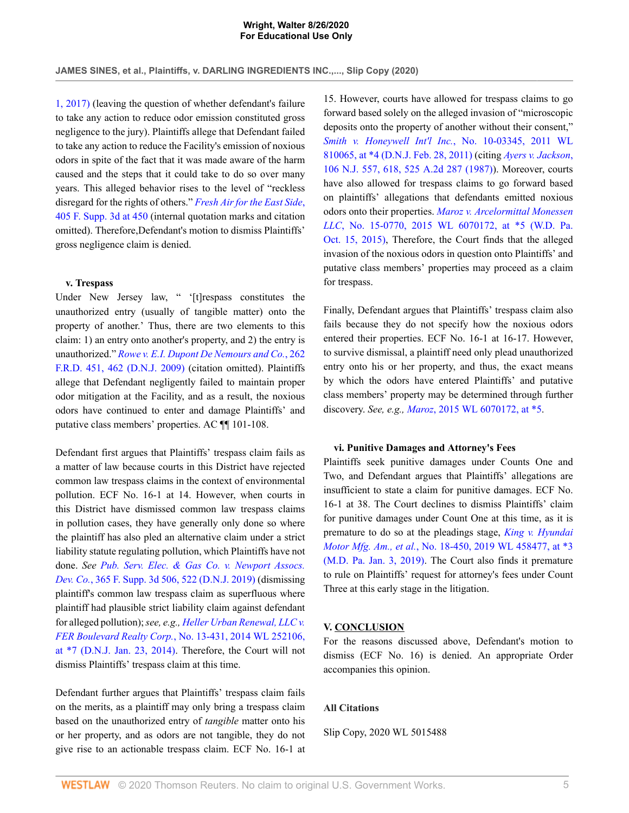[1, 2017\)](http://www.westlaw.com/Link/Document/FullText?findType=Y&serNum=2041549974&pubNum=0000999&originatingDoc=I0cd53110e73611ea9bbab2e6212b6562&refType=RP&originationContext=document&vr=3.0&rs=cblt1.0&transitionType=DocumentItem&contextData=(sc.AlertsClip)) (leaving the question of whether defendant's failure to take any action to reduce odor emission constituted gross negligence to the jury). Plaintiffs allege that Defendant failed to take any action to reduce the Facility's emission of noxious odors in spite of the fact that it was made aware of the harm caused and the steps that it could take to do so over many years. This alleged behavior rises to the level of "reckless disregard for the rights of others." *[Fresh Air for the East Side](http://www.westlaw.com/Link/Document/FullText?findType=Y&serNum=2049187496&pubNum=0007903&originatingDoc=I0cd53110e73611ea9bbab2e6212b6562&refType=RP&fi=co_pp_sp_7903_450&originationContext=document&vr=3.0&rs=cblt1.0&transitionType=DocumentItem&contextData=(sc.AlertsClip)#co_pp_sp_7903_450)*, [405 F. Supp. 3d at 450](http://www.westlaw.com/Link/Document/FullText?findType=Y&serNum=2049187496&pubNum=0007903&originatingDoc=I0cd53110e73611ea9bbab2e6212b6562&refType=RP&fi=co_pp_sp_7903_450&originationContext=document&vr=3.0&rs=cblt1.0&transitionType=DocumentItem&contextData=(sc.AlertsClip)#co_pp_sp_7903_450) (internal quotation marks and citation omitted). Therefore,Defendant's motion to dismiss Plaintiffs' gross negligence claim is denied.

## **v. Trespass**

Under New Jersey law, " '[t]respass constitutes the unauthorized entry (usually of tangible matter) onto the property of another.' Thus, there are two elements to this claim: 1) an entry onto another's property, and 2) the entry is unauthorized." *[Rowe v. E.I. Dupont De Nemours and Co.](http://www.westlaw.com/Link/Document/FullText?findType=Y&serNum=2020093181&pubNum=0000344&originatingDoc=I0cd53110e73611ea9bbab2e6212b6562&refType=RP&fi=co_pp_sp_344_462&originationContext=document&vr=3.0&rs=cblt1.0&transitionType=DocumentItem&contextData=(sc.AlertsClip)#co_pp_sp_344_462)*, 262 [F.R.D. 451, 462 \(D.N.J. 2009\)](http://www.westlaw.com/Link/Document/FullText?findType=Y&serNum=2020093181&pubNum=0000344&originatingDoc=I0cd53110e73611ea9bbab2e6212b6562&refType=RP&fi=co_pp_sp_344_462&originationContext=document&vr=3.0&rs=cblt1.0&transitionType=DocumentItem&contextData=(sc.AlertsClip)#co_pp_sp_344_462) (citation omitted). Plaintiffs allege that Defendant negligently failed to maintain proper odor mitigation at the Facility, and as a result, the noxious odors have continued to enter and damage Plaintiffs' and putative class members' properties. AC ¶¶ 101-108.

Defendant first argues that Plaintiffs' trespass claim fails as a matter of law because courts in this District have rejected common law trespass claims in the context of environmental pollution. ECF No. 16-1 at 14. However, when courts in this District have dismissed common law trespass claims in pollution cases, they have generally only done so where the plaintiff has also pled an alternative claim under a strict liability statute regulating pollution, which Plaintiffs have not done. *See [Pub. Serv. Elec. & Gas Co. v. Newport Assocs.](http://www.westlaw.com/Link/Document/FullText?findType=Y&serNum=2047427828&pubNum=0007903&originatingDoc=I0cd53110e73611ea9bbab2e6212b6562&refType=RP&fi=co_pp_sp_7903_522&originationContext=document&vr=3.0&rs=cblt1.0&transitionType=DocumentItem&contextData=(sc.AlertsClip)#co_pp_sp_7903_522) Dev. Co.*[, 365 F. Supp. 3d 506, 522 \(D.N.J. 2019\)](http://www.westlaw.com/Link/Document/FullText?findType=Y&serNum=2047427828&pubNum=0007903&originatingDoc=I0cd53110e73611ea9bbab2e6212b6562&refType=RP&fi=co_pp_sp_7903_522&originationContext=document&vr=3.0&rs=cblt1.0&transitionType=DocumentItem&contextData=(sc.AlertsClip)#co_pp_sp_7903_522) (dismissing plaintiff's common law trespass claim as superfluous where plaintiff had plausible strict liability claim against defendant for alleged pollution); *see, e.g., [Heller Urban Renewal, LLC v.](http://www.westlaw.com/Link/Document/FullText?findType=Y&serNum=2032592405&pubNum=0000999&originatingDoc=I0cd53110e73611ea9bbab2e6212b6562&refType=RP&originationContext=document&vr=3.0&rs=cblt1.0&transitionType=DocumentItem&contextData=(sc.AlertsClip)) FER Boulevard Realty Corp.*[, No. 13-431, 2014 WL 252106,](http://www.westlaw.com/Link/Document/FullText?findType=Y&serNum=2032592405&pubNum=0000999&originatingDoc=I0cd53110e73611ea9bbab2e6212b6562&refType=RP&originationContext=document&vr=3.0&rs=cblt1.0&transitionType=DocumentItem&contextData=(sc.AlertsClip)) [at \\*7 \(D.N.J. Jan. 23, 2014\).](http://www.westlaw.com/Link/Document/FullText?findType=Y&serNum=2032592405&pubNum=0000999&originatingDoc=I0cd53110e73611ea9bbab2e6212b6562&refType=RP&originationContext=document&vr=3.0&rs=cblt1.0&transitionType=DocumentItem&contextData=(sc.AlertsClip)) Therefore, the Court will not dismiss Plaintiffs' trespass claim at this time.

Defendant further argues that Plaintiffs' trespass claim fails on the merits, as a plaintiff may only bring a trespass claim based on the unauthorized entry of *tangible* matter onto his or her property, and as odors are not tangible, they do not give rise to an actionable trespass claim. ECF No. 16-1 at

15. However, courts have allowed for trespass claims to go forward based solely on the alleged invasion of "microscopic deposits onto the property of another without their consent," *[Smith v. Honeywell Int'l Inc.](http://www.westlaw.com/Link/Document/FullText?findType=Y&serNum=2024752881&pubNum=0000999&originatingDoc=I0cd53110e73611ea9bbab2e6212b6562&refType=RP&originationContext=document&vr=3.0&rs=cblt1.0&transitionType=DocumentItem&contextData=(sc.AlertsClip))*, No. 10-03345, 2011 WL [810065, at \\*4 \(D.N.J. Feb. 28, 2011\)](http://www.westlaw.com/Link/Document/FullText?findType=Y&serNum=2024752881&pubNum=0000999&originatingDoc=I0cd53110e73611ea9bbab2e6212b6562&refType=RP&originationContext=document&vr=3.0&rs=cblt1.0&transitionType=DocumentItem&contextData=(sc.AlertsClip)) (citing *[Ayers v. Jackson](http://www.westlaw.com/Link/Document/FullText?findType=Y&serNum=1987058388&pubNum=0000583&originatingDoc=I0cd53110e73611ea9bbab2e6212b6562&refType=RP&fi=co_pp_sp_583_618&originationContext=document&vr=3.0&rs=cblt1.0&transitionType=DocumentItem&contextData=(sc.AlertsClip)#co_pp_sp_583_618)*, [106 N.J. 557, 618, 525 A.2d 287 \(1987\)\)](http://www.westlaw.com/Link/Document/FullText?findType=Y&serNum=1987058388&pubNum=0000583&originatingDoc=I0cd53110e73611ea9bbab2e6212b6562&refType=RP&fi=co_pp_sp_583_618&originationContext=document&vr=3.0&rs=cblt1.0&transitionType=DocumentItem&contextData=(sc.AlertsClip)#co_pp_sp_583_618). Moreover, courts have also allowed for trespass claims to go forward based on plaintiffs' allegations that defendants emitted noxious odors onto their properties. *[Maroz v. Arcelormittal Monessen](http://www.westlaw.com/Link/Document/FullText?findType=Y&serNum=2037397904&pubNum=0000999&originatingDoc=I0cd53110e73611ea9bbab2e6212b6562&refType=RP&originationContext=document&vr=3.0&rs=cblt1.0&transitionType=DocumentItem&contextData=(sc.AlertsClip)) LLC*[, No. 15-0770, 2015 WL 6070172, at \\*5 \(W.D. Pa.](http://www.westlaw.com/Link/Document/FullText?findType=Y&serNum=2037397904&pubNum=0000999&originatingDoc=I0cd53110e73611ea9bbab2e6212b6562&refType=RP&originationContext=document&vr=3.0&rs=cblt1.0&transitionType=DocumentItem&contextData=(sc.AlertsClip)) [Oct. 15, 2015\),](http://www.westlaw.com/Link/Document/FullText?findType=Y&serNum=2037397904&pubNum=0000999&originatingDoc=I0cd53110e73611ea9bbab2e6212b6562&refType=RP&originationContext=document&vr=3.0&rs=cblt1.0&transitionType=DocumentItem&contextData=(sc.AlertsClip)) Therefore, the Court finds that the alleged invasion of the noxious odors in question onto Plaintiffs' and putative class members' properties may proceed as a claim for trespass.

Finally, Defendant argues that Plaintiffs' trespass claim also fails because they do not specify how the noxious odors entered their properties. ECF No. 16-1 at 16-17. However, to survive dismissal, a plaintiff need only plead unauthorized entry onto his or her property, and thus, the exact means by which the odors have entered Plaintiffs' and putative class members' property may be determined through further discovery. *See, e.g., Maroz*[, 2015 WL 6070172, at \\*5](http://www.westlaw.com/Link/Document/FullText?findType=Y&serNum=2037397904&pubNum=0000999&originatingDoc=I0cd53110e73611ea9bbab2e6212b6562&refType=RP&originationContext=document&vr=3.0&rs=cblt1.0&transitionType=DocumentItem&contextData=(sc.AlertsClip)).

### **vi. Punitive Damages and Attorney's Fees**

Plaintiffs seek punitive damages under Counts One and Two, and Defendant argues that Plaintiffs' allegations are insufficient to state a claim for punitive damages. ECF No. 16-1 at 38. The Court declines to dismiss Plaintiffs' claim for punitive damages under Count One at this time, as it is premature to do so at the pleadings stage, *[King v. Hyundai](http://www.westlaw.com/Link/Document/FullText?findType=Y&serNum=2047479518&pubNum=0000999&originatingDoc=I0cd53110e73611ea9bbab2e6212b6562&refType=RP&originationContext=document&vr=3.0&rs=cblt1.0&transitionType=DocumentItem&contextData=(sc.AlertsClip)) Motor Mfg. Am., et al.*[, No. 18-450, 2019 WL 458477, at \\*3](http://www.westlaw.com/Link/Document/FullText?findType=Y&serNum=2047479518&pubNum=0000999&originatingDoc=I0cd53110e73611ea9bbab2e6212b6562&refType=RP&originationContext=document&vr=3.0&rs=cblt1.0&transitionType=DocumentItem&contextData=(sc.AlertsClip)) [\(M.D. Pa. Jan. 3, 2019\)](http://www.westlaw.com/Link/Document/FullText?findType=Y&serNum=2047479518&pubNum=0000999&originatingDoc=I0cd53110e73611ea9bbab2e6212b6562&refType=RP&originationContext=document&vr=3.0&rs=cblt1.0&transitionType=DocumentItem&contextData=(sc.AlertsClip)). The Court also finds it premature to rule on Plaintiffs' request for attorney's fees under Count Three at this early stage in the litigation.

### **V. CONCLUSION**

For the reasons discussed above, Defendant's motion to dismiss (ECF No. 16) is denied. An appropriate Order accompanies this opinion.

## **All Citations**

Slip Copy, 2020 WL 5015488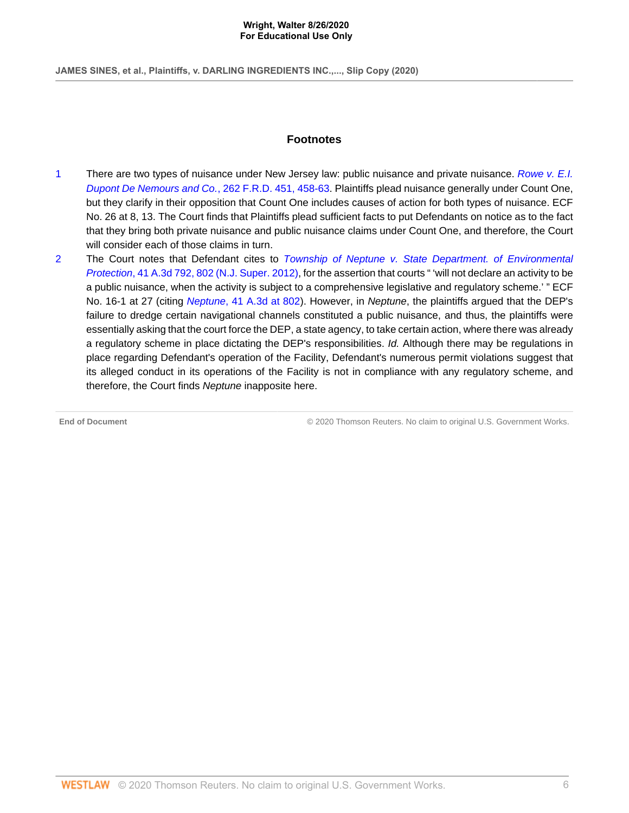**JAMES SINES, et al., Plaintiffs, v. DARLING INGREDIENTS INC.,..., Slip Copy (2020)**

# **Footnotes**

- <span id="page-5-0"></span>[1](#page-0-0) There are two types of nuisance under New Jersey law: public nuisance and private nuisance. [Rowe v. E.I.](http://www.westlaw.com/Link/Document/FullText?findType=Y&serNum=2020093181&pubNum=0000344&originatingDoc=I0cd53110e73611ea9bbab2e6212b6562&refType=RP&fi=co_pp_sp_344_458&originationContext=document&vr=3.0&rs=cblt1.0&transitionType=DocumentItem&contextData=(sc.AlertsClip)#co_pp_sp_344_458) [Dupont De Nemours and Co.](http://www.westlaw.com/Link/Document/FullText?findType=Y&serNum=2020093181&pubNum=0000344&originatingDoc=I0cd53110e73611ea9bbab2e6212b6562&refType=RP&fi=co_pp_sp_344_458&originationContext=document&vr=3.0&rs=cblt1.0&transitionType=DocumentItem&contextData=(sc.AlertsClip)#co_pp_sp_344_458), 262 F.R.D. 451, 458-63. Plaintiffs plead nuisance generally under Count One, but they clarify in their opposition that Count One includes causes of action for both types of nuisance. ECF No. 26 at 8, 13. The Court finds that Plaintiffs plead sufficient facts to put Defendants on notice as to the fact that they bring both private nuisance and public nuisance claims under Count One, and therefore, the Court will consider each of those claims in turn.
- <span id="page-5-1"></span>[2](#page-1-0) The Court notes that Defendant cites to [Township of Neptune v. State Department. of Environmental](http://www.westlaw.com/Link/Document/FullText?findType=Y&serNum=2027567135&pubNum=0007691&originatingDoc=I0cd53110e73611ea9bbab2e6212b6562&refType=RP&fi=co_pp_sp_7691_802&originationContext=document&vr=3.0&rs=cblt1.0&transitionType=DocumentItem&contextData=(sc.AlertsClip)#co_pp_sp_7691_802) Protection[, 41 A.3d 792, 802 \(N.J. Super. 2012\),](http://www.westlaw.com/Link/Document/FullText?findType=Y&serNum=2027567135&pubNum=0007691&originatingDoc=I0cd53110e73611ea9bbab2e6212b6562&refType=RP&fi=co_pp_sp_7691_802&originationContext=document&vr=3.0&rs=cblt1.0&transitionType=DocumentItem&contextData=(sc.AlertsClip)#co_pp_sp_7691_802) for the assertion that courts " 'will not declare an activity to be a public nuisance, when the activity is subject to a comprehensive legislative and regulatory scheme.' " ECF No. 16-1 at 27 (citing Neptune[, 41 A.3d at 802](http://www.westlaw.com/Link/Document/FullText?findType=Y&serNum=2027567135&pubNum=0007691&originatingDoc=I0cd53110e73611ea9bbab2e6212b6562&refType=RP&fi=co_pp_sp_7691_802&originationContext=document&vr=3.0&rs=cblt1.0&transitionType=DocumentItem&contextData=(sc.AlertsClip)#co_pp_sp_7691_802)). However, in Neptune, the plaintiffs argued that the DEP's failure to dredge certain navigational channels constituted a public nuisance, and thus, the plaintiffs were essentially asking that the court force the DEP, a state agency, to take certain action, where there was already a regulatory scheme in place dictating the DEP's responsibilities. Id. Although there may be regulations in place regarding Defendant's operation of the Facility, Defendant's numerous permit violations suggest that its alleged conduct in its operations of the Facility is not in compliance with any regulatory scheme, and therefore, the Court finds Neptune inapposite here.

**End of Document** © 2020 Thomson Reuters. No claim to original U.S. Government Works.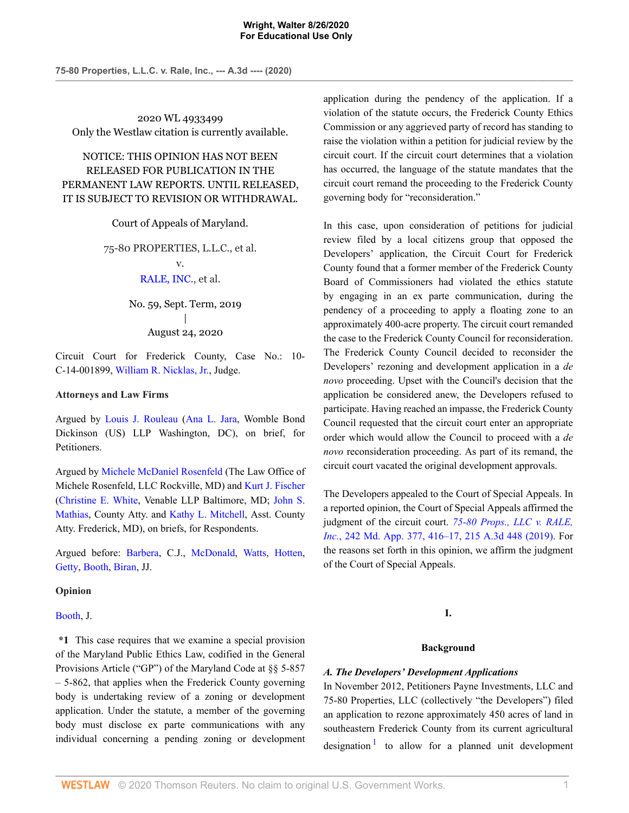2020 WL 4933499 Only the Westlaw citation is currently available.

NOTICE: THIS OPINION HAS NOT BEEN RELEASED FOR PUBLICATION IN THE PERMANENT LAW REPORTS. UNTIL RELEASED, IT IS SUBJECT TO REVISION OR WITHDRAWAL.

Court of Appeals of Maryland.

75-80 PROPERTIES, L.L.C., et al. v. [RALE, INC.](http://www.westlaw.com/Search/Results.html?query=advanced%3a+OAID(5032317272)&saveJuris=False&contentType=BUSINESS-INVESTIGATOR&startIndex=1&contextData=(sc.Default)&categoryPageUrl=Home%2fCompanyInvestigator&originationContext=document&vr=3.0&rs=cblt1.0&transitionType=DocumentItem), et al.

> No. 59, Sept. Term, 2019 | August 24, 2020

Circuit Court for Frederick County, Case No.: 10- C-14-001899, [William R. Nicklas, Jr.](http://www.westlaw.com/Link/Document/FullText?findType=h&pubNum=176284&cite=0137340501&originatingDoc=I876021f0e68311eabffee32622d22314&refType=RQ&originationContext=document&vr=3.0&rs=cblt1.0&transitionType=DocumentItem&contextData=(sc.AlertsClip)), Judge.

### **Attorneys and Law Firms**

Argued by [Louis J. Rouleau](http://www.westlaw.com/Link/Document/FullText?findType=h&pubNum=176284&cite=0198131301&originatingDoc=I876021f0e68311eabffee32622d22314&refType=RQ&originationContext=document&vr=3.0&rs=cblt1.0&transitionType=DocumentItem&contextData=(sc.AlertsClip)) ([Ana L. Jara,](http://www.westlaw.com/Link/Document/FullText?findType=h&pubNum=176284&cite=0502030299&originatingDoc=I876021f0e68311eabffee32622d22314&refType=RQ&originationContext=document&vr=3.0&rs=cblt1.0&transitionType=DocumentItem&contextData=(sc.AlertsClip)) Womble Bond Dickinson (US) LLP Washington, DC), on brief, for Petitioners.

Argued by [Michele McDaniel Rosenfeld](http://www.westlaw.com/Link/Document/FullText?findType=h&pubNum=176284&cite=0484638501&originatingDoc=I876021f0e68311eabffee32622d22314&refType=RQ&originationContext=document&vr=3.0&rs=cblt1.0&transitionType=DocumentItem&contextData=(sc.AlertsClip)) (The Law Office of Michele Rosenfeld, LLC Rockville, MD) and [Kurt J. Fischer](http://www.westlaw.com/Link/Document/FullText?findType=h&pubNum=176284&cite=0140370801&originatingDoc=I876021f0e68311eabffee32622d22314&refType=RQ&originationContext=document&vr=3.0&rs=cblt1.0&transitionType=DocumentItem&contextData=(sc.AlertsClip)) [\(Christine E. White](http://www.westlaw.com/Link/Document/FullText?findType=h&pubNum=176284&cite=0494942099&originatingDoc=I876021f0e68311eabffee32622d22314&refType=RQ&originationContext=document&vr=3.0&rs=cblt1.0&transitionType=DocumentItem&contextData=(sc.AlertsClip)), Venable LLP Baltimore, MD; [John S.](http://www.westlaw.com/Link/Document/FullText?findType=h&pubNum=176284&cite=0203163801&originatingDoc=I876021f0e68311eabffee32622d22314&refType=RQ&originationContext=document&vr=3.0&rs=cblt1.0&transitionType=DocumentItem&contextData=(sc.AlertsClip)) [Mathias](http://www.westlaw.com/Link/Document/FullText?findType=h&pubNum=176284&cite=0203163801&originatingDoc=I876021f0e68311eabffee32622d22314&refType=RQ&originationContext=document&vr=3.0&rs=cblt1.0&transitionType=DocumentItem&contextData=(sc.AlertsClip)), County Atty. and [Kathy L. Mitchell](http://www.westlaw.com/Link/Document/FullText?findType=h&pubNum=176284&cite=0106087901&originatingDoc=I876021f0e68311eabffee32622d22314&refType=RQ&originationContext=document&vr=3.0&rs=cblt1.0&transitionType=DocumentItem&contextData=(sc.AlertsClip)), Asst. County Atty. Frederick, MD), on briefs, for Respondents.

Argued before: [Barbera,](http://www.westlaw.com/Link/Document/FullText?findType=h&pubNum=176284&cite=0331192801&originatingDoc=I876021f0e68311eabffee32622d22314&refType=RQ&originationContext=document&vr=3.0&rs=cblt1.0&transitionType=DocumentItem&contextData=(sc.AlertsClip)) C.J., [McDonald,](http://www.westlaw.com/Link/Document/FullText?findType=h&pubNum=176284&cite=0108826601&originatingDoc=I876021f0e68311eabffee32622d22314&refType=RQ&originationContext=document&vr=3.0&rs=cblt1.0&transitionType=DocumentItem&contextData=(sc.AlertsClip)) [Watts](http://www.westlaw.com/Link/Document/FullText?findType=h&pubNum=176284&cite=0178591501&originatingDoc=I876021f0e68311eabffee32622d22314&refType=RQ&originationContext=document&vr=3.0&rs=cblt1.0&transitionType=DocumentItem&contextData=(sc.AlertsClip)), [Hotten](http://www.westlaw.com/Link/Document/FullText?findType=h&pubNum=176284&cite=0251702001&originatingDoc=I876021f0e68311eabffee32622d22314&refType=RQ&originationContext=document&vr=3.0&rs=cblt1.0&transitionType=DocumentItem&contextData=(sc.AlertsClip)), [Getty](http://www.westlaw.com/Link/Document/FullText?findType=h&pubNum=176284&cite=0497159799&originatingDoc=I876021f0e68311eabffee32622d22314&refType=RQ&originationContext=document&vr=3.0&rs=cblt1.0&transitionType=DocumentItem&contextData=(sc.AlertsClip)), [Booth,](http://www.westlaw.com/Link/Document/FullText?findType=h&pubNum=176284&cite=0515656001&originatingDoc=I876021f0e68311eabffee32622d22314&refType=RQ&originationContext=document&vr=3.0&rs=cblt1.0&transitionType=DocumentItem&contextData=(sc.AlertsClip)) [Biran,](http://www.westlaw.com/Link/Document/FullText?findType=h&pubNum=176284&cite=0519801901&originatingDoc=I876021f0e68311eabffee32622d22314&refType=RQ&originationContext=document&vr=3.0&rs=cblt1.0&transitionType=DocumentItem&contextData=(sc.AlertsClip)) JJ.

### **Opinion**

### [Booth](http://www.westlaw.com/Link/Document/FullText?findType=h&pubNum=176284&cite=0515656001&originatingDoc=I876021f0e68311eabffee32622d22314&refType=RQ&originationContext=document&vr=3.0&rs=cblt1.0&transitionType=DocumentItem&contextData=(sc.AlertsClip)), J.

**\*1** This case requires that we examine a special provision of the Maryland Public Ethics Law, codified in the General Provisions Article ("GP") of the Maryland Code at §§ 5-857 – 5-862, that applies when the Frederick County governing body is undertaking review of a zoning or development application. Under the statute, a member of the governing body must disclose ex parte communications with any individual concerning a pending zoning or development application during the pendency of the application. If a violation of the statute occurs, the Frederick County Ethics Commission or any aggrieved party of record has standing to raise the violation within a petition for judicial review by the circuit court. If the circuit court determines that a violation has occurred, the language of the statute mandates that the circuit court remand the proceeding to the Frederick County governing body for "reconsideration."

In this case, upon consideration of petitions for judicial review filed by a local citizens group that opposed the Developers' application, the Circuit Court for Frederick County found that a former member of the Frederick County Board of Commissioners had violated the ethics statute by engaging in an ex parte communication, during the pendency of a proceeding to apply a floating zone to an approximately 400-acre property. The circuit court remanded the case to the Frederick County Council for reconsideration. The Frederick County Council decided to reconsider the Developers' rezoning and development application in a *de novo* proceeding. Upset with the Council's decision that the application be considered anew, the Developers refused to participate. Having reached an impasse, the Frederick County Council requested that the circuit court enter an appropriate order which would allow the Council to proceed with a *de novo* reconsideration proceeding. As part of its remand, the circuit court vacated the original development approvals.

The Developers appealed to the Court of Special Appeals. In a reported opinion, the Court of Special Appeals affirmed the judgment of the circuit court. *[75-80 Props., LLC v. RALE,](http://www.westlaw.com/Link/Document/FullText?findType=Y&serNum=2049060801&pubNum=0007691&originatingDoc=I876021f0e68311eabffee32622d22314&refType=RP&fi=co_pp_sp_7691_416&originationContext=document&vr=3.0&rs=cblt1.0&transitionType=DocumentItem&contextData=(sc.AlertsClip)#co_pp_sp_7691_416) Inc.*[, 242 Md. App. 377, 416–17, 215 A.3d 448 \(2019\)](http://www.westlaw.com/Link/Document/FullText?findType=Y&serNum=2049060801&pubNum=0007691&originatingDoc=I876021f0e68311eabffee32622d22314&refType=RP&fi=co_pp_sp_7691_416&originationContext=document&vr=3.0&rs=cblt1.0&transitionType=DocumentItem&contextData=(sc.AlertsClip)#co_pp_sp_7691_416). For the reasons set forth in this opinion, we affirm the judgment of the Court of Special Appeals.

### **I.**

### **Background**

## *A. The Developers' Development Applications*

<span id="page-6-0"></span>In November 2012, Petitioners Payne Investments, LLC and 75-80 Properties, LLC (collectively "the Developers") filed an application to rezone approximately 450 acres of land in southeastern Frederick County from its current agricultural designation  $\frac{1}{1}$  $\frac{1}{1}$  $\frac{1}{1}$  to allow for a planned unit development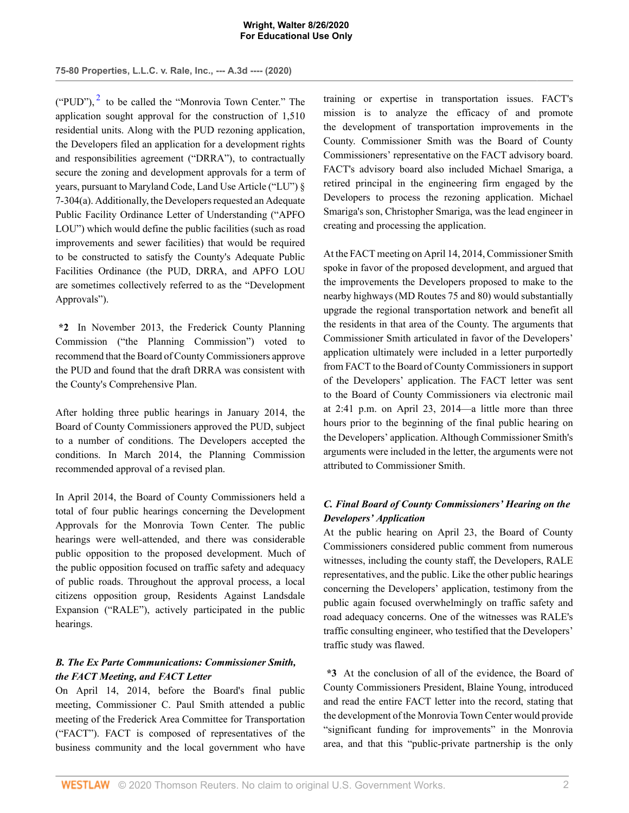**75-80 Properties, L.L.C. v. Rale, Inc., --- A.3d ---- (2020)**

<span id="page-7-0"></span>("PUD"), $^2$  $^2$  to be called the "Monrovia Town Center." The application sought approval for the construction of 1,510 residential units. Along with the PUD rezoning application, the Developers filed an application for a development rights and responsibilities agreement ("DRRA"), to contractually secure the zoning and development approvals for a term of years, pursuant to Maryland Code, Land Use Article ("LU") § 7-304(a). Additionally, the Developers requested an Adequate Public Facility Ordinance Letter of Understanding ("APFO LOU") which would define the public facilities (such as road improvements and sewer facilities) that would be required to be constructed to satisfy the County's Adequate Public Facilities Ordinance (the PUD, DRRA, and APFO LOU are sometimes collectively referred to as the "Development Approvals").

**\*2** In November 2013, the Frederick County Planning Commission ("the Planning Commission") voted to recommend that the Board of County Commissioners approve the PUD and found that the draft DRRA was consistent with the County's Comprehensive Plan.

After holding three public hearings in January 2014, the Board of County Commissioners approved the PUD, subject to a number of conditions. The Developers accepted the conditions. In March 2014, the Planning Commission recommended approval of a revised plan.

In April 2014, the Board of County Commissioners held a total of four public hearings concerning the Development Approvals for the Monrovia Town Center. The public hearings were well-attended, and there was considerable public opposition to the proposed development. Much of the public opposition focused on traffic safety and adequacy of public roads. Throughout the approval process, a local citizens opposition group, Residents Against Landsdale Expansion ("RALE"), actively participated in the public hearings.

## *B. The Ex Parte Communications: Commissioner Smith, the FACT Meeting, and FACT Letter*

On April 14, 2014, before the Board's final public meeting, Commissioner C. Paul Smith attended a public meeting of the Frederick Area Committee for Transportation ("FACT"). FACT is composed of representatives of the business community and the local government who have training or expertise in transportation issues. FACT's mission is to analyze the efficacy of and promote the development of transportation improvements in the County. Commissioner Smith was the Board of County Commissioners' representative on the FACT advisory board. FACT's advisory board also included Michael Smariga, a retired principal in the engineering firm engaged by the Developers to process the rezoning application. Michael Smariga's son, Christopher Smariga, was the lead engineer in creating and processing the application.

At the FACT meeting on April 14, 2014, Commissioner Smith spoke in favor of the proposed development, and argued that the improvements the Developers proposed to make to the nearby highways (MD Routes 75 and 80) would substantially upgrade the regional transportation network and benefit all the residents in that area of the County. The arguments that Commissioner Smith articulated in favor of the Developers' application ultimately were included in a letter purportedly from FACT to the Board of County Commissioners in support of the Developers' application. The FACT letter was sent to the Board of County Commissioners via electronic mail at 2:41 p.m. on April 23, 2014—a little more than three hours prior to the beginning of the final public hearing on the Developers' application. Although Commissioner Smith's arguments were included in the letter, the arguments were not attributed to Commissioner Smith.

# *C. Final Board of County Commissioners' Hearing on the Developers' Application*

At the public hearing on April 23, the Board of County Commissioners considered public comment from numerous witnesses, including the county staff, the Developers, RALE representatives, and the public. Like the other public hearings concerning the Developers' application, testimony from the public again focused overwhelmingly on traffic safety and road adequacy concerns. One of the witnesses was RALE's traffic consulting engineer, who testified that the Developers' traffic study was flawed.

**\*3** At the conclusion of all of the evidence, the Board of County Commissioners President, Blaine Young, introduced and read the entire FACT letter into the record, stating that the development of the Monrovia Town Center would provide "significant funding for improvements" in the Monrovia area, and that this "public-private partnership is the only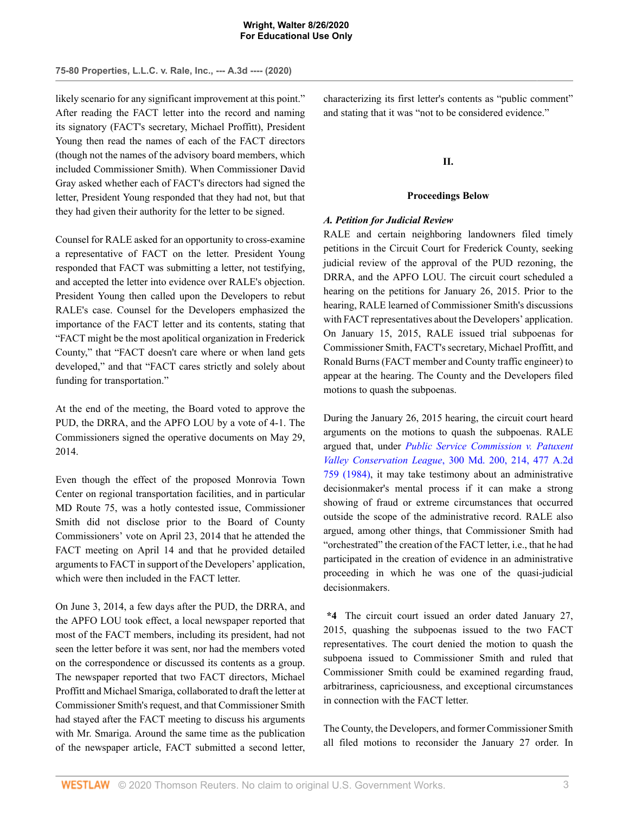likely scenario for any significant improvement at this point." After reading the FACT letter into the record and naming its signatory (FACT's secretary, Michael Proffitt), President Young then read the names of each of the FACT directors (though not the names of the advisory board members, which included Commissioner Smith). When Commissioner David Gray asked whether each of FACT's directors had signed the letter, President Young responded that they had not, but that they had given their authority for the letter to be signed.

Counsel for RALE asked for an opportunity to cross-examine a representative of FACT on the letter. President Young responded that FACT was submitting a letter, not testifying, and accepted the letter into evidence over RALE's objection. President Young then called upon the Developers to rebut RALE's case. Counsel for the Developers emphasized the importance of the FACT letter and its contents, stating that "FACT might be the most apolitical organization in Frederick County," that "FACT doesn't care where or when land gets developed," and that "FACT cares strictly and solely about funding for transportation."

At the end of the meeting, the Board voted to approve the PUD, the DRRA, and the APFO LOU by a vote of 4-1. The Commissioners signed the operative documents on May 29, 2014.

Even though the effect of the proposed Monrovia Town Center on regional transportation facilities, and in particular MD Route 75, was a hotly contested issue, Commissioner Smith did not disclose prior to the Board of County Commissioners' vote on April 23, 2014 that he attended the FACT meeting on April 14 and that he provided detailed arguments to FACT in support of the Developers' application, which were then included in the FACT letter.

On June 3, 2014, a few days after the PUD, the DRRA, and the APFO LOU took effect, a local newspaper reported that most of the FACT members, including its president, had not seen the letter before it was sent, nor had the members voted on the correspondence or discussed its contents as a group. The newspaper reported that two FACT directors, Michael Proffitt and Michael Smariga, collaborated to draft the letter at Commissioner Smith's request, and that Commissioner Smith had stayed after the FACT meeting to discuss his arguments with Mr. Smariga. Around the same time as the publication of the newspaper article, FACT submitted a second letter,

characterizing its first letter's contents as "public comment" and stating that it was "not to be considered evidence."

# **II.**

## **Proceedings Below**

## *A. Petition for Judicial Review*

RALE and certain neighboring landowners filed timely petitions in the Circuit Court for Frederick County, seeking judicial review of the approval of the PUD rezoning, the DRRA, and the APFO LOU. The circuit court scheduled a hearing on the petitions for January 26, 2015. Prior to the hearing, RALE learned of Commissioner Smith's discussions with FACT representatives about the Developers' application. On January 15, 2015, RALE issued trial subpoenas for Commissioner Smith, FACT's secretary, Michael Proffitt, and Ronald Burns (FACT member and County traffic engineer) to appear at the hearing. The County and the Developers filed motions to quash the subpoenas.

During the January 26, 2015 hearing, the circuit court heard arguments on the motions to quash the subpoenas. RALE argued that, under *[Public Service Commission v. Patuxent](http://www.westlaw.com/Link/Document/FullText?findType=Y&serNum=1984134392&pubNum=0000536&originatingDoc=I876021f0e68311eabffee32622d22314&refType=RP&fi=co_pp_sp_536_214&originationContext=document&vr=3.0&rs=cblt1.0&transitionType=DocumentItem&contextData=(sc.AlertsClip)#co_pp_sp_536_214) Valley Conservation League*[, 300 Md. 200, 214, 477 A.2d](http://www.westlaw.com/Link/Document/FullText?findType=Y&serNum=1984134392&pubNum=0000536&originatingDoc=I876021f0e68311eabffee32622d22314&refType=RP&fi=co_pp_sp_536_214&originationContext=document&vr=3.0&rs=cblt1.0&transitionType=DocumentItem&contextData=(sc.AlertsClip)#co_pp_sp_536_214) [759 \(1984\),](http://www.westlaw.com/Link/Document/FullText?findType=Y&serNum=1984134392&pubNum=0000536&originatingDoc=I876021f0e68311eabffee32622d22314&refType=RP&fi=co_pp_sp_536_214&originationContext=document&vr=3.0&rs=cblt1.0&transitionType=DocumentItem&contextData=(sc.AlertsClip)#co_pp_sp_536_214) it may take testimony about an administrative decisionmaker's mental process if it can make a strong showing of fraud or extreme circumstances that occurred outside the scope of the administrative record. RALE also argued, among other things, that Commissioner Smith had "orchestrated" the creation of the FACT letter, i.e., that he had participated in the creation of evidence in an administrative proceeding in which he was one of the quasi-judicial decisionmakers.

**\*4** The circuit court issued an order dated January 27, 2015, quashing the subpoenas issued to the two FACT representatives. The court denied the motion to quash the subpoena issued to Commissioner Smith and ruled that Commissioner Smith could be examined regarding fraud, arbitrariness, capriciousness, and exceptional circumstances in connection with the FACT letter.

The County, the Developers, and former Commissioner Smith all filed motions to reconsider the January 27 order. In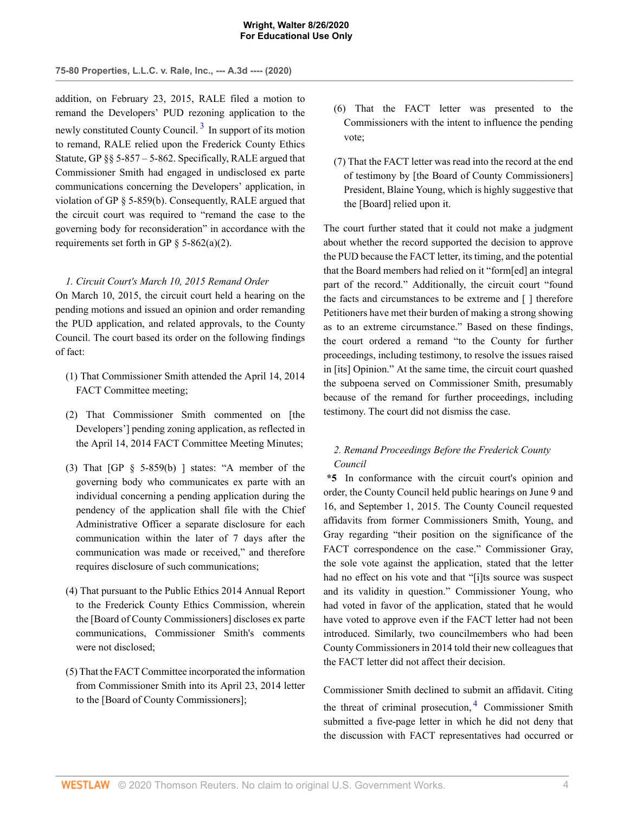addition, on February 23, 2015, RALE filed a motion to remand the Developers' PUD rezoning application to the newly constituted County Council.<sup>[3](#page-24-2)</sup> In support of its motion to remand, RALE relied upon the Frederick County Ethics Statute, GP §§ 5-857 – 5-862. Specifically, RALE argued that Commissioner Smith had engaged in undisclosed ex parte communications concerning the Developers' application, in violation of GP § 5-859(b). Consequently, RALE argued that the circuit court was required to "remand the case to the governing body for reconsideration" in accordance with the requirements set forth in GP  $\S$  5-862(a)(2).

## *1. Circuit Court's March 10, 2015 Remand Order*

On March 10, 2015, the circuit court held a hearing on the pending motions and issued an opinion and order remanding the PUD application, and related approvals, to the County Council. The court based its order on the following findings of fact:

- (1) That Commissioner Smith attended the April 14, 2014 FACT Committee meeting;
- (2) That Commissioner Smith commented on [the Developers'] pending zoning application, as reflected in the April 14, 2014 FACT Committee Meeting Minutes;
- (3) That  $[GP \S 5-859(b)]$  states: "A member of the governing body who communicates ex parte with an individual concerning a pending application during the pendency of the application shall file with the Chief Administrative Officer a separate disclosure for each communication within the later of 7 days after the communication was made or received," and therefore requires disclosure of such communications;
- (4) That pursuant to the Public Ethics 2014 Annual Report to the Frederick County Ethics Commission, wherein the [Board of County Commissioners] discloses ex parte communications, Commissioner Smith's comments were not disclosed;
- (5) That the FACT Committee incorporated the information from Commissioner Smith into its April 23, 2014 letter to the [Board of County Commissioners];
- <span id="page-9-0"></span>(6) That the FACT letter was presented to the Commissioners with the intent to influence the pending vote;
- (7) That the FACT letter was read into the record at the end of testimony by [the Board of County Commissioners] President, Blaine Young, which is highly suggestive that the [Board] relied upon it.

The court further stated that it could not make a judgment about whether the record supported the decision to approve the PUD because the FACT letter, its timing, and the potential that the Board members had relied on it "form[ed] an integral part of the record." Additionally, the circuit court "found the facts and circumstances to be extreme and [ ] therefore Petitioners have met their burden of making a strong showing as to an extreme circumstance." Based on these findings, the court ordered a remand "to the County for further proceedings, including testimony, to resolve the issues raised in [its] Opinion." At the same time, the circuit court quashed the subpoena served on Commissioner Smith, presumably because of the remand for further proceedings, including testimony. The court did not dismiss the case.

## *2. Remand Proceedings Before the Frederick County Council*

**\*5** In conformance with the circuit court's opinion and order, the County Council held public hearings on June 9 and 16, and September 1, 2015. The County Council requested affidavits from former Commissioners Smith, Young, and Gray regarding "their position on the significance of the FACT correspondence on the case." Commissioner Gray, the sole vote against the application, stated that the letter had no effect on his vote and that "[i]ts source was suspect and its validity in question." Commissioner Young, who had voted in favor of the application, stated that he would have voted to approve even if the FACT letter had not been introduced. Similarly, two councilmembers who had been County Commissioners in 2014 told their new colleagues that the FACT letter did not affect their decision.

<span id="page-9-1"></span>Commissioner Smith declined to submit an affidavit. Citing the threat of criminal prosecution, <sup>[4](#page-24-3)</sup> Commissioner Smith submitted a five-page letter in which he did not deny that the discussion with FACT representatives had occurred or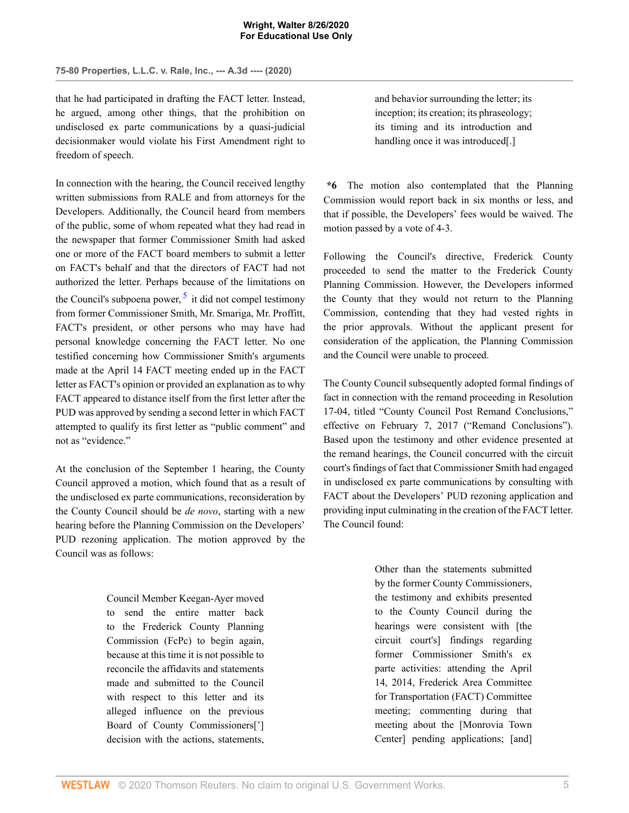that he had participated in drafting the FACT letter. Instead, he argued, among other things, that the prohibition on undisclosed ex parte communications by a quasi-judicial decisionmaker would violate his First Amendment right to freedom of speech.

In connection with the hearing, the Council received lengthy written submissions from RALE and from attorneys for the Developers. Additionally, the Council heard from members of the public, some of whom repeated what they had read in the newspaper that former Commissioner Smith had asked one or more of the FACT board members to submit a letter on FACT's behalf and that the directors of FACT had not authorized the letter. Perhaps because of the limitations on the Council's subpoena power,  $5$  it did not compel testimony from former Commissioner Smith, Mr. Smariga, Mr. Proffitt, FACT's president, or other persons who may have had personal knowledge concerning the FACT letter. No one testified concerning how Commissioner Smith's arguments made at the April 14 FACT meeting ended up in the FACT letter as FACT's opinion or provided an explanation as to why FACT appeared to distance itself from the first letter after the PUD was approved by sending a second letter in which FACT attempted to qualify its first letter as "public comment" and not as "evidence."

At the conclusion of the September 1 hearing, the County Council approved a motion, which found that as a result of the undisclosed ex parte communications, reconsideration by the County Council should be *de novo*, starting with a new hearing before the Planning Commission on the Developers' PUD rezoning application. The motion approved by the Council was as follows:

> Council Member Keegan-Ayer moved to send the entire matter back to the Frederick County Planning Commission (FcPc) to begin again, because at this time it is not possible to reconcile the affidavits and statements made and submitted to the Council with respect to this letter and its alleged influence on the previous Board of County Commissioners['] decision with the actions, statements,

and behavior surrounding the letter; its inception; its creation; its phraseology; its timing and its introduction and handling once it was introduced[.]

**\*6** The motion also contemplated that the Planning Commission would report back in six months or less, and that if possible, the Developers' fees would be waived. The motion passed by a vote of 4-3.

<span id="page-10-0"></span>Following the Council's directive, Frederick County proceeded to send the matter to the Frederick County Planning Commission. However, the Developers informed the County that they would not return to the Planning Commission, contending that they had vested rights in the prior approvals. Without the applicant present for consideration of the application, the Planning Commission and the Council were unable to proceed.

The County Council subsequently adopted formal findings of fact in connection with the remand proceeding in Resolution 17-04, titled "County Council Post Remand Conclusions," effective on February 7, 2017 ("Remand Conclusions"). Based upon the testimony and other evidence presented at the remand hearings, the Council concurred with the circuit court's findings of fact that Commissioner Smith had engaged in undisclosed ex parte communications by consulting with FACT about the Developers' PUD rezoning application and providing input culminating in the creation of the FACT letter. The Council found:

> Other than the statements submitted by the former County Commissioners, the testimony and exhibits presented to the County Council during the hearings were consistent with [the circuit court's] findings regarding former Commissioner Smith's ex parte activities: attending the April 14, 2014, Frederick Area Committee for Transportation (FACT) Committee meeting; commenting during that meeting about the [Monrovia Town Center] pending applications; [and]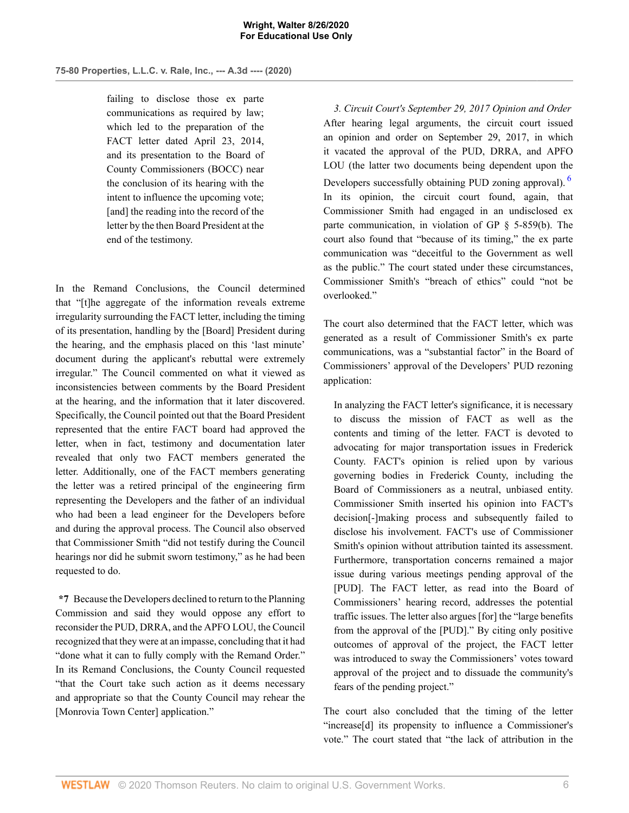failing to disclose those ex parte communications as required by law; which led to the preparation of the FACT letter dated April 23, 2014, and its presentation to the Board of County Commissioners (BOCC) near the conclusion of its hearing with the intent to influence the upcoming vote; [and] the reading into the record of the letter by the then Board President at the end of the testimony.

In the Remand Conclusions, the Council determined that "[t]he aggregate of the information reveals extreme irregularity surrounding the FACT letter, including the timing of its presentation, handling by the [Board] President during the hearing, and the emphasis placed on this 'last minute' document during the applicant's rebuttal were extremely irregular." The Council commented on what it viewed as inconsistencies between comments by the Board President at the hearing, and the information that it later discovered. Specifically, the Council pointed out that the Board President represented that the entire FACT board had approved the letter, when in fact, testimony and documentation later revealed that only two FACT members generated the letter. Additionally, one of the FACT members generating the letter was a retired principal of the engineering firm representing the Developers and the father of an individual who had been a lead engineer for the Developers before and during the approval process. The Council also observed that Commissioner Smith "did not testify during the Council hearings nor did he submit sworn testimony," as he had been requested to do.

**\*7** Because the Developers declined to return to the Planning Commission and said they would oppose any effort to reconsider the PUD, DRRA, and the APFO LOU, the Council recognized that they were at an impasse, concluding that it had "done what it can to fully comply with the Remand Order." In its Remand Conclusions, the County Council requested "that the Court take such action as it deems necessary and appropriate so that the County Council may rehear the [Monrovia Town Center] application."

<span id="page-11-0"></span>*3. Circuit Court's September 29, 2017 Opinion and Order* After hearing legal arguments, the circuit court issued an opinion and order on September 29, 2017, in which it vacated the approval of the PUD, DRRA, and APFO LOU (the latter two documents being dependent upon the Developers successfully obtaining PUD zoning approval). <sup>[6](#page-24-5)</sup> In its opinion, the circuit court found, again, that Commissioner Smith had engaged in an undisclosed ex parte communication, in violation of GP § 5-859(b). The court also found that "because of its timing," the ex parte communication was "deceitful to the Government as well as the public." The court stated under these circumstances, Commissioner Smith's "breach of ethics" could "not be overlooked."

The court also determined that the FACT letter, which was generated as a result of Commissioner Smith's ex parte communications, was a "substantial factor" in the Board of Commissioners' approval of the Developers' PUD rezoning application:

In analyzing the FACT letter's significance, it is necessary to discuss the mission of FACT as well as the contents and timing of the letter. FACT is devoted to advocating for major transportation issues in Frederick County. FACT's opinion is relied upon by various governing bodies in Frederick County, including the Board of Commissioners as a neutral, unbiased entity. Commissioner Smith inserted his opinion into FACT's decision[-]making process and subsequently failed to disclose his involvement. FACT's use of Commissioner Smith's opinion without attribution tainted its assessment. Furthermore, transportation concerns remained a major issue during various meetings pending approval of the [PUD]. The FACT letter, as read into the Board of Commissioners' hearing record, addresses the potential traffic issues. The letter also argues [for] the "large benefits from the approval of the [PUD]." By citing only positive outcomes of approval of the project, the FACT letter was introduced to sway the Commissioners' votes toward approval of the project and to dissuade the community's fears of the pending project."

The court also concluded that the timing of the letter "increase[d] its propensity to influence a Commissioner's vote." The court stated that "the lack of attribution in the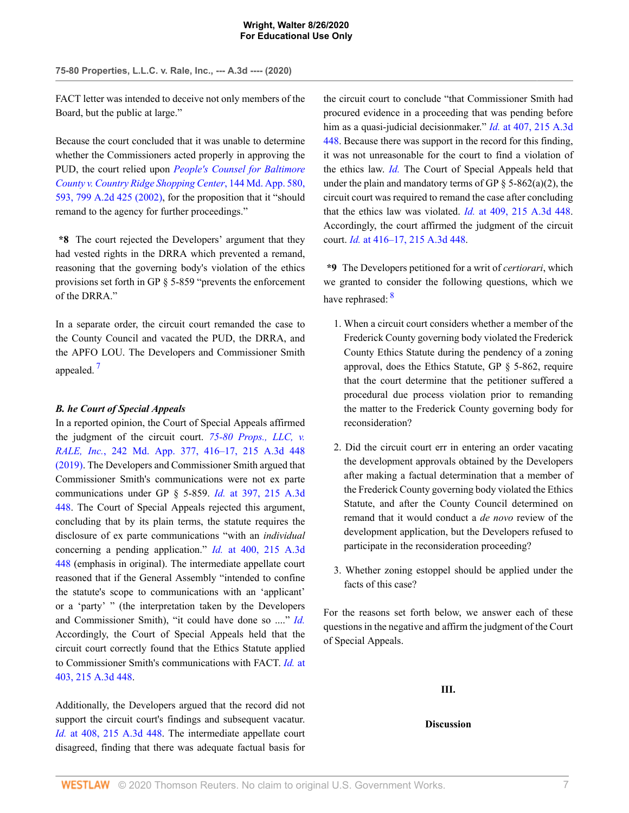FACT letter was intended to deceive not only members of the Board, but the public at large."

Because the court concluded that it was unable to determine whether the Commissioners acted properly in approving the PUD, the court relied upon *[People's Counsel for Baltimore](http://www.westlaw.com/Link/Document/FullText?findType=Y&serNum=2002339796&pubNum=0000537&originatingDoc=I876021f0e68311eabffee32622d22314&refType=RP&fi=co_pp_sp_537_593&originationContext=document&vr=3.0&rs=cblt1.0&transitionType=DocumentItem&contextData=(sc.AlertsClip)#co_pp_sp_537_593) [County v. Country Ridge Shopping Center](http://www.westlaw.com/Link/Document/FullText?findType=Y&serNum=2002339796&pubNum=0000537&originatingDoc=I876021f0e68311eabffee32622d22314&refType=RP&fi=co_pp_sp_537_593&originationContext=document&vr=3.0&rs=cblt1.0&transitionType=DocumentItem&contextData=(sc.AlertsClip)#co_pp_sp_537_593)*, 144 Md. App. 580, [593, 799 A.2d 425 \(2002\)](http://www.westlaw.com/Link/Document/FullText?findType=Y&serNum=2002339796&pubNum=0000537&originatingDoc=I876021f0e68311eabffee32622d22314&refType=RP&fi=co_pp_sp_537_593&originationContext=document&vr=3.0&rs=cblt1.0&transitionType=DocumentItem&contextData=(sc.AlertsClip)#co_pp_sp_537_593), for the proposition that it "should remand to the agency for further proceedings."

**\*8** The court rejected the Developers' argument that they had vested rights in the DRRA which prevented a remand, reasoning that the governing body's violation of the ethics provisions set forth in GP § 5-859 "prevents the enforcement of the DRRA<sup>"</sup>

<span id="page-12-0"></span>In a separate order, the circuit court remanded the case to the County Council and vacated the PUD, the DRRA, and the APFO LOU. The Developers and Commissioner Smith appealed.<sup>[7](#page-24-6)</sup>

## *B. he Court of Special Appeals*

In a reported opinion, the Court of Special Appeals affirmed the judgment of the circuit court. *[75-80 Props., LLC, v.](http://www.westlaw.com/Link/Document/FullText?findType=Y&serNum=2049060801&pubNum=0007691&originatingDoc=I876021f0e68311eabffee32622d22314&refType=RP&fi=co_pp_sp_7691_416&originationContext=document&vr=3.0&rs=cblt1.0&transitionType=DocumentItem&contextData=(sc.AlertsClip)#co_pp_sp_7691_416) RALE, Inc.*[, 242 Md. App. 377, 416–17, 215 A.3d 448](http://www.westlaw.com/Link/Document/FullText?findType=Y&serNum=2049060801&pubNum=0007691&originatingDoc=I876021f0e68311eabffee32622d22314&refType=RP&fi=co_pp_sp_7691_416&originationContext=document&vr=3.0&rs=cblt1.0&transitionType=DocumentItem&contextData=(sc.AlertsClip)#co_pp_sp_7691_416) [\(2019\).](http://www.westlaw.com/Link/Document/FullText?findType=Y&serNum=2049060801&pubNum=0007691&originatingDoc=I876021f0e68311eabffee32622d22314&refType=RP&fi=co_pp_sp_7691_416&originationContext=document&vr=3.0&rs=cblt1.0&transitionType=DocumentItem&contextData=(sc.AlertsClip)#co_pp_sp_7691_416) The Developers and Commissioner Smith argued that Commissioner Smith's communications were not ex parte communications under GP § 5-859. *Id.* [at 397, 215 A.3d](http://www.westlaw.com/Link/Document/FullText?findType=Y&serNum=2049060801&pubNum=0007691&originatingDoc=I876021f0e68311eabffee32622d22314&refType=RP&fi=co_pp_sp_7691_397&originationContext=document&vr=3.0&rs=cblt1.0&transitionType=DocumentItem&contextData=(sc.AlertsClip)#co_pp_sp_7691_397) [448](http://www.westlaw.com/Link/Document/FullText?findType=Y&serNum=2049060801&pubNum=0007691&originatingDoc=I876021f0e68311eabffee32622d22314&refType=RP&fi=co_pp_sp_7691_397&originationContext=document&vr=3.0&rs=cblt1.0&transitionType=DocumentItem&contextData=(sc.AlertsClip)#co_pp_sp_7691_397). The Court of Special Appeals rejected this argument, concluding that by its plain terms, the statute requires the disclosure of ex parte communications "with an *individual* concerning a pending application." *Id.* [at 400, 215 A.3d](http://www.westlaw.com/Link/Document/FullText?findType=Y&serNum=2049060801&pubNum=0007691&originatingDoc=I876021f0e68311eabffee32622d22314&refType=RP&fi=co_pp_sp_7691_400&originationContext=document&vr=3.0&rs=cblt1.0&transitionType=DocumentItem&contextData=(sc.AlertsClip)#co_pp_sp_7691_400) [448](http://www.westlaw.com/Link/Document/FullText?findType=Y&serNum=2049060801&pubNum=0007691&originatingDoc=I876021f0e68311eabffee32622d22314&refType=RP&fi=co_pp_sp_7691_400&originationContext=document&vr=3.0&rs=cblt1.0&transitionType=DocumentItem&contextData=(sc.AlertsClip)#co_pp_sp_7691_400) (emphasis in original). The intermediate appellate court reasoned that if the General Assembly "intended to confine the statute's scope to communications with an 'applicant' or a 'party' " (the interpretation taken by the Developers and Commissioner Smith), "it could have done so ...." *[Id.](http://www.westlaw.com/Link/Document/FullText?findType=Y&serNum=2049060801&pubNum=0000537&originatingDoc=I876021f0e68311eabffee32622d22314&refType=RP&originationContext=document&vr=3.0&rs=cblt1.0&transitionType=DocumentItem&contextData=(sc.AlertsClip))* Accordingly, the Court of Special Appeals held that the circuit court correctly found that the Ethics Statute applied to Commissioner Smith's communications with FACT. *[Id.](http://www.westlaw.com/Link/Document/FullText?findType=Y&serNum=2049060801&pubNum=0007691&originatingDoc=I876021f0e68311eabffee32622d22314&refType=RP&fi=co_pp_sp_7691_403&originationContext=document&vr=3.0&rs=cblt1.0&transitionType=DocumentItem&contextData=(sc.AlertsClip)#co_pp_sp_7691_403)* at [403, 215 A.3d 448.](http://www.westlaw.com/Link/Document/FullText?findType=Y&serNum=2049060801&pubNum=0007691&originatingDoc=I876021f0e68311eabffee32622d22314&refType=RP&fi=co_pp_sp_7691_403&originationContext=document&vr=3.0&rs=cblt1.0&transitionType=DocumentItem&contextData=(sc.AlertsClip)#co_pp_sp_7691_403)

Additionally, the Developers argued that the record did not support the circuit court's findings and subsequent vacatur. *Id.* [at 408, 215 A.3d 448.](http://www.westlaw.com/Link/Document/FullText?findType=Y&serNum=2049060801&pubNum=0007691&originatingDoc=I876021f0e68311eabffee32622d22314&refType=RP&fi=co_pp_sp_7691_408&originationContext=document&vr=3.0&rs=cblt1.0&transitionType=DocumentItem&contextData=(sc.AlertsClip)#co_pp_sp_7691_408) The intermediate appellate court disagreed, finding that there was adequate factual basis for the circuit court to conclude "that Commissioner Smith had procured evidence in a proceeding that was pending before him as a quasi-judicial decisionmaker." *Id.* [at 407, 215 A.3d](http://www.westlaw.com/Link/Document/FullText?findType=Y&serNum=2049060801&pubNum=0007691&originatingDoc=I876021f0e68311eabffee32622d22314&refType=RP&fi=co_pp_sp_7691_407&originationContext=document&vr=3.0&rs=cblt1.0&transitionType=DocumentItem&contextData=(sc.AlertsClip)#co_pp_sp_7691_407) [448](http://www.westlaw.com/Link/Document/FullText?findType=Y&serNum=2049060801&pubNum=0007691&originatingDoc=I876021f0e68311eabffee32622d22314&refType=RP&fi=co_pp_sp_7691_407&originationContext=document&vr=3.0&rs=cblt1.0&transitionType=DocumentItem&contextData=(sc.AlertsClip)#co_pp_sp_7691_407). Because there was support in the record for this finding, it was not unreasonable for the court to find a violation of the ethics law. *[Id.](http://www.westlaw.com/Link/Document/FullText?findType=Y&serNum=2049060801&pubNum=0000537&originatingDoc=I876021f0e68311eabffee32622d22314&refType=RP&originationContext=document&vr=3.0&rs=cblt1.0&transitionType=DocumentItem&contextData=(sc.AlertsClip))* The Court of Special Appeals held that under the plain and mandatory terms of GP  $\S$  5-862(a)(2), the circuit court was required to remand the case after concluding that the ethics law was violated. *Id.* [at 409, 215 A.3d 448](http://www.westlaw.com/Link/Document/FullText?findType=Y&serNum=2049060801&pubNum=0007691&originatingDoc=I876021f0e68311eabffee32622d22314&refType=RP&fi=co_pp_sp_7691_409&originationContext=document&vr=3.0&rs=cblt1.0&transitionType=DocumentItem&contextData=(sc.AlertsClip)#co_pp_sp_7691_409). Accordingly, the court affirmed the judgment of the circuit court. *Id.* [at 416–17, 215 A.3d 448](http://www.westlaw.com/Link/Document/FullText?findType=Y&serNum=2049060801&pubNum=0007691&originatingDoc=I876021f0e68311eabffee32622d22314&refType=RP&fi=co_pp_sp_7691_416&originationContext=document&vr=3.0&rs=cblt1.0&transitionType=DocumentItem&contextData=(sc.AlertsClip)#co_pp_sp_7691_416).

**\*9** The Developers petitioned for a writ of *certiorari*, which we granted to consider the following questions, which we have rephrased: <sup>[8](#page-25-0)</sup>

- <span id="page-12-1"></span>1. When a circuit court considers whether a member of the Frederick County governing body violated the Frederick County Ethics Statute during the pendency of a zoning approval, does the Ethics Statute, GP § 5-862, require that the court determine that the petitioner suffered a procedural due process violation prior to remanding the matter to the Frederick County governing body for reconsideration?
- 2. Did the circuit court err in entering an order vacating the development approvals obtained by the Developers after making a factual determination that a member of the Frederick County governing body violated the Ethics Statute, and after the County Council determined on remand that it would conduct a *de novo* review of the development application, but the Developers refused to participate in the reconsideration proceeding?
- 3. Whether zoning estoppel should be applied under the facts of this case?

For the reasons set forth below, we answer each of these questions in the negative and affirm the judgment of the Court of Special Appeals.

**III.**

### **Discussion**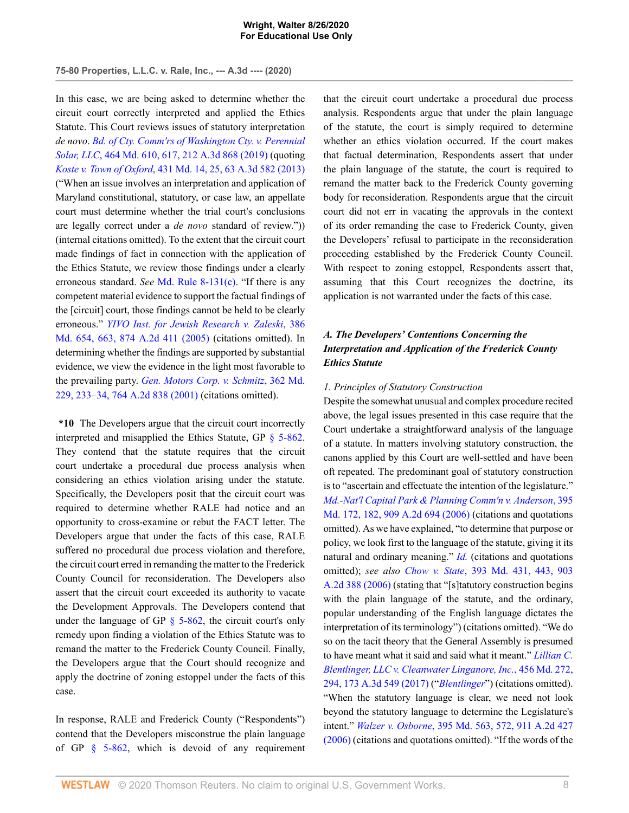**75-80 Properties, L.L.C. v. Rale, Inc., --- A.3d ---- (2020)**

In this case, we are being asked to determine whether the circuit court correctly interpreted and applied the Ethics Statute. This Court reviews issues of statutory interpretation *de novo*. *[Bd. of Cty. Comm'rs of Washington Cty. v. Perennial](http://www.westlaw.com/Link/Document/FullText?findType=Y&serNum=2048699216&pubNum=0000536&originatingDoc=I876021f0e68311eabffee32622d22314&refType=RP&fi=co_pp_sp_536_617&originationContext=document&vr=3.0&rs=cblt1.0&transitionType=DocumentItem&contextData=(sc.AlertsClip)#co_pp_sp_536_617) Solar, LLC*[, 464 Md. 610, 617, 212 A.3d 868 \(2019\)](http://www.westlaw.com/Link/Document/FullText?findType=Y&serNum=2048699216&pubNum=0000536&originatingDoc=I876021f0e68311eabffee32622d22314&refType=RP&fi=co_pp_sp_536_617&originationContext=document&vr=3.0&rs=cblt1.0&transitionType=DocumentItem&contextData=(sc.AlertsClip)#co_pp_sp_536_617) (quoting *Koste v. Town of Oxford*[, 431 Md. 14, 25, 63 A.3d 582 \(2013\)](http://www.westlaw.com/Link/Document/FullText?findType=Y&serNum=2030214423&pubNum=0000536&originatingDoc=I876021f0e68311eabffee32622d22314&refType=RP&fi=co_pp_sp_536_25&originationContext=document&vr=3.0&rs=cblt1.0&transitionType=DocumentItem&contextData=(sc.AlertsClip)#co_pp_sp_536_25) ("When an issue involves an interpretation and application of Maryland constitutional, statutory, or case law, an appellate court must determine whether the trial court's conclusions are legally correct under a *de novo* standard of review.")) (internal citations omitted). To the extent that the circuit court made findings of fact in connection with the application of the Ethics Statute, we review those findings under a clearly erroneous standard. *See* [Md. Rule 8-131\(c\)](http://www.westlaw.com/Link/Document/FullText?findType=L&pubNum=1007687&cite=MDRCTSPAR8-131&originatingDoc=I876021f0e68311eabffee32622d22314&refType=LQ&originationContext=document&vr=3.0&rs=cblt1.0&transitionType=DocumentItem&contextData=(sc.AlertsClip)). "If there is any competent material evidence to support the factual findings of the [circuit] court, those findings cannot be held to be clearly erroneous." *[YIVO Inst. for Jewish Research v. Zaleski](http://www.westlaw.com/Link/Document/FullText?findType=Y&serNum=2006584943&pubNum=0000536&originatingDoc=I876021f0e68311eabffee32622d22314&refType=RP&fi=co_pp_sp_536_663&originationContext=document&vr=3.0&rs=cblt1.0&transitionType=DocumentItem&contextData=(sc.AlertsClip)#co_pp_sp_536_663)*, 386 [Md. 654, 663, 874 A.2d 411 \(2005\)](http://www.westlaw.com/Link/Document/FullText?findType=Y&serNum=2006584943&pubNum=0000536&originatingDoc=I876021f0e68311eabffee32622d22314&refType=RP&fi=co_pp_sp_536_663&originationContext=document&vr=3.0&rs=cblt1.0&transitionType=DocumentItem&contextData=(sc.AlertsClip)#co_pp_sp_536_663) (citations omitted). In determining whether the findings are supported by substantial evidence, we view the evidence in the light most favorable to the prevailing party. *[Gen. Motors Corp. v. Schmitz](http://www.westlaw.com/Link/Document/FullText?findType=Y&serNum=2001045825&pubNum=0000536&originatingDoc=I876021f0e68311eabffee32622d22314&refType=RP&fi=co_pp_sp_536_233&originationContext=document&vr=3.0&rs=cblt1.0&transitionType=DocumentItem&contextData=(sc.AlertsClip)#co_pp_sp_536_233)*, 362 Md. [229, 233–34, 764 A.2d 838 \(2001\)](http://www.westlaw.com/Link/Document/FullText?findType=Y&serNum=2001045825&pubNum=0000536&originatingDoc=I876021f0e68311eabffee32622d22314&refType=RP&fi=co_pp_sp_536_233&originationContext=document&vr=3.0&rs=cblt1.0&transitionType=DocumentItem&contextData=(sc.AlertsClip)#co_pp_sp_536_233) (citations omitted).

**\*10** The Developers argue that the circuit court incorrectly interpreted and misapplied the Ethics Statute, GP [§ 5-862](http://www.westlaw.com/Link/Document/FullText?findType=L&pubNum=1095368&cite=MDGPRS5-862&originatingDoc=I876021f0e68311eabffee32622d22314&refType=LQ&originationContext=document&vr=3.0&rs=cblt1.0&transitionType=DocumentItem&contextData=(sc.AlertsClip)). They contend that the statute requires that the circuit court undertake a procedural due process analysis when considering an ethics violation arising under the statute. Specifically, the Developers posit that the circuit court was required to determine whether RALE had notice and an opportunity to cross-examine or rebut the FACT letter. The Developers argue that under the facts of this case, RALE suffered no procedural due process violation and therefore, the circuit court erred in remanding the matter to the Frederick County Council for reconsideration. The Developers also assert that the circuit court exceeded its authority to vacate the Development Approvals. The Developers contend that under the language of GP  $\S$  5-862, the circuit court's only remedy upon finding a violation of the Ethics Statute was to remand the matter to the Frederick County Council. Finally, the Developers argue that the Court should recognize and apply the doctrine of zoning estoppel under the facts of this case.

In response, RALE and Frederick County ("Respondents") contend that the Developers misconstrue the plain language of GP [§ 5-862](http://www.westlaw.com/Link/Document/FullText?findType=L&pubNum=1095368&cite=MDGPRS5-862&originatingDoc=I876021f0e68311eabffee32622d22314&refType=LQ&originationContext=document&vr=3.0&rs=cblt1.0&transitionType=DocumentItem&contextData=(sc.AlertsClip)), which is devoid of any requirement that the circuit court undertake a procedural due process analysis. Respondents argue that under the plain language of the statute, the court is simply required to determine whether an ethics violation occurred. If the court makes that factual determination, Respondents assert that under the plain language of the statute, the court is required to remand the matter back to the Frederick County governing body for reconsideration. Respondents argue that the circuit court did not err in vacating the approvals in the context of its order remanding the case to Frederick County, given the Developers' refusal to participate in the reconsideration proceeding established by the Frederick County Council. With respect to zoning estoppel, Respondents assert that, assuming that this Court recognizes the doctrine, its application is not warranted under the facts of this case.

# *A. The Developers' Contentions Concerning the Interpretation and Application of the Frederick County Ethics Statute*

## *1. Principles of Statutory Construction*

Despite the somewhat unusual and complex procedure recited above, the legal issues presented in this case require that the Court undertake a straightforward analysis of the language of a statute. In matters involving statutory construction, the canons applied by this Court are well-settled and have been oft repeated. The predominant goal of statutory construction is to "ascertain and effectuate the intention of the legislature." *[Md.-Nat'l Capital Park & Planning Comm'n v. Anderson](http://www.westlaw.com/Link/Document/FullText?findType=Y&serNum=2010483721&pubNum=0000162&originatingDoc=I876021f0e68311eabffee32622d22314&refType=RP&fi=co_pp_sp_162_182&originationContext=document&vr=3.0&rs=cblt1.0&transitionType=DocumentItem&contextData=(sc.AlertsClip)#co_pp_sp_162_182)*, 395 [Md. 172, 182, 909 A.2d 694 \(2006\)](http://www.westlaw.com/Link/Document/FullText?findType=Y&serNum=2010483721&pubNum=0000162&originatingDoc=I876021f0e68311eabffee32622d22314&refType=RP&fi=co_pp_sp_162_182&originationContext=document&vr=3.0&rs=cblt1.0&transitionType=DocumentItem&contextData=(sc.AlertsClip)#co_pp_sp_162_182) (citations and quotations omitted). As we have explained, "to determine that purpose or policy, we look first to the language of the statute, giving it its natural and ordinary meaning." *[Id.](http://www.westlaw.com/Link/Document/FullText?findType=Y&serNum=2010483721&pubNum=0000536&originatingDoc=I876021f0e68311eabffee32622d22314&refType=RP&originationContext=document&vr=3.0&rs=cblt1.0&transitionType=DocumentItem&contextData=(sc.AlertsClip))* (citations and quotations omitted); *see also Chow v. State*[, 393 Md. 431, 443, 903](http://www.westlaw.com/Link/Document/FullText?findType=Y&serNum=2009620646&pubNum=0000536&originatingDoc=I876021f0e68311eabffee32622d22314&refType=RP&fi=co_pp_sp_536_443&originationContext=document&vr=3.0&rs=cblt1.0&transitionType=DocumentItem&contextData=(sc.AlertsClip)#co_pp_sp_536_443) [A.2d 388 \(2006\)](http://www.westlaw.com/Link/Document/FullText?findType=Y&serNum=2009620646&pubNum=0000536&originatingDoc=I876021f0e68311eabffee32622d22314&refType=RP&fi=co_pp_sp_536_443&originationContext=document&vr=3.0&rs=cblt1.0&transitionType=DocumentItem&contextData=(sc.AlertsClip)#co_pp_sp_536_443) (stating that "[s]tatutory construction begins with the plain language of the statute, and the ordinary, popular understanding of the English language dictates the interpretation of its terminology") (citations omitted). "We do so on the tacit theory that the General Assembly is presumed to have meant what it said and said what it meant." *[Lillian C.](http://www.westlaw.com/Link/Document/FullText?findType=Y&serNum=2043207014&pubNum=0000536&originatingDoc=I876021f0e68311eabffee32622d22314&refType=RP&fi=co_pp_sp_536_294&originationContext=document&vr=3.0&rs=cblt1.0&transitionType=DocumentItem&contextData=(sc.AlertsClip)#co_pp_sp_536_294) [Blentlinger, LLC v. Cleanwater Linganore, Inc.](http://www.westlaw.com/Link/Document/FullText?findType=Y&serNum=2043207014&pubNum=0000536&originatingDoc=I876021f0e68311eabffee32622d22314&refType=RP&fi=co_pp_sp_536_294&originationContext=document&vr=3.0&rs=cblt1.0&transitionType=DocumentItem&contextData=(sc.AlertsClip)#co_pp_sp_536_294)*, 456 Md. 272, [294, 173 A.3d 549 \(2017\)](http://www.westlaw.com/Link/Document/FullText?findType=Y&serNum=2043207014&pubNum=0000536&originatingDoc=I876021f0e68311eabffee32622d22314&refType=RP&fi=co_pp_sp_536_294&originationContext=document&vr=3.0&rs=cblt1.0&transitionType=DocumentItem&contextData=(sc.AlertsClip)#co_pp_sp_536_294) ("*[Blentlinger](http://www.westlaw.com/Link/Document/FullText?findType=Y&serNum=2043207014&pubNum=0000536&originatingDoc=I876021f0e68311eabffee32622d22314&refType=RP&originationContext=document&vr=3.0&rs=cblt1.0&transitionType=DocumentItem&contextData=(sc.AlertsClip))*") (citations omitted). "When the statutory language is clear, we need not look beyond the statutory language to determine the Legislature's intent." *Walzer v. Osborne*[, 395 Md. 563, 572, 911 A.2d 427](http://www.westlaw.com/Link/Document/FullText?findType=Y&serNum=2010683647&pubNum=0000536&originatingDoc=I876021f0e68311eabffee32622d22314&refType=RP&fi=co_pp_sp_536_572&originationContext=document&vr=3.0&rs=cblt1.0&transitionType=DocumentItem&contextData=(sc.AlertsClip)#co_pp_sp_536_572) [\(2006\)](http://www.westlaw.com/Link/Document/FullText?findType=Y&serNum=2010683647&pubNum=0000536&originatingDoc=I876021f0e68311eabffee32622d22314&refType=RP&fi=co_pp_sp_536_572&originationContext=document&vr=3.0&rs=cblt1.0&transitionType=DocumentItem&contextData=(sc.AlertsClip)#co_pp_sp_536_572) (citations and quotations omitted). "If the words of the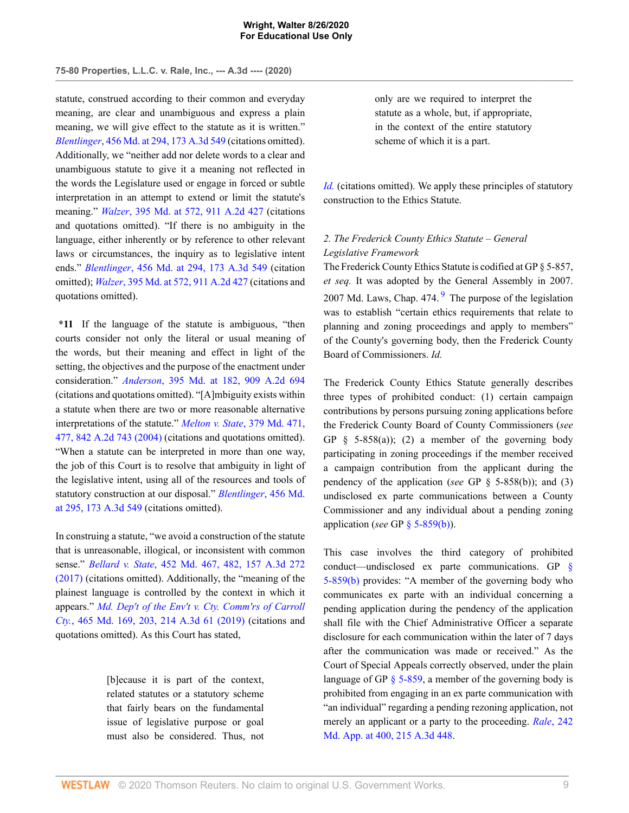statute, construed according to their common and everyday meaning, are clear and unambiguous and express a plain meaning, we will give effect to the statute as it is written." *Blentlinger*[, 456 Md. at 294, 173 A.3d 549](http://www.westlaw.com/Link/Document/FullText?findType=Y&serNum=2043207014&pubNum=0000536&originatingDoc=I876021f0e68311eabffee32622d22314&refType=RP&fi=co_pp_sp_536_294&originationContext=document&vr=3.0&rs=cblt1.0&transitionType=DocumentItem&contextData=(sc.AlertsClip)#co_pp_sp_536_294) (citations omitted). Additionally, we "neither add nor delete words to a clear and unambiguous statute to give it a meaning not reflected in the words the Legislature used or engage in forced or subtle interpretation in an attempt to extend or limit the statute's meaning." *Walzer*[, 395 Md. at 572, 911 A.2d 427](http://www.westlaw.com/Link/Document/FullText?findType=Y&serNum=2010683647&pubNum=0000536&originatingDoc=I876021f0e68311eabffee32622d22314&refType=RP&fi=co_pp_sp_536_572&originationContext=document&vr=3.0&rs=cblt1.0&transitionType=DocumentItem&contextData=(sc.AlertsClip)#co_pp_sp_536_572) (citations and quotations omitted). "If there is no ambiguity in the language, either inherently or by reference to other relevant laws or circumstances, the inquiry as to legislative intent ends." *Blentlinger*[, 456 Md. at 294, 173 A.3d 549](http://www.westlaw.com/Link/Document/FullText?findType=Y&serNum=2043207014&pubNum=0000536&originatingDoc=I876021f0e68311eabffee32622d22314&refType=RP&fi=co_pp_sp_536_294&originationContext=document&vr=3.0&rs=cblt1.0&transitionType=DocumentItem&contextData=(sc.AlertsClip)#co_pp_sp_536_294) (citation omitted); *Walzer*[, 395 Md. at 572, 911 A.2d 427](http://www.westlaw.com/Link/Document/FullText?findType=Y&serNum=2010683647&pubNum=0000536&originatingDoc=I876021f0e68311eabffee32622d22314&refType=RP&fi=co_pp_sp_536_572&originationContext=document&vr=3.0&rs=cblt1.0&transitionType=DocumentItem&contextData=(sc.AlertsClip)#co_pp_sp_536_572) (citations and quotations omitted).

**\*11** If the language of the statute is ambiguous, "then courts consider not only the literal or usual meaning of the words, but their meaning and effect in light of the setting, the objectives and the purpose of the enactment under consideration." *Anderson*[, 395 Md. at 182, 909 A.2d 694](http://www.westlaw.com/Link/Document/FullText?findType=Y&serNum=2010483721&pubNum=0000536&originatingDoc=I876021f0e68311eabffee32622d22314&refType=RP&fi=co_pp_sp_536_182&originationContext=document&vr=3.0&rs=cblt1.0&transitionType=DocumentItem&contextData=(sc.AlertsClip)#co_pp_sp_536_182) (citations and quotations omitted). "[A]mbiguity exists within a statute when there are two or more reasonable alternative interpretations of the statute." *[Melton v. State](http://www.westlaw.com/Link/Document/FullText?findType=Y&serNum=2004126673&pubNum=0000536&originatingDoc=I876021f0e68311eabffee32622d22314&refType=RP&fi=co_pp_sp_536_477&originationContext=document&vr=3.0&rs=cblt1.0&transitionType=DocumentItem&contextData=(sc.AlertsClip)#co_pp_sp_536_477)*, 379 Md. 471, [477, 842 A.2d 743 \(2004\)](http://www.westlaw.com/Link/Document/FullText?findType=Y&serNum=2004126673&pubNum=0000536&originatingDoc=I876021f0e68311eabffee32622d22314&refType=RP&fi=co_pp_sp_536_477&originationContext=document&vr=3.0&rs=cblt1.0&transitionType=DocumentItem&contextData=(sc.AlertsClip)#co_pp_sp_536_477) (citations and quotations omitted). "When a statute can be interpreted in more than one way, the job of this Court is to resolve that ambiguity in light of the legislative intent, using all of the resources and tools of statutory construction at our disposal." *[Blentlinger](http://www.westlaw.com/Link/Document/FullText?findType=Y&serNum=2043207014&pubNum=0000536&originatingDoc=I876021f0e68311eabffee32622d22314&refType=RP&fi=co_pp_sp_536_295&originationContext=document&vr=3.0&rs=cblt1.0&transitionType=DocumentItem&contextData=(sc.AlertsClip)#co_pp_sp_536_295)*, 456 Md. [at 295, 173 A.3d 549](http://www.westlaw.com/Link/Document/FullText?findType=Y&serNum=2043207014&pubNum=0000536&originatingDoc=I876021f0e68311eabffee32622d22314&refType=RP&fi=co_pp_sp_536_295&originationContext=document&vr=3.0&rs=cblt1.0&transitionType=DocumentItem&contextData=(sc.AlertsClip)#co_pp_sp_536_295) (citations omitted).

In construing a statute, "we avoid a construction of the statute that is unreasonable, illogical, or inconsistent with common sense." *Bellard v. State*[, 452 Md. 467, 482, 157 A.3d 272](http://www.westlaw.com/Link/Document/FullText?findType=Y&serNum=2041348059&pubNum=0000536&originatingDoc=I876021f0e68311eabffee32622d22314&refType=RP&fi=co_pp_sp_536_482&originationContext=document&vr=3.0&rs=cblt1.0&transitionType=DocumentItem&contextData=(sc.AlertsClip)#co_pp_sp_536_482) [\(2017\)](http://www.westlaw.com/Link/Document/FullText?findType=Y&serNum=2041348059&pubNum=0000536&originatingDoc=I876021f0e68311eabffee32622d22314&refType=RP&fi=co_pp_sp_536_482&originationContext=document&vr=3.0&rs=cblt1.0&transitionType=DocumentItem&contextData=(sc.AlertsClip)#co_pp_sp_536_482) (citations omitted). Additionally, the "meaning of the plainest language is controlled by the context in which it appears." *[Md. Dep't of the Env't v. Cty. Comm'rs of Carroll](http://www.westlaw.com/Link/Document/FullText?findType=Y&serNum=2048847732&pubNum=0000536&originatingDoc=I876021f0e68311eabffee32622d22314&refType=RP&fi=co_pp_sp_536_203&originationContext=document&vr=3.0&rs=cblt1.0&transitionType=DocumentItem&contextData=(sc.AlertsClip)#co_pp_sp_536_203) Cty.*[, 465 Md. 169, 203, 214 A.3d 61 \(2019\)](http://www.westlaw.com/Link/Document/FullText?findType=Y&serNum=2048847732&pubNum=0000536&originatingDoc=I876021f0e68311eabffee32622d22314&refType=RP&fi=co_pp_sp_536_203&originationContext=document&vr=3.0&rs=cblt1.0&transitionType=DocumentItem&contextData=(sc.AlertsClip)#co_pp_sp_536_203) (citations and quotations omitted). As this Court has stated,

> [b]ecause it is part of the context, related statutes or a statutory scheme that fairly bears on the fundamental issue of legislative purpose or goal must also be considered. Thus, not

only are we required to interpret the statute as a whole, but, if appropriate, in the context of the entire statutory scheme of which it is a part.

*[Id.](http://www.westlaw.com/Link/Document/FullText?findType=Y&serNum=2048847732&pubNum=0000536&originatingDoc=I876021f0e68311eabffee32622d22314&refType=RP&originationContext=document&vr=3.0&rs=cblt1.0&transitionType=DocumentItem&contextData=(sc.AlertsClip))* (citations omitted). We apply these principles of statutory construction to the Ethics Statute.

# *2. The Frederick County Ethics Statute – General Legislative Framework*

<span id="page-14-0"></span>The Frederick County Ethics Statute is codified at GP § 5-857, *et seq.* It was adopted by the General Assembly in 2007. 2007 Md. Laws, Chap.  $474.9$  $474.9$  The purpose of the legislation was to establish "certain ethics requirements that relate to planning and zoning proceedings and apply to members" of the County's governing body, then the Frederick County Board of Commissioners. *Id.*

The Frederick County Ethics Statute generally describes three types of prohibited conduct: (1) certain campaign contributions by persons pursuing zoning applications before the Frederick County Board of County Commissioners (*see* GP  $§$  5-858(a)); (2) a member of the governing body participating in zoning proceedings if the member received a campaign contribution from the applicant during the pendency of the application (*see* GP § 5-858(b)); and (3) undisclosed ex parte communications between a County Commissioner and any individual about a pending zoning application (*see* GP [§ 5-859\(b\)](http://www.westlaw.com/Link/Document/FullText?findType=L&pubNum=1095368&cite=MDGPRS5-859&originatingDoc=I876021f0e68311eabffee32622d22314&refType=LQ&originationContext=document&vr=3.0&rs=cblt1.0&transitionType=DocumentItem&contextData=(sc.AlertsClip))).

This case involves the third category of prohibited conduct—undisclosed ex parte communications. GP [§](http://www.westlaw.com/Link/Document/FullText?findType=L&pubNum=1095368&cite=MDGPRS5-859&originatingDoc=I876021f0e68311eabffee32622d22314&refType=LQ&originationContext=document&vr=3.0&rs=cblt1.0&transitionType=DocumentItem&contextData=(sc.AlertsClip)) [5-859\(b\)](http://www.westlaw.com/Link/Document/FullText?findType=L&pubNum=1095368&cite=MDGPRS5-859&originatingDoc=I876021f0e68311eabffee32622d22314&refType=LQ&originationContext=document&vr=3.0&rs=cblt1.0&transitionType=DocumentItem&contextData=(sc.AlertsClip)) provides: "A member of the governing body who communicates ex parte with an individual concerning a pending application during the pendency of the application shall file with the Chief Administrative Officer a separate disclosure for each communication within the later of 7 days after the communication was made or received." As the Court of Special Appeals correctly observed, under the plain language of GP  $\S$  5-859, a member of the governing body is prohibited from engaging in an ex parte communication with "an individual" regarding a pending rezoning application, not merely an applicant or a party to the proceeding. *Rale*[, 242](http://www.westlaw.com/Link/Document/FullText?findType=Y&serNum=2049060801&pubNum=0007691&originatingDoc=I876021f0e68311eabffee32622d22314&refType=RP&fi=co_pp_sp_7691_400&originationContext=document&vr=3.0&rs=cblt1.0&transitionType=DocumentItem&contextData=(sc.AlertsClip)#co_pp_sp_7691_400) [Md. App. at 400, 215 A.3d 448.](http://www.westlaw.com/Link/Document/FullText?findType=Y&serNum=2049060801&pubNum=0007691&originatingDoc=I876021f0e68311eabffee32622d22314&refType=RP&fi=co_pp_sp_7691_400&originationContext=document&vr=3.0&rs=cblt1.0&transitionType=DocumentItem&contextData=(sc.AlertsClip)#co_pp_sp_7691_400)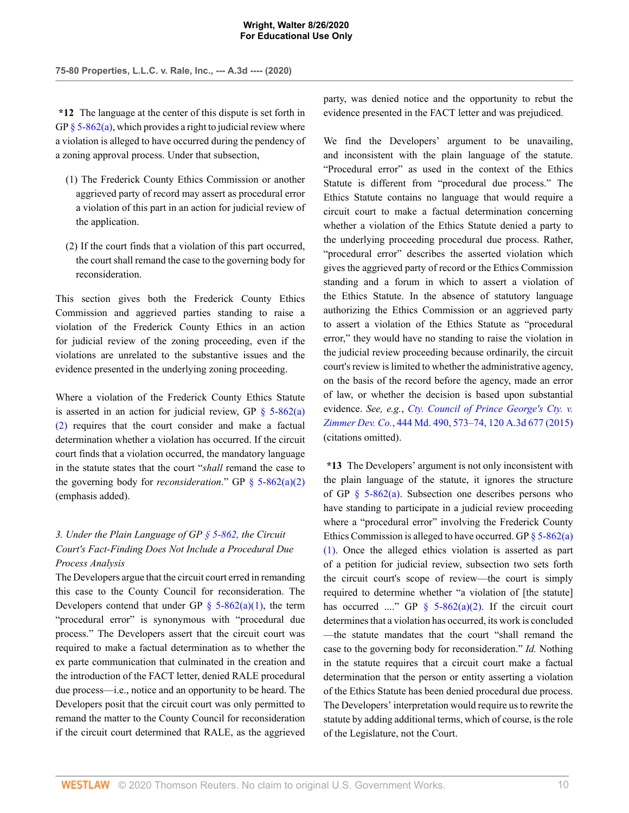**\*12** The language at the center of this dispute is set forth in GP  $\S$  5-862(a), which provides a right to judicial review where a violation is alleged to have occurred during the pendency of a zoning approval process. Under that subsection,

- (1) The Frederick County Ethics Commission or another aggrieved party of record may assert as procedural error a violation of this part in an action for judicial review of the application.
- (2) If the court finds that a violation of this part occurred, the court shall remand the case to the governing body for reconsideration.

This section gives both the Frederick County Ethics Commission and aggrieved parties standing to raise a violation of the Frederick County Ethics in an action for judicial review of the zoning proceeding, even if the violations are unrelated to the substantive issues and the evidence presented in the underlying zoning proceeding.

Where a violation of the Frederick County Ethics Statute is asserted in an action for judicial review, GP  $\S$  5-862(a) [\(2\)](http://www.westlaw.com/Link/Document/FullText?findType=L&pubNum=1095368&cite=MDGPRS5-862&originatingDoc=I876021f0e68311eabffee32622d22314&refType=LQ&originationContext=document&vr=3.0&rs=cblt1.0&transitionType=DocumentItem&contextData=(sc.AlertsClip)) requires that the court consider and make a factual determination whether a violation has occurred. If the circuit court finds that a violation occurred, the mandatory language in the statute states that the court "*shall* remand the case to the governing body for *reconsideration*." GP [§ 5-862\(a\)\(2\)](http://www.westlaw.com/Link/Document/FullText?findType=L&pubNum=1095368&cite=MDGPRS5-862&originatingDoc=I876021f0e68311eabffee32622d22314&refType=LQ&originationContext=document&vr=3.0&rs=cblt1.0&transitionType=DocumentItem&contextData=(sc.AlertsClip)) (emphasis added).

# *3. Under the Plain Language of GP [§ 5-862](http://www.westlaw.com/Link/Document/FullText?findType=L&pubNum=1095368&cite=MDGPRS5-862&originatingDoc=I876021f0e68311eabffee32622d22314&refType=LQ&originationContext=document&vr=3.0&rs=cblt1.0&transitionType=DocumentItem&contextData=(sc.AlertsClip)), the Circuit Court's Fact-Finding Does Not Include a Procedural Due Process Analysis*

The Developers argue that the circuit court erred in remanding this case to the County Council for reconsideration. The Developers contend that under GP  $\S$  5-862(a)(1), the term "procedural error" is synonymous with "procedural due process." The Developers assert that the circuit court was required to make a factual determination as to whether the ex parte communication that culminated in the creation and the introduction of the FACT letter, denied RALE procedural due process—i.e., notice and an opportunity to be heard. The Developers posit that the circuit court was only permitted to remand the matter to the County Council for reconsideration if the circuit court determined that RALE, as the aggrieved

party, was denied notice and the opportunity to rebut the evidence presented in the FACT letter and was prejudiced.

We find the Developers' argument to be unavailing, and inconsistent with the plain language of the statute. "Procedural error" as used in the context of the Ethics Statute is different from "procedural due process." The Ethics Statute contains no language that would require a circuit court to make a factual determination concerning whether a violation of the Ethics Statute denied a party to the underlying proceeding procedural due process. Rather, "procedural error" describes the asserted violation which gives the aggrieved party of record or the Ethics Commission standing and a forum in which to assert a violation of the Ethics Statute. In the absence of statutory language authorizing the Ethics Commission or an aggrieved party to assert a violation of the Ethics Statute as "procedural error," they would have no standing to raise the violation in the judicial review proceeding because ordinarily, the circuit court's review is limited to whether the administrative agency, on the basis of the record before the agency, made an error of law, or whether the decision is based upon substantial evidence. *See, e.g.*, *[Cty. Council of Prince George's Cty. v.](http://www.westlaw.com/Link/Document/FullText?findType=Y&serNum=2036919363&pubNum=0000536&originatingDoc=I876021f0e68311eabffee32622d22314&refType=RP&fi=co_pp_sp_536_573&originationContext=document&vr=3.0&rs=cblt1.0&transitionType=DocumentItem&contextData=(sc.AlertsClip)#co_pp_sp_536_573) Zimmer Dev. Co.*[, 444 Md. 490, 573–74, 120 A.3d 677 \(2015\)](http://www.westlaw.com/Link/Document/FullText?findType=Y&serNum=2036919363&pubNum=0000536&originatingDoc=I876021f0e68311eabffee32622d22314&refType=RP&fi=co_pp_sp_536_573&originationContext=document&vr=3.0&rs=cblt1.0&transitionType=DocumentItem&contextData=(sc.AlertsClip)#co_pp_sp_536_573) (citations omitted).

**\*13** The Developers' argument is not only inconsistent with the plain language of the statute, it ignores the structure of GP  $\S$  5-862(a). Subsection one describes persons who have standing to participate in a judicial review proceeding where a "procedural error" involving the Frederick County Ethics Commission is alleged to have occurred. GP  $\S$  5-862(a) [\(1\).](http://www.westlaw.com/Link/Document/FullText?findType=L&pubNum=1095368&cite=MDGPRS5-862&originatingDoc=I876021f0e68311eabffee32622d22314&refType=LQ&originationContext=document&vr=3.0&rs=cblt1.0&transitionType=DocumentItem&contextData=(sc.AlertsClip)) Once the alleged ethics violation is asserted as part of a petition for judicial review, subsection two sets forth the circuit court's scope of review—the court is simply required to determine whether "a violation of [the statute] has occurred ...." GP  $\frac{1}{2}$  5-862(a)(2). If the circuit court determines that a violation has occurred, its work is concluded —the statute mandates that the court "shall remand the case to the governing body for reconsideration." *Id.* Nothing in the statute requires that a circuit court make a factual determination that the person or entity asserting a violation of the Ethics Statute has been denied procedural due process. The Developers' interpretation would require us to rewrite the statute by adding additional terms, which of course, is the role of the Legislature, not the Court.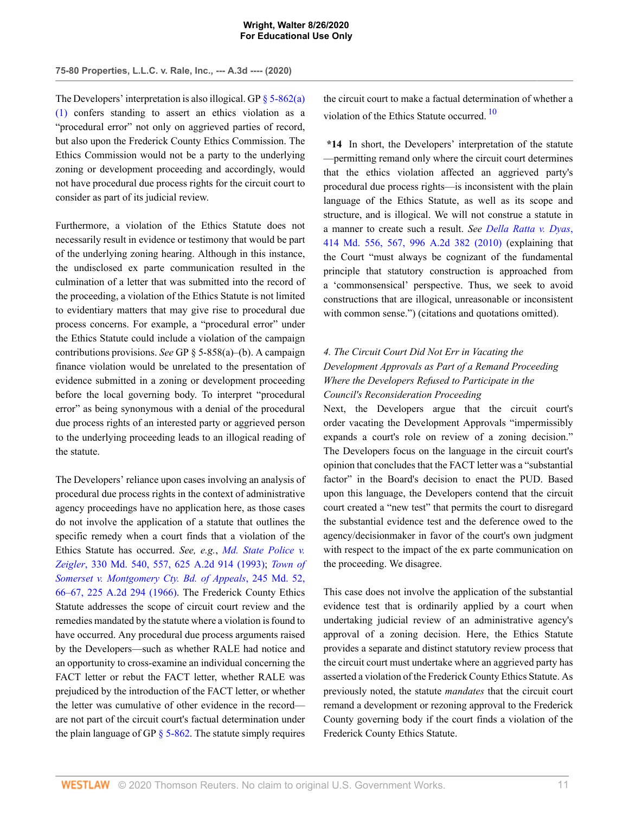**75-80 Properties, L.L.C. v. Rale, Inc., --- A.3d ---- (2020)**

The Developers' interpretation is also illogical. GP  $\frac{85-862(a)}{20}$ [\(1\)](http://www.westlaw.com/Link/Document/FullText?findType=L&pubNum=1095368&cite=MDGPRS5-862&originatingDoc=I876021f0e68311eabffee32622d22314&refType=LQ&originationContext=document&vr=3.0&rs=cblt1.0&transitionType=DocumentItem&contextData=(sc.AlertsClip)) confers standing to assert an ethics violation as a "procedural error" not only on aggrieved parties of record, but also upon the Frederick County Ethics Commission. The Ethics Commission would not be a party to the underlying zoning or development proceeding and accordingly, would not have procedural due process rights for the circuit court to consider as part of its judicial review.

Furthermore, a violation of the Ethics Statute does not necessarily result in evidence or testimony that would be part of the underlying zoning hearing. Although in this instance, the undisclosed ex parte communication resulted in the culmination of a letter that was submitted into the record of the proceeding, a violation of the Ethics Statute is not limited to evidentiary matters that may give rise to procedural due process concerns. For example, a "procedural error" under the Ethics Statute could include a violation of the campaign contributions provisions. *See* GP § 5-858(a)–(b). A campaign finance violation would be unrelated to the presentation of evidence submitted in a zoning or development proceeding before the local governing body. To interpret "procedural error" as being synonymous with a denial of the procedural due process rights of an interested party or aggrieved person to the underlying proceeding leads to an illogical reading of the statute.

The Developers' reliance upon cases involving an analysis of procedural due process rights in the context of administrative agency proceedings have no application here, as those cases do not involve the application of a statute that outlines the specific remedy when a court finds that a violation of the Ethics Statute has occurred. *See, e.g.*, *[Md. State Police v.](http://www.westlaw.com/Link/Document/FullText?findType=Y&serNum=1993117492&pubNum=0000536&originatingDoc=I876021f0e68311eabffee32622d22314&refType=RP&fi=co_pp_sp_536_557&originationContext=document&vr=3.0&rs=cblt1.0&transitionType=DocumentItem&contextData=(sc.AlertsClip)#co_pp_sp_536_557) Zeigler*[, 330 Md. 540, 557, 625 A.2d 914 \(1993\);](http://www.westlaw.com/Link/Document/FullText?findType=Y&serNum=1993117492&pubNum=0000536&originatingDoc=I876021f0e68311eabffee32622d22314&refType=RP&fi=co_pp_sp_536_557&originationContext=document&vr=3.0&rs=cblt1.0&transitionType=DocumentItem&contextData=(sc.AlertsClip)#co_pp_sp_536_557) *[Town of](http://www.westlaw.com/Link/Document/FullText?findType=Y&serNum=1966116737&pubNum=0000536&originatingDoc=I876021f0e68311eabffee32622d22314&refType=RP&fi=co_pp_sp_536_66&originationContext=document&vr=3.0&rs=cblt1.0&transitionType=DocumentItem&contextData=(sc.AlertsClip)#co_pp_sp_536_66) [Somerset v. Montgomery Cty. Bd. of Appeals](http://www.westlaw.com/Link/Document/FullText?findType=Y&serNum=1966116737&pubNum=0000536&originatingDoc=I876021f0e68311eabffee32622d22314&refType=RP&fi=co_pp_sp_536_66&originationContext=document&vr=3.0&rs=cblt1.0&transitionType=DocumentItem&contextData=(sc.AlertsClip)#co_pp_sp_536_66)*, 245 Md. 52, [66–67, 225 A.2d 294 \(1966\)](http://www.westlaw.com/Link/Document/FullText?findType=Y&serNum=1966116737&pubNum=0000536&originatingDoc=I876021f0e68311eabffee32622d22314&refType=RP&fi=co_pp_sp_536_66&originationContext=document&vr=3.0&rs=cblt1.0&transitionType=DocumentItem&contextData=(sc.AlertsClip)#co_pp_sp_536_66). The Frederick County Ethics Statute addresses the scope of circuit court review and the remedies mandated by the statute where a violation is found to have occurred. Any procedural due process arguments raised by the Developers—such as whether RALE had notice and an opportunity to cross-examine an individual concerning the FACT letter or rebut the FACT letter, whether RALE was prejudiced by the introduction of the FACT letter, or whether the letter was cumulative of other evidence in the record are not part of the circuit court's factual determination under the plain language of GP  $\S$  5-862. The statute simply requires

<span id="page-16-0"></span>the circuit court to make a factual determination of whether a violation of the Ethics Statute occurred.<sup>[10](#page-25-2)</sup>

**\*14** In short, the Developers' interpretation of the statute —permitting remand only where the circuit court determines that the ethics violation affected an aggrieved party's procedural due process rights—is inconsistent with the plain language of the Ethics Statute, as well as its scope and structure, and is illogical. We will not construe a statute in a manner to create such a result. *See [Della Ratta v. Dyas](http://www.westlaw.com/Link/Document/FullText?findType=Y&serNum=2022264081&pubNum=0000536&originatingDoc=I876021f0e68311eabffee32622d22314&refType=RP&fi=co_pp_sp_536_567&originationContext=document&vr=3.0&rs=cblt1.0&transitionType=DocumentItem&contextData=(sc.AlertsClip)#co_pp_sp_536_567)*, [414 Md. 556, 567, 996 A.2d 382 \(2010\)](http://www.westlaw.com/Link/Document/FullText?findType=Y&serNum=2022264081&pubNum=0000536&originatingDoc=I876021f0e68311eabffee32622d22314&refType=RP&fi=co_pp_sp_536_567&originationContext=document&vr=3.0&rs=cblt1.0&transitionType=DocumentItem&contextData=(sc.AlertsClip)#co_pp_sp_536_567) (explaining that the Court "must always be cognizant of the fundamental principle that statutory construction is approached from a 'commonsensical' perspective. Thus, we seek to avoid constructions that are illogical, unreasonable or inconsistent with common sense.") (citations and quotations omitted).

# *4. The Circuit Court Did Not Err in Vacating the Development Approvals as Part of a Remand Proceeding Where the Developers Refused to Participate in the Council's Reconsideration Proceeding*

Next, the Developers argue that the circuit court's order vacating the Development Approvals "impermissibly expands a court's role on review of a zoning decision." The Developers focus on the language in the circuit court's opinion that concludes that the FACT letter was a "substantial factor" in the Board's decision to enact the PUD. Based upon this language, the Developers contend that the circuit court created a "new test" that permits the court to disregard the substantial evidence test and the deference owed to the agency/decisionmaker in favor of the court's own judgment with respect to the impact of the ex parte communication on the proceeding. We disagree.

This case does not involve the application of the substantial evidence test that is ordinarily applied by a court when undertaking judicial review of an administrative agency's approval of a zoning decision. Here, the Ethics Statute provides a separate and distinct statutory review process that the circuit court must undertake where an aggrieved party has asserted a violation of the Frederick County Ethics Statute. As previously noted, the statute *mandates* that the circuit court remand a development or rezoning approval to the Frederick County governing body if the court finds a violation of the Frederick County Ethics Statute.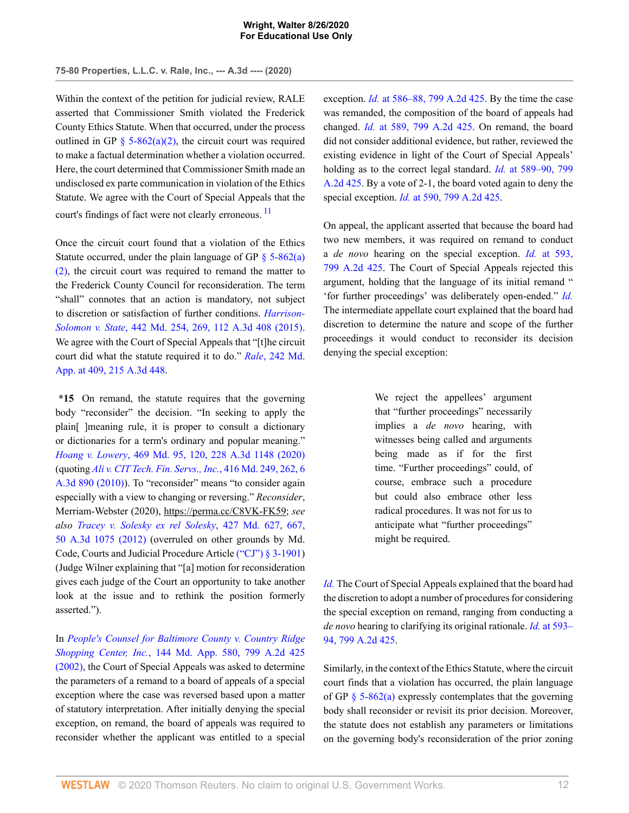Within the context of the petition for judicial review, RALE asserted that Commissioner Smith violated the Frederick County Ethics Statute. When that occurred, under the process outlined in GP  $\S$  5-862(a)(2), the circuit court was required to make a factual determination whether a violation occurred. Here, the court determined that Commissioner Smith made an undisclosed ex parte communication in violation of the Ethics Statute. We agree with the Court of Special Appeals that the court's findings of fact were not clearly erroneous.<sup>[11](#page-25-3)</sup>

Once the circuit court found that a violation of the Ethics Statute occurred, under the plain language of GP  $\S$  5-862(a) [\(2\),](http://www.westlaw.com/Link/Document/FullText?findType=L&pubNum=1095368&cite=MDGPRS5-862&originatingDoc=I876021f0e68311eabffee32622d22314&refType=LQ&originationContext=document&vr=3.0&rs=cblt1.0&transitionType=DocumentItem&contextData=(sc.AlertsClip)) the circuit court was required to remand the matter to the Frederick County Council for reconsideration. The term "shall" connotes that an action is mandatory, not subject to discretion or satisfaction of further conditions. *[Harrison-](http://www.westlaw.com/Link/Document/FullText?findType=Y&serNum=2035718433&pubNum=0000536&originatingDoc=I876021f0e68311eabffee32622d22314&refType=RP&fi=co_pp_sp_536_269&originationContext=document&vr=3.0&rs=cblt1.0&transitionType=DocumentItem&contextData=(sc.AlertsClip)#co_pp_sp_536_269)Solomon v. State*[, 442 Md. 254, 269, 112 A.3d 408 \(2015\)](http://www.westlaw.com/Link/Document/FullText?findType=Y&serNum=2035718433&pubNum=0000536&originatingDoc=I876021f0e68311eabffee32622d22314&refType=RP&fi=co_pp_sp_536_269&originationContext=document&vr=3.0&rs=cblt1.0&transitionType=DocumentItem&contextData=(sc.AlertsClip)#co_pp_sp_536_269). We agree with the Court of Special Appeals that "[t]he circuit court did what the statute required it to do." *Rale*[, 242 Md.](http://www.westlaw.com/Link/Document/FullText?findType=Y&serNum=2049060801&pubNum=0007691&originatingDoc=I876021f0e68311eabffee32622d22314&refType=RP&fi=co_pp_sp_7691_409&originationContext=document&vr=3.0&rs=cblt1.0&transitionType=DocumentItem&contextData=(sc.AlertsClip)#co_pp_sp_7691_409) [App. at 409, 215 A.3d 448.](http://www.westlaw.com/Link/Document/FullText?findType=Y&serNum=2049060801&pubNum=0007691&originatingDoc=I876021f0e68311eabffee32622d22314&refType=RP&fi=co_pp_sp_7691_409&originationContext=document&vr=3.0&rs=cblt1.0&transitionType=DocumentItem&contextData=(sc.AlertsClip)#co_pp_sp_7691_409)

**\*15** On remand, the statute requires that the governing body "reconsider" the decision. "In seeking to apply the plain[ ]meaning rule, it is proper to consult a dictionary or dictionaries for a term's ordinary and popular meaning." *Hoang v. Lowery*[, 469 Md. 95, 120, 228 A.3d 1148 \(2020\)](http://www.westlaw.com/Link/Document/FullText?findType=Y&serNum=2051204182&pubNum=0000536&originatingDoc=I876021f0e68311eabffee32622d22314&refType=RP&fi=co_pp_sp_536_120&originationContext=document&vr=3.0&rs=cblt1.0&transitionType=DocumentItem&contextData=(sc.AlertsClip)#co_pp_sp_536_120) (quoting *[Ali v. CIT Tech. Fin. Servs., Inc.](http://www.westlaw.com/Link/Document/FullText?findType=Y&serNum=2023429105&pubNum=0000536&originatingDoc=I876021f0e68311eabffee32622d22314&refType=RP&fi=co_pp_sp_536_262&originationContext=document&vr=3.0&rs=cblt1.0&transitionType=DocumentItem&contextData=(sc.AlertsClip)#co_pp_sp_536_262)*, 416 Md. 249, 262, 6 [A.3d 890 \(2010\)\)](http://www.westlaw.com/Link/Document/FullText?findType=Y&serNum=2023429105&pubNum=0000536&originatingDoc=I876021f0e68311eabffee32622d22314&refType=RP&fi=co_pp_sp_536_262&originationContext=document&vr=3.0&rs=cblt1.0&transitionType=DocumentItem&contextData=(sc.AlertsClip)#co_pp_sp_536_262). To "reconsider" means "to consider again especially with a view to changing or reversing." *Reconsider*, Merriam-Webster (2020), https://perma.cc/C8VK-FK59; *see also [Tracey v. Solesky ex rel Solesky](http://www.westlaw.com/Link/Document/FullText?findType=Y&serNum=2028514307&pubNum=0007691&originatingDoc=I876021f0e68311eabffee32622d22314&refType=RP&fi=co_pp_sp_7691_667&originationContext=document&vr=3.0&rs=cblt1.0&transitionType=DocumentItem&contextData=(sc.AlertsClip)#co_pp_sp_7691_667)*, 427 Md. 627, 667, [50 A.3d 1075 \(2012\)](http://www.westlaw.com/Link/Document/FullText?findType=Y&serNum=2028514307&pubNum=0007691&originatingDoc=I876021f0e68311eabffee32622d22314&refType=RP&fi=co_pp_sp_7691_667&originationContext=document&vr=3.0&rs=cblt1.0&transitionType=DocumentItem&contextData=(sc.AlertsClip)#co_pp_sp_7691_667) (overruled on other grounds by Md. Code, Courts and Judicial Procedure Article [\("CJ"\) § 3-1901\)](http://www.westlaw.com/Link/Document/FullText?findType=L&pubNum=1000021&cite=MDCATS3-1901&originatingDoc=I876021f0e68311eabffee32622d22314&refType=LQ&originationContext=document&vr=3.0&rs=cblt1.0&transitionType=DocumentItem&contextData=(sc.AlertsClip)) (Judge Wilner explaining that "[a] motion for reconsideration gives each judge of the Court an opportunity to take another look at the issue and to rethink the position formerly asserted.").

In *[People's Counsel for Baltimore County v. Country Ridge](http://www.westlaw.com/Link/Document/FullText?findType=Y&serNum=2002339796&pubNum=0000162&originatingDoc=I876021f0e68311eabffee32622d22314&refType=RP&originationContext=document&vr=3.0&rs=cblt1.0&transitionType=DocumentItem&contextData=(sc.AlertsClip)) Shopping Center, Inc.*[, 144 Md. App. 580, 799 A.2d 425](http://www.westlaw.com/Link/Document/FullText?findType=Y&serNum=2002339796&pubNum=0000162&originatingDoc=I876021f0e68311eabffee32622d22314&refType=RP&originationContext=document&vr=3.0&rs=cblt1.0&transitionType=DocumentItem&contextData=(sc.AlertsClip)) [\(2002\),](http://www.westlaw.com/Link/Document/FullText?findType=Y&serNum=2002339796&pubNum=0000162&originatingDoc=I876021f0e68311eabffee32622d22314&refType=RP&originationContext=document&vr=3.0&rs=cblt1.0&transitionType=DocumentItem&contextData=(sc.AlertsClip)) the Court of Special Appeals was asked to determine the parameters of a remand to a board of appeals of a special exception where the case was reversed based upon a matter of statutory interpretation. After initially denying the special exception, on remand, the board of appeals was required to reconsider whether the applicant was entitled to a special exception. *Id.* [at 586–88, 799 A.2d 425.](http://www.westlaw.com/Link/Document/FullText?findType=Y&serNum=2002339796&pubNum=0000162&originatingDoc=I876021f0e68311eabffee32622d22314&refType=RP&fi=co_pp_sp_162_586&originationContext=document&vr=3.0&rs=cblt1.0&transitionType=DocumentItem&contextData=(sc.AlertsClip)#co_pp_sp_162_586) By the time the case was remanded, the composition of the board of appeals had changed. *Id.* [at 589, 799 A.2d 425.](http://www.westlaw.com/Link/Document/FullText?findType=Y&serNum=2002339796&pubNum=0000162&originatingDoc=I876021f0e68311eabffee32622d22314&refType=RP&fi=co_pp_sp_162_589&originationContext=document&vr=3.0&rs=cblt1.0&transitionType=DocumentItem&contextData=(sc.AlertsClip)#co_pp_sp_162_589) On remand, the board did not consider additional evidence, but rather, reviewed the existing evidence in light of the Court of Special Appeals' holding as to the correct legal standard. *Id.* [at 589–90, 799](http://www.westlaw.com/Link/Document/FullText?findType=Y&serNum=2002339796&pubNum=0000162&originatingDoc=I876021f0e68311eabffee32622d22314&refType=RP&fi=co_pp_sp_162_589&originationContext=document&vr=3.0&rs=cblt1.0&transitionType=DocumentItem&contextData=(sc.AlertsClip)#co_pp_sp_162_589) [A.2d 425](http://www.westlaw.com/Link/Document/FullText?findType=Y&serNum=2002339796&pubNum=0000162&originatingDoc=I876021f0e68311eabffee32622d22314&refType=RP&fi=co_pp_sp_162_589&originationContext=document&vr=3.0&rs=cblt1.0&transitionType=DocumentItem&contextData=(sc.AlertsClip)#co_pp_sp_162_589). By a vote of 2-1, the board voted again to deny the special exception. *Id.* [at 590, 799 A.2d 425.](http://www.westlaw.com/Link/Document/FullText?findType=Y&serNum=2002339796&pubNum=0000162&originatingDoc=I876021f0e68311eabffee32622d22314&refType=RP&fi=co_pp_sp_162_590&originationContext=document&vr=3.0&rs=cblt1.0&transitionType=DocumentItem&contextData=(sc.AlertsClip)#co_pp_sp_162_590)

<span id="page-17-0"></span>On appeal, the applicant asserted that because the board had two new members, it was required on remand to conduct a *de novo* hearing on the special exception. *Id.* [at 593,](http://www.westlaw.com/Link/Document/FullText?findType=Y&serNum=2002339796&pubNum=0000162&originatingDoc=I876021f0e68311eabffee32622d22314&refType=RP&fi=co_pp_sp_162_593&originationContext=document&vr=3.0&rs=cblt1.0&transitionType=DocumentItem&contextData=(sc.AlertsClip)#co_pp_sp_162_593) [799 A.2d 425.](http://www.westlaw.com/Link/Document/FullText?findType=Y&serNum=2002339796&pubNum=0000162&originatingDoc=I876021f0e68311eabffee32622d22314&refType=RP&fi=co_pp_sp_162_593&originationContext=document&vr=3.0&rs=cblt1.0&transitionType=DocumentItem&contextData=(sc.AlertsClip)#co_pp_sp_162_593) The Court of Special Appeals rejected this argument, holding that the language of its initial remand " 'for further proceedings' was deliberately open-ended." *[Id.](http://www.westlaw.com/Link/Document/FullText?findType=Y&serNum=2002339796&pubNum=0000537&originatingDoc=I876021f0e68311eabffee32622d22314&refType=RP&originationContext=document&vr=3.0&rs=cblt1.0&transitionType=DocumentItem&contextData=(sc.AlertsClip))* The intermediate appellate court explained that the board had discretion to determine the nature and scope of the further proceedings it would conduct to reconsider its decision denying the special exception:

> We reject the appellees' argument that "further proceedings" necessarily implies a *de novo* hearing, with witnesses being called and arguments being made as if for the first time. "Further proceedings" could, of course, embrace such a procedure but could also embrace other less radical procedures. It was not for us to anticipate what "further proceedings" might be required.

*[Id.](http://www.westlaw.com/Link/Document/FullText?findType=Y&serNum=2002339796&pubNum=0000537&originatingDoc=I876021f0e68311eabffee32622d22314&refType=RP&originationContext=document&vr=3.0&rs=cblt1.0&transitionType=DocumentItem&contextData=(sc.AlertsClip))* The Court of Special Appeals explained that the board had the discretion to adopt a number of procedures for considering the special exception on remand, ranging from conducting a *de novo* hearing to clarifying its original rationale. *Id.* [at 593–](http://www.westlaw.com/Link/Document/FullText?findType=Y&serNum=2002339796&pubNum=0000162&originatingDoc=I876021f0e68311eabffee32622d22314&refType=RP&fi=co_pp_sp_162_593&originationContext=document&vr=3.0&rs=cblt1.0&transitionType=DocumentItem&contextData=(sc.AlertsClip)#co_pp_sp_162_593) [94, 799 A.2d 425.](http://www.westlaw.com/Link/Document/FullText?findType=Y&serNum=2002339796&pubNum=0000162&originatingDoc=I876021f0e68311eabffee32622d22314&refType=RP&fi=co_pp_sp_162_593&originationContext=document&vr=3.0&rs=cblt1.0&transitionType=DocumentItem&contextData=(sc.AlertsClip)#co_pp_sp_162_593)

Similarly, in the context of the Ethics Statute, where the circuit court finds that a violation has occurred, the plain language of GP  $\S$  5-862(a) expressly contemplates that the governing body shall reconsider or revisit its prior decision. Moreover, the statute does not establish any parameters or limitations on the governing body's reconsideration of the prior zoning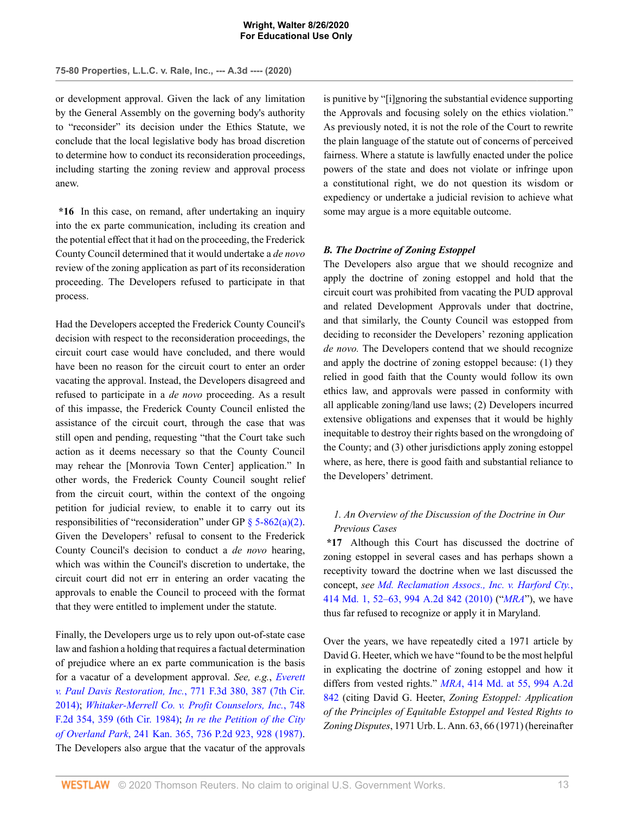or development approval. Given the lack of any limitation by the General Assembly on the governing body's authority to "reconsider" its decision under the Ethics Statute, we conclude that the local legislative body has broad discretion to determine how to conduct its reconsideration proceedings, including starting the zoning review and approval process anew.

**\*16** In this case, on remand, after undertaking an inquiry into the ex parte communication, including its creation and the potential effect that it had on the proceeding, the Frederick County Council determined that it would undertake a *de novo* review of the zoning application as part of its reconsideration proceeding. The Developers refused to participate in that process.

Had the Developers accepted the Frederick County Council's decision with respect to the reconsideration proceedings, the circuit court case would have concluded, and there would have been no reason for the circuit court to enter an order vacating the approval. Instead, the Developers disagreed and refused to participate in a *de novo* proceeding. As a result of this impasse, the Frederick County Council enlisted the assistance of the circuit court, through the case that was still open and pending, requesting "that the Court take such action as it deems necessary so that the County Council may rehear the [Monrovia Town Center] application." In other words, the Frederick County Council sought relief from the circuit court, within the context of the ongoing petition for judicial review, to enable it to carry out its responsibilities of "reconsideration" under GP  $\S$  5-862(a)(2). Given the Developers' refusal to consent to the Frederick County Council's decision to conduct a *de novo* hearing, which was within the Council's discretion to undertake, the circuit court did not err in entering an order vacating the approvals to enable the Council to proceed with the format that they were entitled to implement under the statute.

Finally, the Developers urge us to rely upon out-of-state case law and fashion a holding that requires a factual determination of prejudice where an ex parte communication is the basis for a vacatur of a development approval. *See, e.g.*, *[Everett](http://www.westlaw.com/Link/Document/FullText?findType=Y&serNum=2034716319&pubNum=0000506&originatingDoc=I876021f0e68311eabffee32622d22314&refType=RP&fi=co_pp_sp_506_387&originationContext=document&vr=3.0&rs=cblt1.0&transitionType=DocumentItem&contextData=(sc.AlertsClip)#co_pp_sp_506_387) [v. Paul Davis Restoration, Inc.](http://www.westlaw.com/Link/Document/FullText?findType=Y&serNum=2034716319&pubNum=0000506&originatingDoc=I876021f0e68311eabffee32622d22314&refType=RP&fi=co_pp_sp_506_387&originationContext=document&vr=3.0&rs=cblt1.0&transitionType=DocumentItem&contextData=(sc.AlertsClip)#co_pp_sp_506_387)*, 771 F.3d 380, 387 (7th Cir. [2014\)](http://www.westlaw.com/Link/Document/FullText?findType=Y&serNum=2034716319&pubNum=0000506&originatingDoc=I876021f0e68311eabffee32622d22314&refType=RP&fi=co_pp_sp_506_387&originationContext=document&vr=3.0&rs=cblt1.0&transitionType=DocumentItem&contextData=(sc.AlertsClip)#co_pp_sp_506_387); *[Whitaker-Merrell Co. v. Profit Counselors, Inc.](http://www.westlaw.com/Link/Document/FullText?findType=Y&serNum=1984156145&pubNum=0000350&originatingDoc=I876021f0e68311eabffee32622d22314&refType=RP&fi=co_pp_sp_350_359&originationContext=document&vr=3.0&rs=cblt1.0&transitionType=DocumentItem&contextData=(sc.AlertsClip)#co_pp_sp_350_359)*, 748 [F.2d 354, 359 \(6th Cir. 1984\)](http://www.westlaw.com/Link/Document/FullText?findType=Y&serNum=1984156145&pubNum=0000350&originatingDoc=I876021f0e68311eabffee32622d22314&refType=RP&fi=co_pp_sp_350_359&originationContext=document&vr=3.0&rs=cblt1.0&transitionType=DocumentItem&contextData=(sc.AlertsClip)#co_pp_sp_350_359); *[In re the Petition of the City](http://www.westlaw.com/Link/Document/FullText?findType=Y&serNum=1987061799&pubNum=0000661&originatingDoc=I876021f0e68311eabffee32622d22314&refType=RP&fi=co_pp_sp_661_928&originationContext=document&vr=3.0&rs=cblt1.0&transitionType=DocumentItem&contextData=(sc.AlertsClip)#co_pp_sp_661_928) of Overland Park*[, 241 Kan. 365, 736 P.2d 923, 928 \(1987\)](http://www.westlaw.com/Link/Document/FullText?findType=Y&serNum=1987061799&pubNum=0000661&originatingDoc=I876021f0e68311eabffee32622d22314&refType=RP&fi=co_pp_sp_661_928&originationContext=document&vr=3.0&rs=cblt1.0&transitionType=DocumentItem&contextData=(sc.AlertsClip)#co_pp_sp_661_928). The Developers also argue that the vacatur of the approvals

is punitive by "[i]gnoring the substantial evidence supporting the Approvals and focusing solely on the ethics violation." As previously noted, it is not the role of the Court to rewrite the plain language of the statute out of concerns of perceived fairness. Where a statute is lawfully enacted under the police powers of the state and does not violate or infringe upon a constitutional right, we do not question its wisdom or expediency or undertake a judicial revision to achieve what some may argue is a more equitable outcome.

## *B. The Doctrine of Zoning Estoppel*

The Developers also argue that we should recognize and apply the doctrine of zoning estoppel and hold that the circuit court was prohibited from vacating the PUD approval and related Development Approvals under that doctrine, and that similarly, the County Council was estopped from deciding to reconsider the Developers' rezoning application *de novo.* The Developers contend that we should recognize and apply the doctrine of zoning estoppel because: (1) they relied in good faith that the County would follow its own ethics law, and approvals were passed in conformity with all applicable zoning/land use laws; (2) Developers incurred extensive obligations and expenses that it would be highly inequitable to destroy their rights based on the wrongdoing of the County; and (3) other jurisdictions apply zoning estoppel where, as here, there is good faith and substantial reliance to the Developers' detriment.

# *1. An Overview of the Discussion of the Doctrine in Our Previous Cases*

**\*17** Although this Court has discussed the doctrine of zoning estoppel in several cases and has perhaps shown a receptivity toward the doctrine when we last discussed the concept, *see [Md. Reclamation Assocs., Inc. v. Harford Cty.](http://www.westlaw.com/Link/Document/FullText?findType=Y&serNum=2021980461&pubNum=0000536&originatingDoc=I876021f0e68311eabffee32622d22314&refType=RP&fi=co_pp_sp_536_52&originationContext=document&vr=3.0&rs=cblt1.0&transitionType=DocumentItem&contextData=(sc.AlertsClip)#co_pp_sp_536_52)*, [414 Md. 1, 52–63, 994 A.2d 842 \(2010\)](http://www.westlaw.com/Link/Document/FullText?findType=Y&serNum=2021980461&pubNum=0000536&originatingDoc=I876021f0e68311eabffee32622d22314&refType=RP&fi=co_pp_sp_536_52&originationContext=document&vr=3.0&rs=cblt1.0&transitionType=DocumentItem&contextData=(sc.AlertsClip)#co_pp_sp_536_52) ("*[MRA](http://www.westlaw.com/Link/Document/FullText?findType=Y&serNum=2021980461&originatingDoc=I876021f0e68311eabffee32622d22314&refType=RP&originationContext=document&vr=3.0&rs=cblt1.0&transitionType=DocumentItem&contextData=(sc.AlertsClip))*"), we have thus far refused to recognize or apply it in Maryland.

Over the years, we have repeatedly cited a 1971 article by David G. Heeter, which we have "found to be the most helpful in explicating the doctrine of zoning estoppel and how it differs from vested rights." *MRA*[, 414 Md. at 55, 994 A.2d](http://www.westlaw.com/Link/Document/FullText?findType=Y&serNum=2021980461&pubNum=0000162&originatingDoc=I876021f0e68311eabffee32622d22314&refType=RP&fi=co_pp_sp_162_55&originationContext=document&vr=3.0&rs=cblt1.0&transitionType=DocumentItem&contextData=(sc.AlertsClip)#co_pp_sp_162_55) [842](http://www.westlaw.com/Link/Document/FullText?findType=Y&serNum=2021980461&pubNum=0000162&originatingDoc=I876021f0e68311eabffee32622d22314&refType=RP&fi=co_pp_sp_162_55&originationContext=document&vr=3.0&rs=cblt1.0&transitionType=DocumentItem&contextData=(sc.AlertsClip)#co_pp_sp_162_55) (citing David G. Heeter, *Zoning Estoppel: Application of the Principles of Equitable Estoppel and Vested Rights to Zoning Disputes*, 1971 Urb. L. Ann. 63, 66 (1971) (hereinafter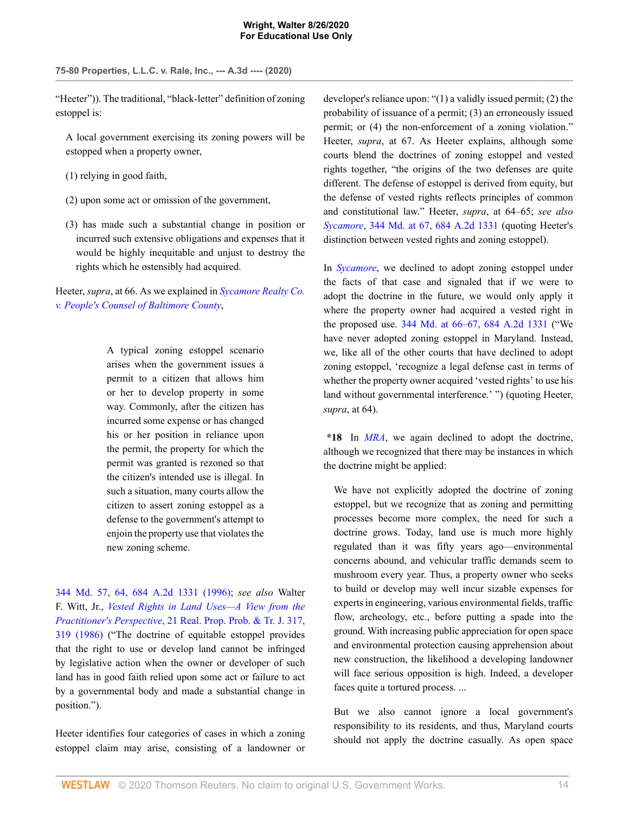"Heeter")). The traditional, "black-letter" definition of zoning estoppel is:

A local government exercising its zoning powers will be estopped when a property owner,

(1) relying in good faith,

- (2) upon some act or omission of the government,
- (3) has made such a substantial change in position or incurred such extensive obligations and expenses that it would be highly inequitable and unjust to destroy the rights which he ostensibly had acquired.

Heeter, *supra*, at 66. As we explained in *[Sycamore Realty Co.](http://www.westlaw.com/Link/Document/FullText?findType=Y&serNum=1996261493&pubNum=0000536&originatingDoc=I876021f0e68311eabffee32622d22314&refType=RP&originationContext=document&vr=3.0&rs=cblt1.0&transitionType=DocumentItem&contextData=(sc.AlertsClip)) [v. People's Counsel of Baltimore County](http://www.westlaw.com/Link/Document/FullText?findType=Y&serNum=1996261493&pubNum=0000536&originatingDoc=I876021f0e68311eabffee32622d22314&refType=RP&originationContext=document&vr=3.0&rs=cblt1.0&transitionType=DocumentItem&contextData=(sc.AlertsClip))*,

> A typical zoning estoppel scenario arises when the government issues a permit to a citizen that allows him or her to develop property in some way. Commonly, after the citizen has incurred some expense or has changed his or her position in reliance upon the permit, the property for which the permit was granted is rezoned so that the citizen's intended use is illegal. In such a situation, many courts allow the citizen to assert zoning estoppel as a defense to the government's attempt to enjoin the property use that violates the new zoning scheme.

[344 Md. 57, 64, 684 A.2d 1331 \(1996\)](http://www.westlaw.com/Link/Document/FullText?findType=Y&serNum=1996261493&pubNum=0000536&originatingDoc=I876021f0e68311eabffee32622d22314&refType=RP&fi=co_pp_sp_536_64&originationContext=document&vr=3.0&rs=cblt1.0&transitionType=DocumentItem&contextData=(sc.AlertsClip)#co_pp_sp_536_64); *see also* Walter F. Witt, Jr., *[Vested Rights in Land Uses—A View from the](http://www.westlaw.com/Link/Document/FullText?findType=Y&serNum=0102714887&pubNum=0001224&originatingDoc=I876021f0e68311eabffee32622d22314&refType=LR&fi=co_pp_sp_1224_319&originationContext=document&vr=3.0&rs=cblt1.0&transitionType=DocumentItem&contextData=(sc.AlertsClip)#co_pp_sp_1224_319) Practitioner's Perspective*[, 21 Real. Prop. Prob. & Tr. J. 317,](http://www.westlaw.com/Link/Document/FullText?findType=Y&serNum=0102714887&pubNum=0001224&originatingDoc=I876021f0e68311eabffee32622d22314&refType=LR&fi=co_pp_sp_1224_319&originationContext=document&vr=3.0&rs=cblt1.0&transitionType=DocumentItem&contextData=(sc.AlertsClip)#co_pp_sp_1224_319) [319 \(1986\)](http://www.westlaw.com/Link/Document/FullText?findType=Y&serNum=0102714887&pubNum=0001224&originatingDoc=I876021f0e68311eabffee32622d22314&refType=LR&fi=co_pp_sp_1224_319&originationContext=document&vr=3.0&rs=cblt1.0&transitionType=DocumentItem&contextData=(sc.AlertsClip)#co_pp_sp_1224_319) ("The doctrine of equitable estoppel provides that the right to use or develop land cannot be infringed by legislative action when the owner or developer of such land has in good faith relied upon some act or failure to act by a governmental body and made a substantial change in position.").

Heeter identifies four categories of cases in which a zoning estoppel claim may arise, consisting of a landowner or developer's reliance upon: "(1) a validly issued permit; (2) the probability of issuance of a permit; (3) an erroneously issued permit; or (4) the non-enforcement of a zoning violation." Heeter, *supra*, at 67. As Heeter explains, although some courts blend the doctrines of zoning estoppel and vested rights together, "the origins of the two defenses are quite different. The defense of estoppel is derived from equity, but the defense of vested rights reflects principles of common and constitutional law." Heeter, *supra*, at 64–65; *see also Sycamore*[, 344 Md. at 67, 684 A.2d 1331](http://www.westlaw.com/Link/Document/FullText?findType=Y&serNum=1996261493&pubNum=0000536&originatingDoc=I876021f0e68311eabffee32622d22314&refType=RP&fi=co_pp_sp_536_67&originationContext=document&vr=3.0&rs=cblt1.0&transitionType=DocumentItem&contextData=(sc.AlertsClip)#co_pp_sp_536_67) (quoting Heeter's distinction between vested rights and zoning estoppel).

In *[Sycamore](http://www.westlaw.com/Link/Document/FullText?findType=Y&serNum=1996261493&pubNum=0000536&originatingDoc=I876021f0e68311eabffee32622d22314&refType=RP&originationContext=document&vr=3.0&rs=cblt1.0&transitionType=DocumentItem&contextData=(sc.AlertsClip))*, we declined to adopt zoning estoppel under the facts of that case and signaled that if we were to adopt the doctrine in the future, we would only apply it where the property owner had acquired a vested right in the proposed use. [344 Md. at 66–67, 684 A.2d 1331](http://www.westlaw.com/Link/Document/FullText?findType=Y&serNum=1996261493&pubNum=0000536&originatingDoc=I876021f0e68311eabffee32622d22314&refType=RP&fi=co_pp_sp_536_66&originationContext=document&vr=3.0&rs=cblt1.0&transitionType=DocumentItem&contextData=(sc.AlertsClip)#co_pp_sp_536_66) ("We have never adopted zoning estoppel in Maryland. Instead, we, like all of the other courts that have declined to adopt zoning estoppel, 'recognize a legal defense cast in terms of whether the property owner acquired 'vested rights' to use his land without governmental interference.' ") (quoting Heeter, *supra*, at 64).

**\*18** In *[MRA](http://www.westlaw.com/Link/Document/FullText?findType=Y&serNum=2021980461&originatingDoc=I876021f0e68311eabffee32622d22314&refType=RP&originationContext=document&vr=3.0&rs=cblt1.0&transitionType=DocumentItem&contextData=(sc.AlertsClip))*, we again declined to adopt the doctrine, although we recognized that there may be instances in which the doctrine might be applied:

We have not explicitly adopted the doctrine of zoning estoppel, but we recognize that as zoning and permitting processes become more complex, the need for such a doctrine grows. Today, land use is much more highly regulated than it was fifty years ago—environmental concerns abound, and vehicular traffic demands seem to mushroom every year. Thus, a property owner who seeks to build or develop may well incur sizable expenses for experts in engineering, various environmental fields, traffic flow, archeology, etc., before putting a spade into the ground. With increasing public appreciation for open space and environmental protection causing apprehension about new construction, the likelihood a developing landowner will face serious opposition is high. Indeed, a developer faces quite a tortured process. ...

But we also cannot ignore a local government's responsibility to its residents, and thus, Maryland courts should not apply the doctrine casually. As open space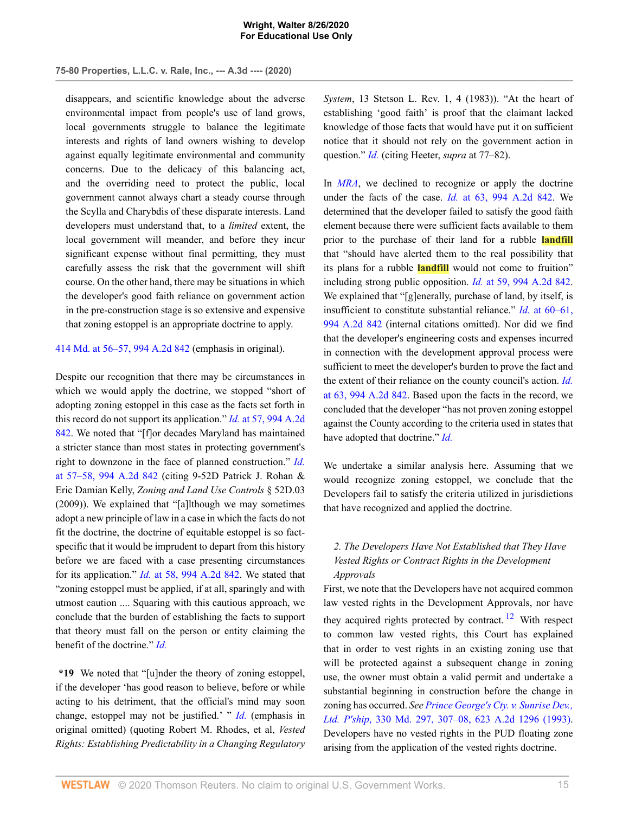disappears, and scientific knowledge about the adverse environmental impact from people's use of land grows, local governments struggle to balance the legitimate interests and rights of land owners wishing to develop against equally legitimate environmental and community concerns. Due to the delicacy of this balancing act, and the overriding need to protect the public, local government cannot always chart a steady course through the Scylla and Charybdis of these disparate interests. Land developers must understand that, to a *limited* extent, the local government will meander, and before they incur significant expense without final permitting, they must carefully assess the risk that the government will shift course. On the other hand, there may be situations in which the developer's good faith reliance on government action in the pre-construction stage is so extensive and expensive that zoning estoppel is an appropriate doctrine to apply.

[414 Md. at 56–57, 994 A.2d 842](http://www.westlaw.com/Link/Document/FullText?findType=Y&serNum=2021980461&pubNum=0000536&originatingDoc=I876021f0e68311eabffee32622d22314&refType=RP&fi=co_pp_sp_536_56&originationContext=document&vr=3.0&rs=cblt1.0&transitionType=DocumentItem&contextData=(sc.AlertsClip)#co_pp_sp_536_56) (emphasis in original).

Despite our recognition that there may be circumstances in which we would apply the doctrine, we stopped "short of adopting zoning estoppel in this case as the facts set forth in this record do not support its application." *Id.* [at 57, 994 A.2d](http://www.westlaw.com/Link/Document/FullText?findType=Y&serNum=2021980461&pubNum=0000162&originatingDoc=I876021f0e68311eabffee32622d22314&refType=RP&fi=co_pp_sp_162_57&originationContext=document&vr=3.0&rs=cblt1.0&transitionType=DocumentItem&contextData=(sc.AlertsClip)#co_pp_sp_162_57) [842](http://www.westlaw.com/Link/Document/FullText?findType=Y&serNum=2021980461&pubNum=0000162&originatingDoc=I876021f0e68311eabffee32622d22314&refType=RP&fi=co_pp_sp_162_57&originationContext=document&vr=3.0&rs=cblt1.0&transitionType=DocumentItem&contextData=(sc.AlertsClip)#co_pp_sp_162_57). We noted that "[f]or decades Maryland has maintained a stricter stance than most states in protecting government's right to downzone in the face of planned construction." *[Id.](http://www.westlaw.com/Link/Document/FullText?findType=Y&serNum=2021980461&pubNum=0000162&originatingDoc=I876021f0e68311eabffee32622d22314&refType=RP&fi=co_pp_sp_162_57&originationContext=document&vr=3.0&rs=cblt1.0&transitionType=DocumentItem&contextData=(sc.AlertsClip)#co_pp_sp_162_57)* [at 57–58, 994 A.2d 842](http://www.westlaw.com/Link/Document/FullText?findType=Y&serNum=2021980461&pubNum=0000162&originatingDoc=I876021f0e68311eabffee32622d22314&refType=RP&fi=co_pp_sp_162_57&originationContext=document&vr=3.0&rs=cblt1.0&transitionType=DocumentItem&contextData=(sc.AlertsClip)#co_pp_sp_162_57) (citing 9-52D Patrick J. Rohan & Eric Damian Kelly, *Zoning and Land Use Controls* § 52D.03 (2009)). We explained that "[a]lthough we may sometimes adopt a new principle of law in a case in which the facts do not fit the doctrine, the doctrine of equitable estoppel is so factspecific that it would be imprudent to depart from this history before we are faced with a case presenting circumstances for its application." *Id.* [at 58, 994 A.2d 842](http://www.westlaw.com/Link/Document/FullText?findType=Y&serNum=2021980461&pubNum=0000162&originatingDoc=I876021f0e68311eabffee32622d22314&refType=RP&fi=co_pp_sp_162_58&originationContext=document&vr=3.0&rs=cblt1.0&transitionType=DocumentItem&contextData=(sc.AlertsClip)#co_pp_sp_162_58). We stated that "zoning estoppel must be applied, if at all, sparingly and with utmost caution .... Squaring with this cautious approach, we conclude that the burden of establishing the facts to support that theory must fall on the person or entity claiming the benefit of the doctrine." *[Id.](http://www.westlaw.com/Link/Document/FullText?findType=Y&serNum=2021980461&pubNum=0000536&originatingDoc=I876021f0e68311eabffee32622d22314&refType=RP&originationContext=document&vr=3.0&rs=cblt1.0&transitionType=DocumentItem&contextData=(sc.AlertsClip))*

**\*19** We noted that "[u]nder the theory of zoning estoppel, if the developer 'has good reason to believe, before or while acting to his detriment, that the official's mind may soon change, estoppel may not be justified.' " *[Id.](http://www.westlaw.com/Link/Document/FullText?findType=Y&serNum=2021980461&pubNum=0000536&originatingDoc=I876021f0e68311eabffee32622d22314&refType=RP&originationContext=document&vr=3.0&rs=cblt1.0&transitionType=DocumentItem&contextData=(sc.AlertsClip))* (emphasis in original omitted) (quoting Robert M. Rhodes, et al, *Vested Rights: Establishing Predictability in a Changing Regulatory*

*System*, 13 Stetson L. Rev. 1, 4 (1983)). "At the heart of establishing 'good faith' is proof that the claimant lacked knowledge of those facts that would have put it on sufficient notice that it should not rely on the government action in question." *[Id.](http://www.westlaw.com/Link/Document/FullText?findType=Y&serNum=2021980461&pubNum=0000536&originatingDoc=I876021f0e68311eabffee32622d22314&refType=RP&originationContext=document&vr=3.0&rs=cblt1.0&transitionType=DocumentItem&contextData=(sc.AlertsClip))* (citing Heeter, *supra* at 77–82).

In *[MRA](http://www.westlaw.com/Link/Document/FullText?findType=Y&serNum=2021980461&originatingDoc=I876021f0e68311eabffee32622d22314&refType=RP&originationContext=document&vr=3.0&rs=cblt1.0&transitionType=DocumentItem&contextData=(sc.AlertsClip))*, we declined to recognize or apply the doctrine under the facts of the case. *Id.* [at 63, 994 A.2d 842](http://www.westlaw.com/Link/Document/FullText?findType=Y&serNum=2021980461&pubNum=0000162&originatingDoc=I876021f0e68311eabffee32622d22314&refType=RP&fi=co_pp_sp_162_63&originationContext=document&vr=3.0&rs=cblt1.0&transitionType=DocumentItem&contextData=(sc.AlertsClip)#co_pp_sp_162_63). We determined that the developer failed to satisfy the good faith element because there were sufficient facts available to them prior to the purchase of their land for a rubble **landfill** that "should have alerted them to the real possibility that its plans for a rubble **landfill** would not come to fruition" including strong public opposition. *Id.* [at 59, 994 A.2d 842](http://www.westlaw.com/Link/Document/FullText?findType=Y&serNum=2021980461&pubNum=0000162&originatingDoc=I876021f0e68311eabffee32622d22314&refType=RP&fi=co_pp_sp_162_59&originationContext=document&vr=3.0&rs=cblt1.0&transitionType=DocumentItem&contextData=(sc.AlertsClip)#co_pp_sp_162_59). We explained that "[g]enerally, purchase of land, by itself, is insufficient to constitute substantial reliance." *Id.* [at 60–61,](http://www.westlaw.com/Link/Document/FullText?findType=Y&serNum=2021980461&pubNum=0000162&originatingDoc=I876021f0e68311eabffee32622d22314&refType=RP&fi=co_pp_sp_162_60&originationContext=document&vr=3.0&rs=cblt1.0&transitionType=DocumentItem&contextData=(sc.AlertsClip)#co_pp_sp_162_60) [994 A.2d 842](http://www.westlaw.com/Link/Document/FullText?findType=Y&serNum=2021980461&pubNum=0000162&originatingDoc=I876021f0e68311eabffee32622d22314&refType=RP&fi=co_pp_sp_162_60&originationContext=document&vr=3.0&rs=cblt1.0&transitionType=DocumentItem&contextData=(sc.AlertsClip)#co_pp_sp_162_60) (internal citations omitted). Nor did we find that the developer's engineering costs and expenses incurred in connection with the development approval process were sufficient to meet the developer's burden to prove the fact and the extent of their reliance on the county council's action. *[Id.](http://www.westlaw.com/Link/Document/FullText?findType=Y&serNum=2021980461&pubNum=0000162&originatingDoc=I876021f0e68311eabffee32622d22314&refType=RP&fi=co_pp_sp_162_63&originationContext=document&vr=3.0&rs=cblt1.0&transitionType=DocumentItem&contextData=(sc.AlertsClip)#co_pp_sp_162_63)* [at 63, 994 A.2d 842](http://www.westlaw.com/Link/Document/FullText?findType=Y&serNum=2021980461&pubNum=0000162&originatingDoc=I876021f0e68311eabffee32622d22314&refType=RP&fi=co_pp_sp_162_63&originationContext=document&vr=3.0&rs=cblt1.0&transitionType=DocumentItem&contextData=(sc.AlertsClip)#co_pp_sp_162_63). Based upon the facts in the record, we concluded that the developer "has not proven zoning estoppel against the County according to the criteria used in states that have adopted that doctrine." *[Id.](http://www.westlaw.com/Link/Document/FullText?findType=Y&serNum=2021980461&pubNum=0000536&originatingDoc=I876021f0e68311eabffee32622d22314&refType=RP&originationContext=document&vr=3.0&rs=cblt1.0&transitionType=DocumentItem&contextData=(sc.AlertsClip))*

We undertake a similar analysis here. Assuming that we would recognize zoning estoppel, we conclude that the Developers fail to satisfy the criteria utilized in jurisdictions that have recognized and applied the doctrine.

# *2. The Developers Have Not Established that They Have Vested Rights or Contract Rights in the Development Approvals*

<span id="page-20-0"></span>First, we note that the Developers have not acquired common law vested rights in the Development Approvals, nor have they acquired rights protected by contract.  $12$  With respect to common law vested rights, this Court has explained that in order to vest rights in an existing zoning use that will be protected against a subsequent change in zoning use, the owner must obtain a valid permit and undertake a substantial beginning in construction before the change in zoning has occurred. *See [Prince George's Cty. v. Sunrise Dev.,](http://www.westlaw.com/Link/Document/FullText?findType=Y&serNum=1993089972&pubNum=0000536&originatingDoc=I876021f0e68311eabffee32622d22314&refType=RP&fi=co_pp_sp_536_307&originationContext=document&vr=3.0&rs=cblt1.0&transitionType=DocumentItem&contextData=(sc.AlertsClip)#co_pp_sp_536_307) Ltd. P'ship*[, 330 Md. 297, 307–08, 623 A.2d 1296 \(1993\)](http://www.westlaw.com/Link/Document/FullText?findType=Y&serNum=1993089972&pubNum=0000536&originatingDoc=I876021f0e68311eabffee32622d22314&refType=RP&fi=co_pp_sp_536_307&originationContext=document&vr=3.0&rs=cblt1.0&transitionType=DocumentItem&contextData=(sc.AlertsClip)#co_pp_sp_536_307). Developers have no vested rights in the PUD floating zone arising from the application of the vested rights doctrine.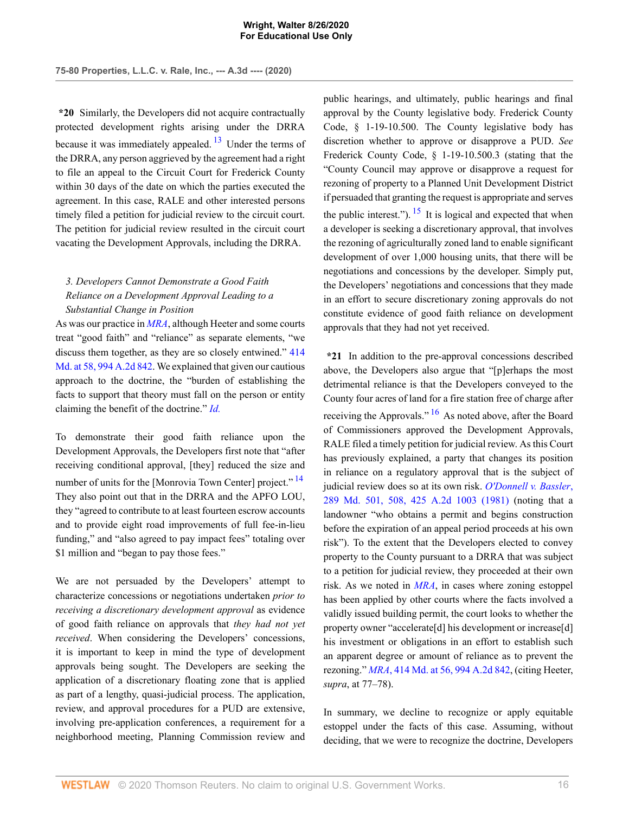**\*20** Similarly, the Developers did not acquire contractually protected development rights arising under the DRRA because it was immediately appealed.  $13$  Under the terms of the DRRA, any person aggrieved by the agreement had a right to file an appeal to the Circuit Court for Frederick County within 30 days of the date on which the parties executed the agreement. In this case, RALE and other interested persons timely filed a petition for judicial review to the circuit court. The petition for judicial review resulted in the circuit court vacating the Development Approvals, including the DRRA.

# *3. Developers Cannot Demonstrate a Good Faith Reliance on a Development Approval Leading to a Substantial Change in Position*

As was our practice in *[MRA](http://www.westlaw.com/Link/Document/FullText?findType=Y&serNum=2021980461&originatingDoc=I876021f0e68311eabffee32622d22314&refType=RP&originationContext=document&vr=3.0&rs=cblt1.0&transitionType=DocumentItem&contextData=(sc.AlertsClip))*, although Heeter and some courts treat "good faith" and "reliance" as separate elements, "we discuss them together, as they are so closely entwined." [414](http://www.westlaw.com/Link/Document/FullText?findType=Y&serNum=2021980461&pubNum=0000536&originatingDoc=I876021f0e68311eabffee32622d22314&refType=RP&fi=co_pp_sp_536_58&originationContext=document&vr=3.0&rs=cblt1.0&transitionType=DocumentItem&contextData=(sc.AlertsClip)#co_pp_sp_536_58) [Md. at 58, 994 A.2d 842](http://www.westlaw.com/Link/Document/FullText?findType=Y&serNum=2021980461&pubNum=0000536&originatingDoc=I876021f0e68311eabffee32622d22314&refType=RP&fi=co_pp_sp_536_58&originationContext=document&vr=3.0&rs=cblt1.0&transitionType=DocumentItem&contextData=(sc.AlertsClip)#co_pp_sp_536_58). We explained that given our cautious approach to the doctrine, the "burden of establishing the facts to support that theory must fall on the person or entity claiming the benefit of the doctrine." *[Id.](http://www.westlaw.com/Link/Document/FullText?findType=Y&serNum=2021980461&pubNum=0000536&originatingDoc=I876021f0e68311eabffee32622d22314&refType=RP&originationContext=document&vr=3.0&rs=cblt1.0&transitionType=DocumentItem&contextData=(sc.AlertsClip))*

To demonstrate their good faith reliance upon the Development Approvals, the Developers first note that "after receiving conditional approval, [they] reduced the size and number of units for the [Monrovia Town Center] project."<sup>[14](#page-26-1)</sup> They also point out that in the DRRA and the APFO LOU, they "agreed to contribute to at least fourteen escrow accounts and to provide eight road improvements of full fee-in-lieu funding," and "also agreed to pay impact fees" totaling over \$1 million and "began to pay those fees."

We are not persuaded by the Developers' attempt to characterize concessions or negotiations undertaken *prior to receiving a discretionary development approval* as evidence of good faith reliance on approvals that *they had not yet received*. When considering the Developers' concessions, it is important to keep in mind the type of development approvals being sought. The Developers are seeking the application of a discretionary floating zone that is applied as part of a lengthy, quasi-judicial process. The application, review, and approval procedures for a PUD are extensive, involving pre-application conferences, a requirement for a neighborhood meeting, Planning Commission review and

<span id="page-21-2"></span><span id="page-21-0"></span>public hearings, and ultimately, public hearings and final approval by the County legislative body. Frederick County Code, § 1-19-10.500. The County legislative body has discretion whether to approve or disapprove a PUD. *See* Frederick County Code, § 1-19-10.500.3 (stating that the "County Council may approve or disapprove a request for rezoning of property to a Planned Unit Development District if persuaded that granting the request is appropriate and serves the public interest.").  $15$  It is logical and expected that when a developer is seeking a discretionary approval, that involves the rezoning of agriculturally zoned land to enable significant development of over 1,000 housing units, that there will be negotiations and concessions by the developer. Simply put, the Developers' negotiations and concessions that they made in an effort to secure discretionary zoning approvals do not constitute evidence of good faith reliance on development approvals that they had not yet received.

<span id="page-21-3"></span><span id="page-21-1"></span>**\*21** In addition to the pre-approval concessions described above, the Developers also argue that "[p]erhaps the most detrimental reliance is that the Developers conveyed to the County four acres of land for a fire station free of charge after receiving the Approvals."<sup>[16](#page-26-3)</sup> As noted above, after the Board of Commissioners approved the Development Approvals, RALE filed a timely petition for judicial review. As this Court has previously explained, a party that changes its position in reliance on a regulatory approval that is the subject of judicial review does so at its own risk. *[O'Donnell v. Bassler](http://www.westlaw.com/Link/Document/FullText?findType=Y&serNum=1981106957&pubNum=0000536&originatingDoc=I876021f0e68311eabffee32622d22314&refType=RP&fi=co_pp_sp_536_508&originationContext=document&vr=3.0&rs=cblt1.0&transitionType=DocumentItem&contextData=(sc.AlertsClip)#co_pp_sp_536_508)*, [289 Md. 501, 508, 425 A.2d 1003 \(1981\)](http://www.westlaw.com/Link/Document/FullText?findType=Y&serNum=1981106957&pubNum=0000536&originatingDoc=I876021f0e68311eabffee32622d22314&refType=RP&fi=co_pp_sp_536_508&originationContext=document&vr=3.0&rs=cblt1.0&transitionType=DocumentItem&contextData=(sc.AlertsClip)#co_pp_sp_536_508) (noting that a landowner "who obtains a permit and begins construction before the expiration of an appeal period proceeds at his own risk"). To the extent that the Developers elected to convey property to the County pursuant to a DRRA that was subject to a petition for judicial review, they proceeded at their own risk. As we noted in *[MRA](http://www.westlaw.com/Link/Document/FullText?findType=Y&serNum=2021980461&originatingDoc=I876021f0e68311eabffee32622d22314&refType=RP&originationContext=document&vr=3.0&rs=cblt1.0&transitionType=DocumentItem&contextData=(sc.AlertsClip))*, in cases where zoning estoppel has been applied by other courts where the facts involved a validly issued building permit, the court looks to whether the property owner "accelerate[d] his development or increase[d] his investment or obligations in an effort to establish such an apparent degree or amount of reliance as to prevent the rezoning." *MRA*[, 414 Md. at 56, 994 A.2d 842,](http://www.westlaw.com/Link/Document/FullText?findType=Y&serNum=2021980461&pubNum=0000162&originatingDoc=I876021f0e68311eabffee32622d22314&refType=RP&fi=co_pp_sp_162_56&originationContext=document&vr=3.0&rs=cblt1.0&transitionType=DocumentItem&contextData=(sc.AlertsClip)#co_pp_sp_162_56) (citing Heeter, *supra*, at 77–78).

In summary, we decline to recognize or apply equitable estoppel under the facts of this case. Assuming, without deciding, that we were to recognize the doctrine, Developers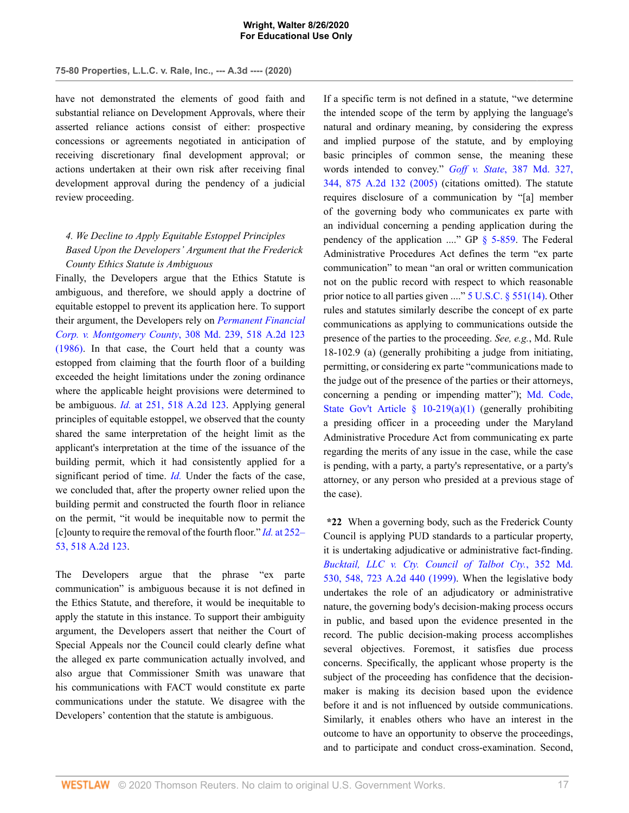have not demonstrated the elements of good faith and substantial reliance on Development Approvals, where their asserted reliance actions consist of either: prospective concessions or agreements negotiated in anticipation of receiving discretionary final development approval; or actions undertaken at their own risk after receiving final development approval during the pendency of a judicial review proceeding.

# *4. We Decline to Apply Equitable Estoppel Principles Based Upon the Developers' Argument that the Frederick County Ethics Statute is Ambiguous*

Finally, the Developers argue that the Ethics Statute is ambiguous, and therefore, we should apply a doctrine of equitable estoppel to prevent its application here. To support their argument, the Developers rely on *[Permanent Financial](http://www.westlaw.com/Link/Document/FullText?findType=Y&serNum=1986160634&pubNum=0000536&originatingDoc=I876021f0e68311eabffee32622d22314&refType=RP&originationContext=document&vr=3.0&rs=cblt1.0&transitionType=DocumentItem&contextData=(sc.AlertsClip)) Corp. v. Montgomery County*[, 308 Md. 239, 518 A.2d 123](http://www.westlaw.com/Link/Document/FullText?findType=Y&serNum=1986160634&pubNum=0000536&originatingDoc=I876021f0e68311eabffee32622d22314&refType=RP&originationContext=document&vr=3.0&rs=cblt1.0&transitionType=DocumentItem&contextData=(sc.AlertsClip)) [\(1986\).](http://www.westlaw.com/Link/Document/FullText?findType=Y&serNum=1986160634&pubNum=0000536&originatingDoc=I876021f0e68311eabffee32622d22314&refType=RP&originationContext=document&vr=3.0&rs=cblt1.0&transitionType=DocumentItem&contextData=(sc.AlertsClip)) In that case, the Court held that a county was estopped from claiming that the fourth floor of a building exceeded the height limitations under the zoning ordinance where the applicable height provisions were determined to be ambiguous. *Id.* [at 251, 518 A.2d 123](http://www.westlaw.com/Link/Document/FullText?findType=Y&serNum=1986160634&pubNum=0000162&originatingDoc=I876021f0e68311eabffee32622d22314&refType=RP&fi=co_pp_sp_162_251&originationContext=document&vr=3.0&rs=cblt1.0&transitionType=DocumentItem&contextData=(sc.AlertsClip)#co_pp_sp_162_251). Applying general principles of equitable estoppel, we observed that the county shared the same interpretation of the height limit as the applicant's interpretation at the time of the issuance of the building permit, which it had consistently applied for a significant period of time. *[Id.](http://www.westlaw.com/Link/Document/FullText?findType=Y&serNum=1986160634&pubNum=0000536&originatingDoc=I876021f0e68311eabffee32622d22314&refType=RP&originationContext=document&vr=3.0&rs=cblt1.0&transitionType=DocumentItem&contextData=(sc.AlertsClip))* Under the facts of the case, we concluded that, after the property owner relied upon the building permit and constructed the fourth floor in reliance on the permit, "it would be inequitable now to permit the [c]ounty to require the removal of the fourth floor." *Id.* [at 252–](http://www.westlaw.com/Link/Document/FullText?findType=Y&serNum=1986160634&pubNum=0000162&originatingDoc=I876021f0e68311eabffee32622d22314&refType=RP&fi=co_pp_sp_162_252&originationContext=document&vr=3.0&rs=cblt1.0&transitionType=DocumentItem&contextData=(sc.AlertsClip)#co_pp_sp_162_252) [53, 518 A.2d 123.](http://www.westlaw.com/Link/Document/FullText?findType=Y&serNum=1986160634&pubNum=0000162&originatingDoc=I876021f0e68311eabffee32622d22314&refType=RP&fi=co_pp_sp_162_252&originationContext=document&vr=3.0&rs=cblt1.0&transitionType=DocumentItem&contextData=(sc.AlertsClip)#co_pp_sp_162_252)

The Developers argue that the phrase "ex parte communication" is ambiguous because it is not defined in the Ethics Statute, and therefore, it would be inequitable to apply the statute in this instance. To support their ambiguity argument, the Developers assert that neither the Court of Special Appeals nor the Council could clearly define what the alleged ex parte communication actually involved, and also argue that Commissioner Smith was unaware that his communications with FACT would constitute ex parte communications under the statute. We disagree with the Developers' contention that the statute is ambiguous.

If a specific term is not defined in a statute, "we determine the intended scope of the term by applying the language's natural and ordinary meaning, by considering the express and implied purpose of the statute, and by employing basic principles of common sense, the meaning these words intended to convey." *Goff v. State*[, 387 Md. 327,](http://www.westlaw.com/Link/Document/FullText?findType=Y&serNum=2006740432&pubNum=0000536&originatingDoc=I876021f0e68311eabffee32622d22314&refType=RP&fi=co_pp_sp_536_344&originationContext=document&vr=3.0&rs=cblt1.0&transitionType=DocumentItem&contextData=(sc.AlertsClip)#co_pp_sp_536_344) [344, 875 A.2d 132 \(2005\)](http://www.westlaw.com/Link/Document/FullText?findType=Y&serNum=2006740432&pubNum=0000536&originatingDoc=I876021f0e68311eabffee32622d22314&refType=RP&fi=co_pp_sp_536_344&originationContext=document&vr=3.0&rs=cblt1.0&transitionType=DocumentItem&contextData=(sc.AlertsClip)#co_pp_sp_536_344) (citations omitted). The statute requires disclosure of a communication by "[a] member of the governing body who communicates ex parte with an individual concerning a pending application during the pendency of the application  $\ldots$ " GP [§ 5-859.](http://www.westlaw.com/Link/Document/FullText?findType=L&pubNum=1095368&cite=MDGPRS5-859&originatingDoc=I876021f0e68311eabffee32622d22314&refType=LQ&originationContext=document&vr=3.0&rs=cblt1.0&transitionType=DocumentItem&contextData=(sc.AlertsClip)) The Federal Administrative Procedures Act defines the term "ex parte communication" to mean "an oral or written communication not on the public record with respect to which reasonable prior notice to all parties given ...." [5 U.S.C. § 551\(14\).](http://www.westlaw.com/Link/Document/FullText?findType=L&pubNum=1000546&cite=5USCAS551&originatingDoc=I876021f0e68311eabffee32622d22314&refType=RB&originationContext=document&vr=3.0&rs=cblt1.0&transitionType=DocumentItem&contextData=(sc.AlertsClip)#co_pp_7c720000bea05) Other rules and statutes similarly describe the concept of ex parte communications as applying to communications outside the presence of the parties to the proceeding. *See, e.g.*, Md. Rule 18-102.9 (a) (generally prohibiting a judge from initiating, permitting, or considering ex parte "communications made to the judge out of the presence of the parties or their attorneys, concerning a pending or impending matter"); [Md. Code,](http://www.westlaw.com/Link/Document/FullText?findType=L&pubNum=1000032&cite=MDSGS10-219&originatingDoc=I876021f0e68311eabffee32622d22314&refType=SP&originationContext=document&vr=3.0&rs=cblt1.0&transitionType=DocumentItem&contextData=(sc.AlertsClip)#co_pp_7b9b000044381) State Gov't Article  $\S$  10-219(a)(1) (generally prohibiting a presiding officer in a proceeding under the Maryland Administrative Procedure Act from communicating ex parte regarding the merits of any issue in the case, while the case is pending, with a party, a party's representative, or a party's attorney, or any person who presided at a previous stage of the case).

**\*22** When a governing body, such as the Frederick County Council is applying PUD standards to a particular property, it is undertaking adjudicative or administrative fact-finding. *[Bucktail, LLC v. Cty. Council of Talbot Cty.](http://www.westlaw.com/Link/Document/FullText?findType=Y&serNum=1999038684&pubNum=0000536&originatingDoc=I876021f0e68311eabffee32622d22314&refType=RP&fi=co_pp_sp_536_548&originationContext=document&vr=3.0&rs=cblt1.0&transitionType=DocumentItem&contextData=(sc.AlertsClip)#co_pp_sp_536_548)*, 352 Md. [530, 548, 723 A.2d 440 \(1999\)](http://www.westlaw.com/Link/Document/FullText?findType=Y&serNum=1999038684&pubNum=0000536&originatingDoc=I876021f0e68311eabffee32622d22314&refType=RP&fi=co_pp_sp_536_548&originationContext=document&vr=3.0&rs=cblt1.0&transitionType=DocumentItem&contextData=(sc.AlertsClip)#co_pp_sp_536_548). When the legislative body undertakes the role of an adjudicatory or administrative nature, the governing body's decision-making process occurs in public, and based upon the evidence presented in the record. The public decision-making process accomplishes several objectives. Foremost, it satisfies due process concerns. Specifically, the applicant whose property is the subject of the proceeding has confidence that the decisionmaker is making its decision based upon the evidence before it and is not influenced by outside communications. Similarly, it enables others who have an interest in the outcome to have an opportunity to observe the proceedings, and to participate and conduct cross-examination. Second,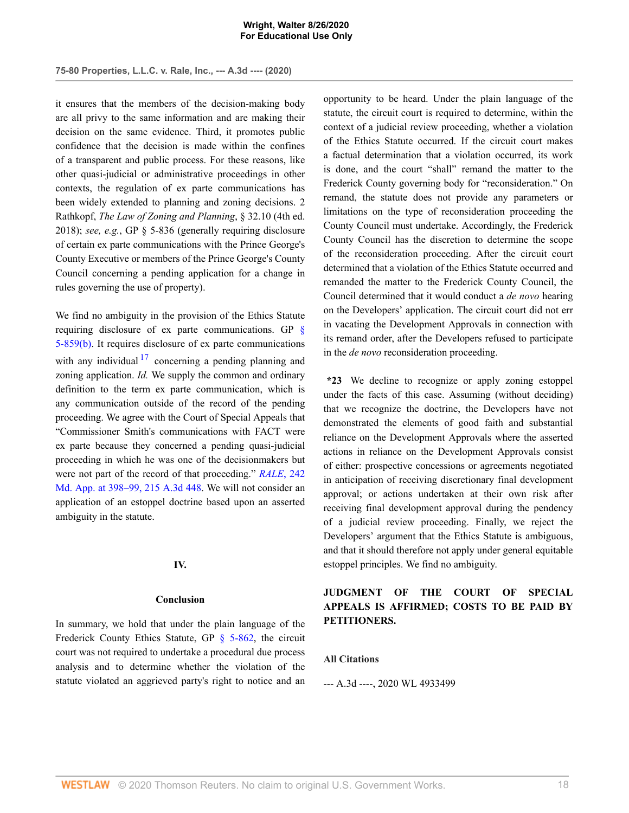it ensures that the members of the decision-making body are all privy to the same information and are making their decision on the same evidence. Third, it promotes public confidence that the decision is made within the confines of a transparent and public process. For these reasons, like other quasi-judicial or administrative proceedings in other contexts, the regulation of ex parte communications has been widely extended to planning and zoning decisions. 2 Rathkopf, *The Law of Zoning and Planning*, § 32.10 (4th ed. 2018); *see, e.g.*, GP § 5-836 (generally requiring disclosure of certain ex parte communications with the Prince George's County Executive or members of the Prince George's County Council concerning a pending application for a change in rules governing the use of property).

<span id="page-23-0"></span>We find no ambiguity in the provision of the Ethics Statute requiring disclosure of ex parte communications. GP [§](http://www.westlaw.com/Link/Document/FullText?findType=L&pubNum=1095368&cite=MDGPRS5-859&originatingDoc=I876021f0e68311eabffee32622d22314&refType=LQ&originationContext=document&vr=3.0&rs=cblt1.0&transitionType=DocumentItem&contextData=(sc.AlertsClip)) [5-859\(b\).](http://www.westlaw.com/Link/Document/FullText?findType=L&pubNum=1095368&cite=MDGPRS5-859&originatingDoc=I876021f0e68311eabffee32622d22314&refType=LQ&originationContext=document&vr=3.0&rs=cblt1.0&transitionType=DocumentItem&contextData=(sc.AlertsClip)) It requires disclosure of ex parte communications with any individual  $17$  concerning a pending planning and zoning application. *Id.* We supply the common and ordinary definition to the term ex parte communication, which is any communication outside of the record of the pending proceeding. We agree with the Court of Special Appeals that "Commissioner Smith's communications with FACT were ex parte because they concerned a pending quasi-judicial proceeding in which he was one of the decisionmakers but were not part of the record of that proceeding." *[RALE](http://www.westlaw.com/Link/Document/FullText?findType=Y&serNum=2049060801&pubNum=0000537&originatingDoc=I876021f0e68311eabffee32622d22314&refType=RP&fi=co_pp_sp_537_398&originationContext=document&vr=3.0&rs=cblt1.0&transitionType=DocumentItem&contextData=(sc.AlertsClip)#co_pp_sp_537_398)*, 242 [Md. App. at 398–99, 215 A.3d 448](http://www.westlaw.com/Link/Document/FullText?findType=Y&serNum=2049060801&pubNum=0000537&originatingDoc=I876021f0e68311eabffee32622d22314&refType=RP&fi=co_pp_sp_537_398&originationContext=document&vr=3.0&rs=cblt1.0&transitionType=DocumentItem&contextData=(sc.AlertsClip)#co_pp_sp_537_398). We will not consider an application of an estoppel doctrine based upon an asserted ambiguity in the statute.

## **IV.**

### **Conclusion**

In summary, we hold that under the plain language of the Frederick County Ethics Statute, GP [§ 5-862](http://www.westlaw.com/Link/Document/FullText?findType=L&pubNum=1095368&cite=MDGPRS5-862&originatingDoc=I876021f0e68311eabffee32622d22314&refType=LQ&originationContext=document&vr=3.0&rs=cblt1.0&transitionType=DocumentItem&contextData=(sc.AlertsClip)), the circuit court was not required to undertake a procedural due process analysis and to determine whether the violation of the statute violated an aggrieved party's right to notice and an opportunity to be heard. Under the plain language of the statute, the circuit court is required to determine, within the context of a judicial review proceeding, whether a violation of the Ethics Statute occurred. If the circuit court makes a factual determination that a violation occurred, its work is done, and the court "shall" remand the matter to the Frederick County governing body for "reconsideration." On remand, the statute does not provide any parameters or limitations on the type of reconsideration proceeding the County Council must undertake. Accordingly, the Frederick County Council has the discretion to determine the scope of the reconsideration proceeding. After the circuit court determined that a violation of the Ethics Statute occurred and remanded the matter to the Frederick County Council, the Council determined that it would conduct a *de novo* hearing on the Developers' application. The circuit court did not err in vacating the Development Approvals in connection with its remand order, after the Developers refused to participate in the *de novo* reconsideration proceeding.

**\*23** We decline to recognize or apply zoning estoppel under the facts of this case. Assuming (without deciding) that we recognize the doctrine, the Developers have not demonstrated the elements of good faith and substantial reliance on the Development Approvals where the asserted actions in reliance on the Development Approvals consist of either: prospective concessions or agreements negotiated in anticipation of receiving discretionary final development approval; or actions undertaken at their own risk after receiving final development approval during the pendency of a judicial review proceeding. Finally, we reject the Developers' argument that the Ethics Statute is ambiguous, and that it should therefore not apply under general equitable estoppel principles. We find no ambiguity.

# **JUDGMENT OF THE COURT OF SPECIAL APPEALS IS AFFIRMED; COSTS TO BE PAID BY PETITIONERS.**

## **All Citations**

--- A.3d ----, 2020 WL 4933499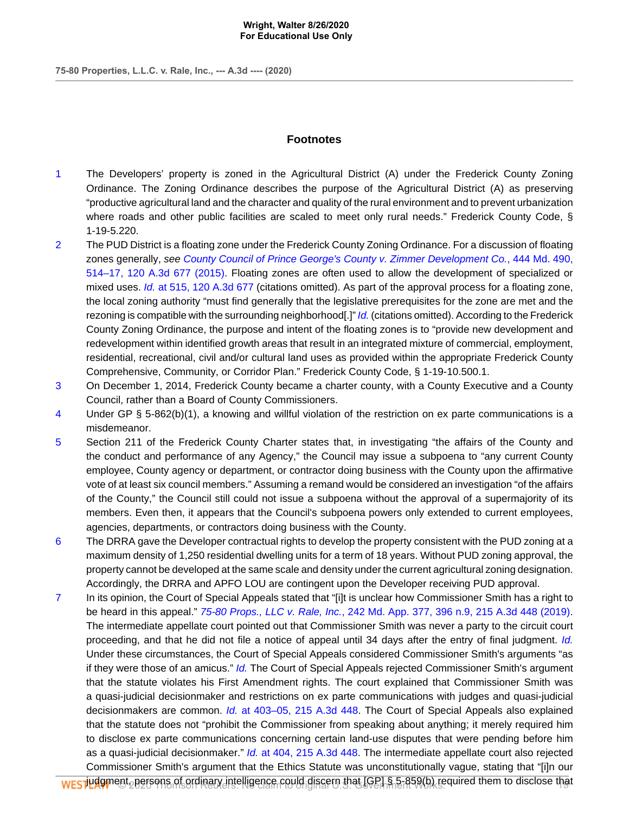# **Footnotes**

- <span id="page-24-0"></span>[1](#page-6-0) The Developers' property is zoned in the Agricultural District (A) under the Frederick County Zoning Ordinance. The Zoning Ordinance describes the purpose of the Agricultural District (A) as preserving "productive agricultural land and the character and quality of the rural environment and to prevent urbanization where roads and other public facilities are scaled to meet only rural needs." Frederick County Code, § 1-19-5.220.
- <span id="page-24-1"></span>[2](#page-7-0) The PUD District is a floating zone under the Frederick County Zoning Ordinance. For a discussion of floating zones generally, see [County Council of Prince George's County v. Zimmer Development Co.](http://www.westlaw.com/Link/Document/FullText?findType=Y&serNum=2036919363&pubNum=0000536&originatingDoc=I876021f0e68311eabffee32622d22314&refType=RP&fi=co_pp_sp_536_514&originationContext=document&vr=3.0&rs=cblt1.0&transitionType=DocumentItem&contextData=(sc.AlertsClip)#co_pp_sp_536_514), 444 Md. 490, [514–17, 120 A.3d 677 \(2015\).](http://www.westlaw.com/Link/Document/FullText?findType=Y&serNum=2036919363&pubNum=0000536&originatingDoc=I876021f0e68311eabffee32622d22314&refType=RP&fi=co_pp_sp_536_514&originationContext=document&vr=3.0&rs=cblt1.0&transitionType=DocumentItem&contextData=(sc.AlertsClip)#co_pp_sp_536_514) Floating zones are often used to allow the development of specialized or mixed uses. *Id.* [at 515, 120 A.3d 677](http://www.westlaw.com/Link/Document/FullText?findType=Y&serNum=2036919363&pubNum=0007691&originatingDoc=I876021f0e68311eabffee32622d22314&refType=RP&fi=co_pp_sp_7691_515&originationContext=document&vr=3.0&rs=cblt1.0&transitionType=DocumentItem&contextData=(sc.AlertsClip)#co_pp_sp_7691_515) (citations omitted). As part of the approval process for a floating zone, the local zoning authority "must find generally that the legislative prerequisites for the zone are met and the rezoning is compatible with the surrounding neighborhood[.]" [Id.](http://www.westlaw.com/Link/Document/FullText?findType=Y&serNum=2036919363&pubNum=0000536&originatingDoc=I876021f0e68311eabffee32622d22314&refType=RP&originationContext=document&vr=3.0&rs=cblt1.0&transitionType=DocumentItem&contextData=(sc.AlertsClip)) (citations omitted). According to the Frederick County Zoning Ordinance, the purpose and intent of the floating zones is to "provide new development and redevelopment within identified growth areas that result in an integrated mixture of commercial, employment, residential, recreational, civil and/or cultural land uses as provided within the appropriate Frederick County Comprehensive, Community, or Corridor Plan." Frederick County Code, § 1-19-10.500.1.
- <span id="page-24-2"></span>[3](#page-9-0) On December 1, 2014, Frederick County became a charter county, with a County Executive and a County Council, rather than a Board of County Commissioners.
- <span id="page-24-3"></span>[4](#page-9-1) Under GP § 5-862(b)(1), a knowing and willful violation of the restriction on ex parte communications is a misdemeanor.
- <span id="page-24-4"></span>[5](#page-10-0) Section 211 of the Frederick County Charter states that, in investigating "the affairs of the County and the conduct and performance of any Agency," the Council may issue a subpoena to "any current County employee, County agency or department, or contractor doing business with the County upon the affirmative vote of at least six council members." Assuming a remand would be considered an investigation "of the affairs of the County," the Council still could not issue a subpoena without the approval of a supermajority of its members. Even then, it appears that the Council's subpoena powers only extended to current employees, agencies, departments, or contractors doing business with the County.
- <span id="page-24-5"></span>[6](#page-11-0) The DRRA gave the Developer contractual rights to develop the property consistent with the PUD zoning at a maximum density of 1,250 residential dwelling units for a term of 18 years. Without PUD zoning approval, the property cannot be developed at the same scale and density under the current agricultural zoning designation. Accordingly, the DRRA and APFO LOU are contingent upon the Developer receiving PUD approval.
- <span id="page-24-6"></span>[7](#page-12-0) In its opinion, the Court of Special Appeals stated that "[i]t is unclear how Commissioner Smith has a right to be heard in this appeal." 75-80 Props., LLC v. Rale, Inc.[, 242 Md. App. 377, 396 n.9, 215 A.3d 448 \(2019\)](http://www.westlaw.com/Link/Document/FullText?findType=Y&serNum=2049060801&pubNum=0007691&originatingDoc=I876021f0e68311eabffee32622d22314&refType=RP&fi=co_pp_sp_7691_396&originationContext=document&vr=3.0&rs=cblt1.0&transitionType=DocumentItem&contextData=(sc.AlertsClip)#co_pp_sp_7691_396). The intermediate appellate court pointed out that Commissioner Smith was never a party to the circuit court proceeding, and that he did not file a notice of appeal until 34 days after the entry of final judgment. [Id.](http://www.westlaw.com/Link/Document/FullText?findType=Y&serNum=2049060801&pubNum=0000537&originatingDoc=I876021f0e68311eabffee32622d22314&refType=RP&originationContext=document&vr=3.0&rs=cblt1.0&transitionType=DocumentItem&contextData=(sc.AlertsClip)) Under these circumstances, the Court of Special Appeals considered Commissioner Smith's arguments "as if they were those of an amicus." [Id.](http://www.westlaw.com/Link/Document/FullText?findType=Y&serNum=2049060801&pubNum=0000537&originatingDoc=I876021f0e68311eabffee32622d22314&refType=RP&originationContext=document&vr=3.0&rs=cblt1.0&transitionType=DocumentItem&contextData=(sc.AlertsClip)) The Court of Special Appeals rejected Commissioner Smith's argument that the statute violates his First Amendment rights. The court explained that Commissioner Smith was a quasi-judicial decisionmaker and restrictions on ex parte communications with judges and quasi-judicial decisionmakers are common. Id. [at 403–05, 215 A.3d 448.](http://www.westlaw.com/Link/Document/FullText?findType=Y&serNum=2049060801&pubNum=0007691&originatingDoc=I876021f0e68311eabffee32622d22314&refType=RP&fi=co_pp_sp_7691_403&originationContext=document&vr=3.0&rs=cblt1.0&transitionType=DocumentItem&contextData=(sc.AlertsClip)#co_pp_sp_7691_403) The Court of Special Appeals also explained that the statute does not "prohibit the Commissioner from speaking about anything; it merely required him to disclose ex parte communications concerning certain land-use disputes that were pending before him as a quasi-judicial decisionmaker." Id. [at 404, 215 A.3d 448](http://www.westlaw.com/Link/Document/FullText?findType=Y&serNum=2049060801&pubNum=0007691&originatingDoc=I876021f0e68311eabffee32622d22314&refType=RP&fi=co_pp_sp_7691_404&originationContext=document&vr=3.0&rs=cblt1.0&transitionType=DocumentItem&contextData=(sc.AlertsClip)#co_pp_sp_7691_404). The intermediate appellate court also rejected Commissioner Smith's argument that the Ethics Statute was unconstitutionally vague, stating that "[i]n our

j<mark>udgm</mark>ent, persons of ordinary intelligence could discern that [GP] § 5-859(b), required them to disclose that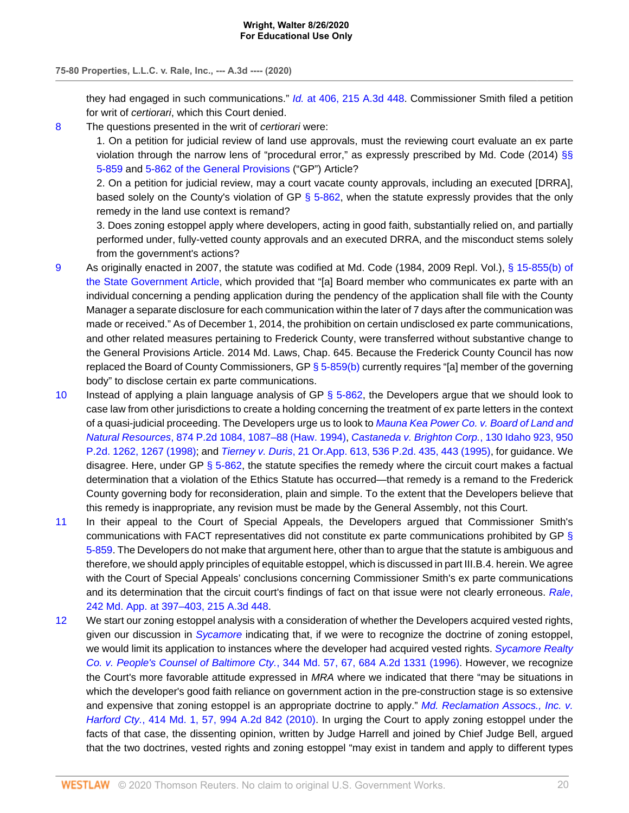they had engaged in such communications." Id. [at 406, 215 A.3d 448.](http://www.westlaw.com/Link/Document/FullText?findType=Y&serNum=2049060801&pubNum=0007691&originatingDoc=I876021f0e68311eabffee32622d22314&refType=RP&fi=co_pp_sp_7691_406&originationContext=document&vr=3.0&rs=cblt1.0&transitionType=DocumentItem&contextData=(sc.AlertsClip)#co_pp_sp_7691_406) Commissioner Smith filed a petition for writ of certiorari, which this Court denied.

<span id="page-25-0"></span>[8](#page-12-1) The questions presented in the writ of certiorari were:

1. On a petition for judicial review of land use approvals, must the reviewing court evaluate an ex parte violation through the narrow lens of "procedural error," as expressly prescribed by Md. Code (2014) [§§](http://www.westlaw.com/Link/Document/FullText?findType=L&pubNum=1095368&cite=MDGPRS5-859&originatingDoc=I876021f0e68311eabffee32622d22314&refType=LQ&originationContext=document&vr=3.0&rs=cblt1.0&transitionType=DocumentItem&contextData=(sc.AlertsClip)) [5-859](http://www.westlaw.com/Link/Document/FullText?findType=L&pubNum=1095368&cite=MDGPRS5-859&originatingDoc=I876021f0e68311eabffee32622d22314&refType=LQ&originationContext=document&vr=3.0&rs=cblt1.0&transitionType=DocumentItem&contextData=(sc.AlertsClip)) and [5-862 of the General Provisions](http://www.westlaw.com/Link/Document/FullText?findType=L&pubNum=1095368&cite=MDGPRS5-862&originatingDoc=I876021f0e68311eabffee32622d22314&refType=LQ&originationContext=document&vr=3.0&rs=cblt1.0&transitionType=DocumentItem&contextData=(sc.AlertsClip)) ("GP") Article?

2. On a petition for judicial review, may a court vacate county approvals, including an executed [DRRA], based solely on the County's violation of GP  $\S$  5-862, when the statute expressly provides that the only remedy in the land use context is remand?

3. Does zoning estoppel apply where developers, acting in good faith, substantially relied on, and partially performed under, fully-vetted county approvals and an executed DRRA, and the misconduct stems solely from the government's actions?

- <span id="page-25-1"></span>[9](#page-14-0) As originally enacted in 2007, the statute was codified at Md. Code (1984, 2009 Repl. Vol.), [§ 15-855\(b\) of](http://www.westlaw.com/Link/Document/FullText?findType=L&pubNum=1000032&cite=MDSGS15-855&originatingDoc=I876021f0e68311eabffee32622d22314&refType=LQ&originationContext=document&vr=3.0&rs=cblt1.0&transitionType=DocumentItem&contextData=(sc.AlertsClip)) [the State Government Article,](http://www.westlaw.com/Link/Document/FullText?findType=L&pubNum=1000032&cite=MDSGS15-855&originatingDoc=I876021f0e68311eabffee32622d22314&refType=LQ&originationContext=document&vr=3.0&rs=cblt1.0&transitionType=DocumentItem&contextData=(sc.AlertsClip)) which provided that "[a] Board member who communicates ex parte with an individual concerning a pending application during the pendency of the application shall file with the County Manager a separate disclosure for each communication within the later of 7 days after the communication was made or received." As of December 1, 2014, the prohibition on certain undisclosed ex parte communications, and other related measures pertaining to Frederick County, were transferred without substantive change to the General Provisions Article. 2014 Md. Laws, Chap. 645. Because the Frederick County Council has now replaced the Board of County Commissioners, GP [§ 5-859\(b\)](http://www.westlaw.com/Link/Document/FullText?findType=L&pubNum=1095368&cite=MDGPRS5-859&originatingDoc=I876021f0e68311eabffee32622d22314&refType=LQ&originationContext=document&vr=3.0&rs=cblt1.0&transitionType=DocumentItem&contextData=(sc.AlertsClip)) currently requires "[a] member of the governing body" to disclose certain ex parte communications.
- <span id="page-25-2"></span>[10](#page-16-0) Instead of applying a plain language analysis of GP [§ 5-862](http://www.westlaw.com/Link/Document/FullText?findType=L&pubNum=1095368&cite=MDGPRS5-862&originatingDoc=I876021f0e68311eabffee32622d22314&refType=LQ&originationContext=document&vr=3.0&rs=cblt1.0&transitionType=DocumentItem&contextData=(sc.AlertsClip)), the Developers argue that we should look to case law from other jurisdictions to create a holding concerning the treatment of ex parte letters in the context of a quasi-judicial proceeding. The Developers urge us to look to [Mauna Kea Power Co. v. Board of Land and](http://www.westlaw.com/Link/Document/FullText?findType=Y&serNum=1994115838&pubNum=0000661&originatingDoc=I876021f0e68311eabffee32622d22314&refType=RP&fi=co_pp_sp_661_1087&originationContext=document&vr=3.0&rs=cblt1.0&transitionType=DocumentItem&contextData=(sc.AlertsClip)#co_pp_sp_661_1087) Natural Resources[, 874 P.2d 1084, 1087–88 \(Haw. 1994\),](http://www.westlaw.com/Link/Document/FullText?findType=Y&serNum=1994115838&pubNum=0000661&originatingDoc=I876021f0e68311eabffee32622d22314&refType=RP&fi=co_pp_sp_661_1087&originationContext=document&vr=3.0&rs=cblt1.0&transitionType=DocumentItem&contextData=(sc.AlertsClip)#co_pp_sp_661_1087) [Castaneda v. Brighton Corp.](http://www.westlaw.com/Link/Document/FullText?findType=Y&serNum=1998029620&pubNum=0000661&originatingDoc=I876021f0e68311eabffee32622d22314&refType=RP&fi=co_pp_sp_661_1267&originationContext=document&vr=3.0&rs=cblt1.0&transitionType=DocumentItem&contextData=(sc.AlertsClip)#co_pp_sp_661_1267), 130 Idaho 923, 950 [P.2d. 1262, 1267 \(1998\);](http://www.westlaw.com/Link/Document/FullText?findType=Y&serNum=1998029620&pubNum=0000661&originatingDoc=I876021f0e68311eabffee32622d22314&refType=RP&fi=co_pp_sp_661_1267&originationContext=document&vr=3.0&rs=cblt1.0&transitionType=DocumentItem&contextData=(sc.AlertsClip)#co_pp_sp_661_1267) and Tierney v. Duris[, 21 Or.App. 613, 536 P.2d. 435, 443 \(1995\),](http://www.westlaw.com/Link/Document/FullText?findType=Y&serNum=1975126856&pubNum=0000661&originatingDoc=I876021f0e68311eabffee32622d22314&refType=RP&fi=co_pp_sp_661_443&originationContext=document&vr=3.0&rs=cblt1.0&transitionType=DocumentItem&contextData=(sc.AlertsClip)#co_pp_sp_661_443) for guidance. We disagree. Here, under GP  $\S$  5-862, the statute specifies the remedy where the circuit court makes a factual determination that a violation of the Ethics Statute has occurred—that remedy is a remand to the Frederick County governing body for reconsideration, plain and simple. To the extent that the Developers believe that this remedy is inappropriate, any revision must be made by the General Assembly, not this Court.
- <span id="page-25-3"></span>[11](#page-17-0) In their appeal to the Court of Special Appeals, the Developers argued that Commissioner Smith's communications with FACT representatives did not constitute ex parte communications prohibited by GP [§](http://www.westlaw.com/Link/Document/FullText?findType=L&pubNum=1095368&cite=MDGPRS5-859&originatingDoc=I876021f0e68311eabffee32622d22314&refType=LQ&originationContext=document&vr=3.0&rs=cblt1.0&transitionType=DocumentItem&contextData=(sc.AlertsClip)) [5-859.](http://www.westlaw.com/Link/Document/FullText?findType=L&pubNum=1095368&cite=MDGPRS5-859&originatingDoc=I876021f0e68311eabffee32622d22314&refType=LQ&originationContext=document&vr=3.0&rs=cblt1.0&transitionType=DocumentItem&contextData=(sc.AlertsClip)) The Developers do not make that argument here, other than to argue that the statute is ambiguous and therefore, we should apply principles of equitable estoppel, which is discussed in part III.B.4. herein. We agree with the Court of Special Appeals' conclusions concerning Commissioner Smith's ex parte communications and its determination that the circuit court's findings of fact on that issue were not clearly erroneous. [Rale](http://www.westlaw.com/Link/Document/FullText?findType=Y&serNum=2049060801&pubNum=0007691&originatingDoc=I876021f0e68311eabffee32622d22314&refType=RP&fi=co_pp_sp_7691_397&originationContext=document&vr=3.0&rs=cblt1.0&transitionType=DocumentItem&contextData=(sc.AlertsClip)#co_pp_sp_7691_397), [242 Md. App. at 397–403, 215 A.3d 448](http://www.westlaw.com/Link/Document/FullText?findType=Y&serNum=2049060801&pubNum=0007691&originatingDoc=I876021f0e68311eabffee32622d22314&refType=RP&fi=co_pp_sp_7691_397&originationContext=document&vr=3.0&rs=cblt1.0&transitionType=DocumentItem&contextData=(sc.AlertsClip)#co_pp_sp_7691_397).
- <span id="page-25-4"></span>[12](#page-20-0) We start our zoning estoppel analysis with a consideration of whether the Developers acquired vested rights, given our discussion in *[Sycamore](http://www.westlaw.com/Link/Document/FullText?findType=Y&serNum=1996261493&pubNum=0000536&originatingDoc=I876021f0e68311eabffee32622d22314&refType=RP&originationContext=document&vr=3.0&rs=cblt1.0&transitionType=DocumentItem&contextData=(sc.AlertsClip))* indicating that, if we were to recognize the doctrine of zoning estoppel, we would limit its application to instances where the developer had acquired vested rights. [Sycamore Realty](http://www.westlaw.com/Link/Document/FullText?findType=Y&serNum=1996261493&pubNum=0000536&originatingDoc=I876021f0e68311eabffee32622d22314&refType=RP&fi=co_pp_sp_536_67&originationContext=document&vr=3.0&rs=cblt1.0&transitionType=DocumentItem&contextData=(sc.AlertsClip)#co_pp_sp_536_67) [Co. v. People's Counsel of Baltimore Cty.](http://www.westlaw.com/Link/Document/FullText?findType=Y&serNum=1996261493&pubNum=0000536&originatingDoc=I876021f0e68311eabffee32622d22314&refType=RP&fi=co_pp_sp_536_67&originationContext=document&vr=3.0&rs=cblt1.0&transitionType=DocumentItem&contextData=(sc.AlertsClip)#co_pp_sp_536_67), 344 Md. 57, 67, 684 A.2d 1331 (1996). However, we recognize the Court's more favorable attitude expressed in MRA where we indicated that there "may be situations in which the developer's good faith reliance on government action in the pre-construction stage is so extensive and expensive that zoning estoppel is an appropriate doctrine to apply." [Md. Reclamation Assocs., Inc. v.](http://www.westlaw.com/Link/Document/FullText?findType=Y&serNum=2021980461&pubNum=0000536&originatingDoc=I876021f0e68311eabffee32622d22314&refType=RP&fi=co_pp_sp_536_57&originationContext=document&vr=3.0&rs=cblt1.0&transitionType=DocumentItem&contextData=(sc.AlertsClip)#co_pp_sp_536_57) Harford Cty.[, 414 Md. 1, 57, 994 A.2d 842 \(2010\)](http://www.westlaw.com/Link/Document/FullText?findType=Y&serNum=2021980461&pubNum=0000536&originatingDoc=I876021f0e68311eabffee32622d22314&refType=RP&fi=co_pp_sp_536_57&originationContext=document&vr=3.0&rs=cblt1.0&transitionType=DocumentItem&contextData=(sc.AlertsClip)#co_pp_sp_536_57). In urging the Court to apply zoning estoppel under the facts of that case, the dissenting opinion, written by Judge Harrell and joined by Chief Judge Bell, argued that the two doctrines, vested rights and zoning estoppel "may exist in tandem and apply to different types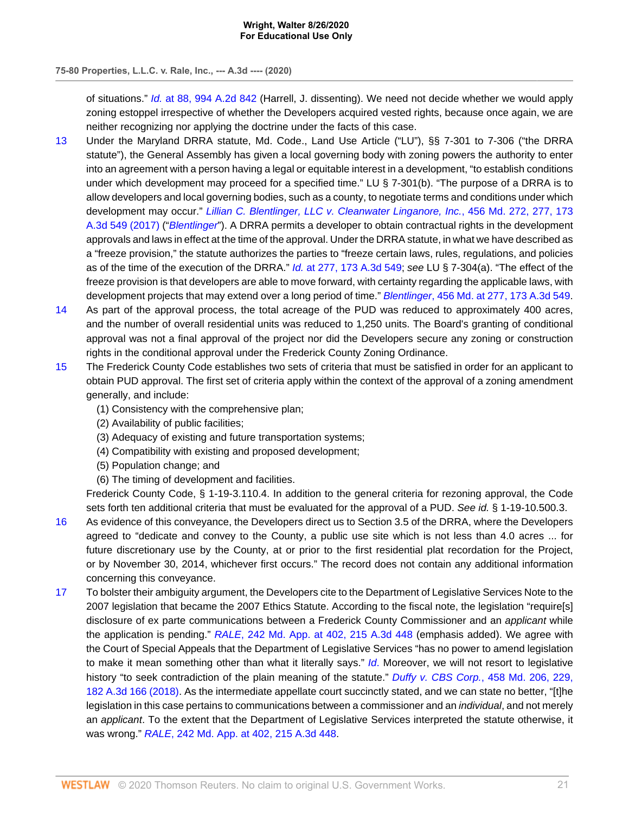## **75-80 Properties, L.L.C. v. Rale, Inc., --- A.3d ---- (2020)**

of situations." Id. [at 88, 994 A.2d 842](http://www.westlaw.com/Link/Document/FullText?findType=Y&serNum=2021980461&pubNum=0000162&originatingDoc=I876021f0e68311eabffee32622d22314&refType=RP&fi=co_pp_sp_162_88&originationContext=document&vr=3.0&rs=cblt1.0&transitionType=DocumentItem&contextData=(sc.AlertsClip)#co_pp_sp_162_88) (Harrell, J. dissenting). We need not decide whether we would apply zoning estoppel irrespective of whether the Developers acquired vested rights, because once again, we are neither recognizing nor applying the doctrine under the facts of this case.

- <span id="page-26-0"></span>[13](#page-21-0) Under the Maryland DRRA statute, Md. Code., Land Use Article ("LU"), §§ 7-301 to 7-306 ("the DRRA statute"), the General Assembly has given a local governing body with zoning powers the authority to enter into an agreement with a person having a legal or equitable interest in a development, "to establish conditions under which development may proceed for a specified time." LU § 7-301(b). "The purpose of a DRRA is to allow developers and local governing bodies, such as a county, to negotiate terms and conditions under which development may occur." [Lillian C. Blentlinger, LLC v. Cleanwater Linganore, Inc.](http://www.westlaw.com/Link/Document/FullText?findType=Y&serNum=2043207014&pubNum=0000536&originatingDoc=I876021f0e68311eabffee32622d22314&refType=RP&fi=co_pp_sp_536_277&originationContext=document&vr=3.0&rs=cblt1.0&transitionType=DocumentItem&contextData=(sc.AlertsClip)#co_pp_sp_536_277), 456 Md. 272, 277, 173 [A.3d 549 \(2017\)](http://www.westlaw.com/Link/Document/FullText?findType=Y&serNum=2043207014&pubNum=0000536&originatingDoc=I876021f0e68311eabffee32622d22314&refType=RP&fi=co_pp_sp_536_277&originationContext=document&vr=3.0&rs=cblt1.0&transitionType=DocumentItem&contextData=(sc.AlertsClip)#co_pp_sp_536_277) ("[Blentlinger](http://www.westlaw.com/Link/Document/FullText?findType=Y&serNum=2043207014&pubNum=0000536&originatingDoc=I876021f0e68311eabffee32622d22314&refType=RP&originationContext=document&vr=3.0&rs=cblt1.0&transitionType=DocumentItem&contextData=(sc.AlertsClip))"). A DRRA permits a developer to obtain contractual rights in the development approvals and laws in effect at the time of the approval. Under the DRRA statute, in what we have described as a "freeze provision," the statute authorizes the parties to "freeze certain laws, rules, regulations, and policies as of the time of the execution of the DRRA." Id. [at 277, 173 A.3d 549](http://www.westlaw.com/Link/Document/FullText?findType=Y&serNum=2043207014&pubNum=0007691&originatingDoc=I876021f0e68311eabffee32622d22314&refType=RP&fi=co_pp_sp_7691_277&originationContext=document&vr=3.0&rs=cblt1.0&transitionType=DocumentItem&contextData=(sc.AlertsClip)#co_pp_sp_7691_277); see LU § 7-304(a). "The effect of the freeze provision is that developers are able to move forward, with certainty regarding the applicable laws, with development projects that may extend over a long period of time." Blentlinger[, 456 Md. at 277, 173 A.3d 549](http://www.westlaw.com/Link/Document/FullText?findType=Y&serNum=2043207014&pubNum=0000536&originatingDoc=I876021f0e68311eabffee32622d22314&refType=RP&fi=co_pp_sp_536_277&originationContext=document&vr=3.0&rs=cblt1.0&transitionType=DocumentItem&contextData=(sc.AlertsClip)#co_pp_sp_536_277).
- <span id="page-26-1"></span>[14](#page-21-1) As part of the approval process, the total acreage of the PUD was reduced to approximately 400 acres, and the number of overall residential units was reduced to 1,250 units. The Board's granting of conditional approval was not a final approval of the project nor did the Developers secure any zoning or construction rights in the conditional approval under the Frederick County Zoning Ordinance.
- <span id="page-26-2"></span>[15](#page-21-2) The Frederick County Code establishes two sets of criteria that must be satisfied in order for an applicant to obtain PUD approval. The first set of criteria apply within the context of the approval of a zoning amendment generally, and include:
	- (1) Consistency with the comprehensive plan;
	- (2) Availability of public facilities;
	- (3) Adequacy of existing and future transportation systems;
	- (4) Compatibility with existing and proposed development;
	- (5) Population change; and
	- (6) The timing of development and facilities.

Frederick County Code, § 1-19-3.110.4. In addition to the general criteria for rezoning approval, the Code sets forth ten additional criteria that must be evaluated for the approval of a PUD. See id. § 1-19-10.500.3.

- <span id="page-26-3"></span>[16](#page-21-3) As evidence of this conveyance, the Developers direct us to Section 3.5 of the DRRA, where the Developers agreed to "dedicate and convey to the County, a public use site which is not less than 4.0 acres ... for future discretionary use by the County, at or prior to the first residential plat recordation for the Project, or by November 30, 2014, whichever first occurs." The record does not contain any additional information concerning this conveyance.
- <span id="page-26-4"></span>[17](#page-23-0) To bolster their ambiguity argument, the Developers cite to the Department of Legislative Services Note to the 2007 legislation that became the 2007 Ethics Statute. According to the fiscal note, the legislation "require[s] disclosure of ex parte communications between a Frederick County Commissioner and an applicant while the application is pending." RALE[, 242 Md. App. at 402, 215 A.3d 448](http://www.westlaw.com/Link/Document/FullText?findType=Y&serNum=2049060801&pubNum=0000537&originatingDoc=I876021f0e68311eabffee32622d22314&refType=RP&fi=co_pp_sp_537_402&originationContext=document&vr=3.0&rs=cblt1.0&transitionType=DocumentItem&contextData=(sc.AlertsClip)#co_pp_sp_537_402) (emphasis added). We agree with the Court of Special Appeals that the Department of Legislative Services "has no power to amend legislation to make it mean something other than what it literally says." [Id](http://www.westlaw.com/Link/Document/FullText?findType=Y&serNum=2049060801&pubNum=0000537&originatingDoc=I876021f0e68311eabffee32622d22314&refType=RP&originationContext=document&vr=3.0&rs=cblt1.0&transitionType=DocumentItem&contextData=(sc.AlertsClip)). Moreover, we will not resort to legislative history "to seek contradiction of the plain meaning of the statute." Duffy v. CBS Corp.[, 458 Md. 206, 229,](http://www.westlaw.com/Link/Document/FullText?findType=Y&serNum=2044170554&pubNum=0000536&originatingDoc=I876021f0e68311eabffee32622d22314&refType=RP&fi=co_pp_sp_536_229&originationContext=document&vr=3.0&rs=cblt1.0&transitionType=DocumentItem&contextData=(sc.AlertsClip)#co_pp_sp_536_229) [182 A.3d 166 \(2018\)](http://www.westlaw.com/Link/Document/FullText?findType=Y&serNum=2044170554&pubNum=0000536&originatingDoc=I876021f0e68311eabffee32622d22314&refType=RP&fi=co_pp_sp_536_229&originationContext=document&vr=3.0&rs=cblt1.0&transitionType=DocumentItem&contextData=(sc.AlertsClip)#co_pp_sp_536_229). As the intermediate appellate court succinctly stated, and we can state no better, "[t]he legislation in this case pertains to communications between a commissioner and an *individual*, and not merely an applicant. To the extent that the Department of Legislative Services interpreted the statute otherwise, it was wrong." RALE[, 242 Md. App. at 402, 215 A.3d 448](http://www.westlaw.com/Link/Document/FullText?findType=Y&serNum=2049060801&pubNum=0000537&originatingDoc=I876021f0e68311eabffee32622d22314&refType=RP&fi=co_pp_sp_537_402&originationContext=document&vr=3.0&rs=cblt1.0&transitionType=DocumentItem&contextData=(sc.AlertsClip)#co_pp_sp_537_402).